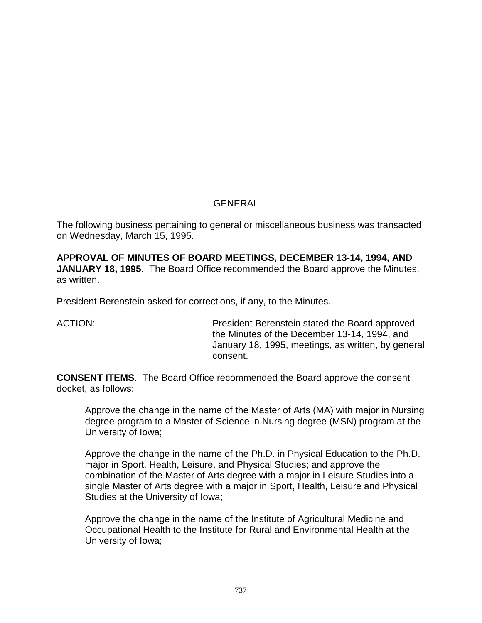# GENERAL

The following business pertaining to general or miscellaneous business was transacted on Wednesday, March 15, 1995.

**APPROVAL OF MINUTES OF BOARD MEETINGS, DECEMBER 13-14, 1994, AND JANUARY 18, 1995**. The Board Office recommended the Board approve the Minutes, as written.

President Berenstein asked for corrections, if any, to the Minutes.

ACTION: President Berenstein stated the Board approved the Minutes of the December 13-14, 1994, and January 18, 1995, meetings, as written, by general consent.

**CONSENT ITEMS**. The Board Office recommended the Board approve the consent docket, as follows:

Approve the change in the name of the Master of Arts (MA) with major in Nursing degree program to a Master of Science in Nursing degree (MSN) program at the University of Iowa;

Approve the change in the name of the Ph.D. in Physical Education to the Ph.D. major in Sport, Health, Leisure, and Physical Studies; and approve the combination of the Master of Arts degree with a major in Leisure Studies into a single Master of Arts degree with a major in Sport, Health, Leisure and Physical Studies at the University of Iowa;

Approve the change in the name of the Institute of Agricultural Medicine and Occupational Health to the Institute for Rural and Environmental Health at the University of Iowa;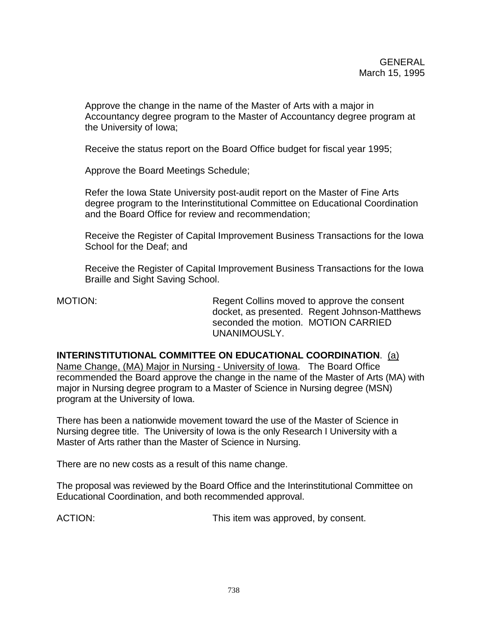Approve the change in the name of the Master of Arts with a major in Accountancy degree program to the Master of Accountancy degree program at the University of Iowa;

Receive the status report on the Board Office budget for fiscal year 1995;

Approve the Board Meetings Schedule;

Refer the Iowa State University post-audit report on the Master of Fine Arts degree program to the Interinstitutional Committee on Educational Coordination and the Board Office for review and recommendation;

Receive the Register of Capital Improvement Business Transactions for the Iowa School for the Deaf; and

Receive the Register of Capital Improvement Business Transactions for the Iowa Braille and Sight Saving School.

MOTION: Regent Collins moved to approve the consent docket, as presented. Regent Johnson-Matthews seconded the motion. MOTION CARRIED UNANIMOUSLY.

**INTERINSTITUTIONAL COMMITTEE ON EDUCATIONAL COORDINATION**. (a) Name Change, (MA) Major in Nursing - University of Iowa. The Board Office recommended the Board approve the change in the name of the Master of Arts (MA) with major in Nursing degree program to a Master of Science in Nursing degree (MSN) program at the University of Iowa.

There has been a nationwide movement toward the use of the Master of Science in Nursing degree title. The University of Iowa is the only Research I University with a Master of Arts rather than the Master of Science in Nursing.

There are no new costs as a result of this name change.

The proposal was reviewed by the Board Office and the Interinstitutional Committee on Educational Coordination, and both recommended approval.

ACTION: **This item was approved, by consent.**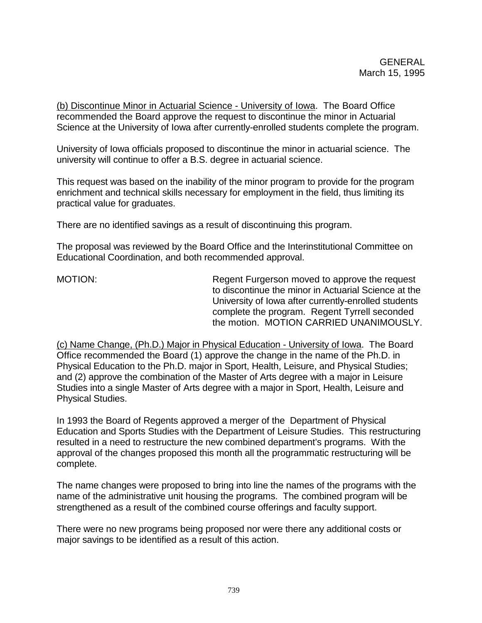(b) Discontinue Minor in Actuarial Science - University of Iowa. The Board Office recommended the Board approve the request to discontinue the minor in Actuarial Science at the University of Iowa after currently-enrolled students complete the program.

University of Iowa officials proposed to discontinue the minor in actuarial science. The university will continue to offer a B.S. degree in actuarial science.

This request was based on the inability of the minor program to provide for the program enrichment and technical skills necessary for employment in the field, thus limiting its practical value for graduates.

There are no identified savings as a result of discontinuing this program.

The proposal was reviewed by the Board Office and the Interinstitutional Committee on Educational Coordination, and both recommended approval.

MOTION: Regent Furgerson moved to approve the request to discontinue the minor in Actuarial Science at the University of Iowa after currently-enrolled students complete the program. Regent Tyrrell seconded the motion. MOTION CARRIED UNANIMOUSLY.

(c) Name Change, (Ph.D.) Major in Physical Education - University of Iowa. The Board Office recommended the Board (1) approve the change in the name of the Ph.D. in Physical Education to the Ph.D. major in Sport, Health, Leisure, and Physical Studies; and (2) approve the combination of the Master of Arts degree with a major in Leisure Studies into a single Master of Arts degree with a major in Sport, Health, Leisure and Physical Studies.

In 1993 the Board of Regents approved a merger of the Department of Physical Education and Sports Studies with the Department of Leisure Studies. This restructuring resulted in a need to restructure the new combined department's programs. With the approval of the changes proposed this month all the programmatic restructuring will be complete.

The name changes were proposed to bring into line the names of the programs with the name of the administrative unit housing the programs. The combined program will be strengthened as a result of the combined course offerings and faculty support.

There were no new programs being proposed nor were there any additional costs or major savings to be identified as a result of this action.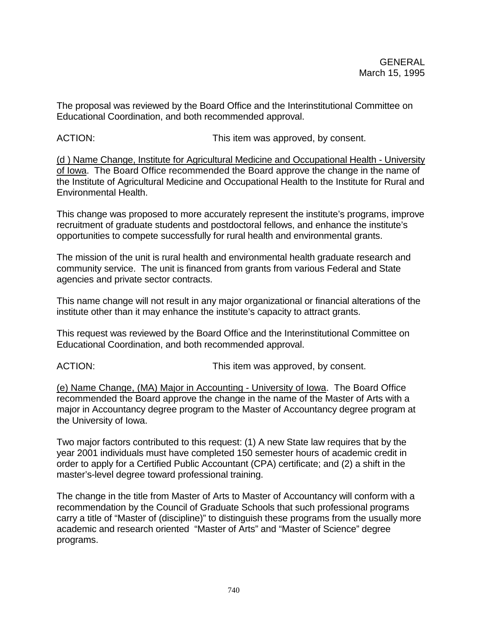The proposal was reviewed by the Board Office and the Interinstitutional Committee on Educational Coordination, and both recommended approval.

ACTION: **This item was approved, by consent.** 

(d ) Name Change, Institute for Agricultural Medicine and Occupational Health - University of Iowa. The Board Office recommended the Board approve the change in the name of the Institute of Agricultural Medicine and Occupational Health to the Institute for Rural and Environmental Health.

This change was proposed to more accurately represent the institute's programs, improve recruitment of graduate students and postdoctoral fellows, and enhance the institute's opportunities to compete successfully for rural health and environmental grants.

The mission of the unit is rural health and environmental health graduate research and community service. The unit is financed from grants from various Federal and State agencies and private sector contracts.

This name change will not result in any major organizational or financial alterations of the institute other than it may enhance the institute's capacity to attract grants.

This request was reviewed by the Board Office and the Interinstitutional Committee on Educational Coordination, and both recommended approval.

ACTION: **This item was approved, by consent.** 

(e) Name Change, (MA) Major in Accounting - University of Iowa. The Board Office recommended the Board approve the change in the name of the Master of Arts with a major in Accountancy degree program to the Master of Accountancy degree program at the University of Iowa.

Two major factors contributed to this request: (1) A new State law requires that by the year 2001 individuals must have completed 150 semester hours of academic credit in order to apply for a Certified Public Accountant (CPA) certificate; and (2) a shift in the master's-level degree toward professional training.

The change in the title from Master of Arts to Master of Accountancy will conform with a recommendation by the Council of Graduate Schools that such professional programs carry a title of "Master of (discipline)" to distinguish these programs from the usually more academic and research oriented "Master of Arts" and "Master of Science" degree programs.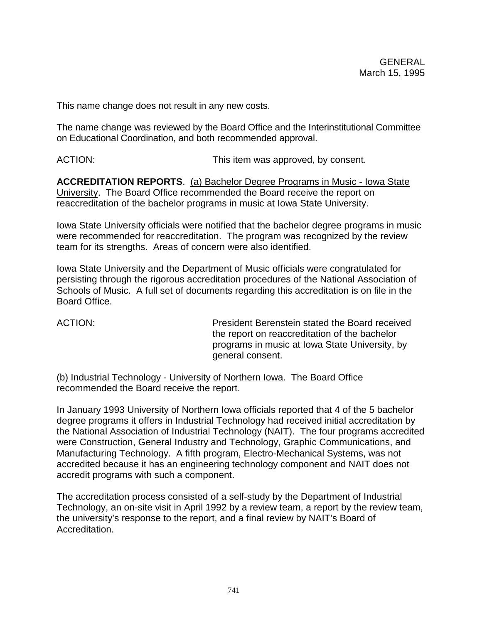This name change does not result in any new costs.

The name change was reviewed by the Board Office and the Interinstitutional Committee on Educational Coordination, and both recommended approval.

ACTION: This item was approved, by consent.

**ACCREDITATION REPORTS**. (a) Bachelor Degree Programs in Music - Iowa State University. The Board Office recommended the Board receive the report on reaccreditation of the bachelor programs in music at Iowa State University.

Iowa State University officials were notified that the bachelor degree programs in music were recommended for reaccreditation. The program was recognized by the review team for its strengths. Areas of concern were also identified.

Iowa State University and the Department of Music officials were congratulated for persisting through the rigorous accreditation procedures of the National Association of Schools of Music. A full set of documents regarding this accreditation is on file in the Board Office.

ACTION: President Berenstein stated the Board received the report on reaccreditation of the bachelor programs in music at Iowa State University, by general consent.

(b) Industrial Technology - University of Northern Iowa. The Board Office recommended the Board receive the report.

In January 1993 University of Northern Iowa officials reported that 4 of the 5 bachelor degree programs it offers in Industrial Technology had received initial accreditation by the National Association of Industrial Technology (NAIT). The four programs accredited were Construction, General Industry and Technology, Graphic Communications, and Manufacturing Technology. A fifth program, Electro-Mechanical Systems, was not accredited because it has an engineering technology component and NAIT does not accredit programs with such a component.

The accreditation process consisted of a self-study by the Department of Industrial Technology, an on-site visit in April 1992 by a review team, a report by the review team, the university's response to the report, and a final review by NAIT's Board of Accreditation.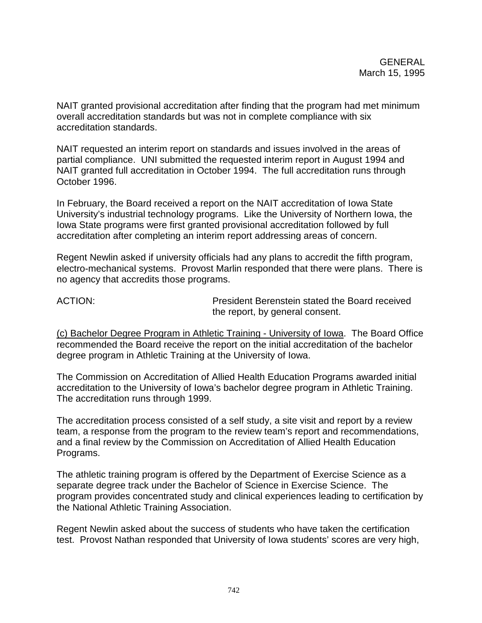NAIT granted provisional accreditation after finding that the program had met minimum overall accreditation standards but was not in complete compliance with six accreditation standards.

NAIT requested an interim report on standards and issues involved in the areas of partial compliance. UNI submitted the requested interim report in August 1994 and NAIT granted full accreditation in October 1994. The full accreditation runs through October 1996.

In February, the Board received a report on the NAIT accreditation of Iowa State University's industrial technology programs. Like the University of Northern Iowa, the Iowa State programs were first granted provisional accreditation followed by full accreditation after completing an interim report addressing areas of concern.

Regent Newlin asked if university officials had any plans to accredit the fifth program, electro-mechanical systems. Provost Marlin responded that there were plans. There is no agency that accredits those programs.

ACTION: President Berenstein stated the Board received the report, by general consent.

(c) Bachelor Degree Program in Athletic Training - University of Iowa. The Board Office recommended the Board receive the report on the initial accreditation of the bachelor degree program in Athletic Training at the University of Iowa.

The Commission on Accreditation of Allied Health Education Programs awarded initial accreditation to the University of Iowa's bachelor degree program in Athletic Training. The accreditation runs through 1999.

The accreditation process consisted of a self study, a site visit and report by a review team, a response from the program to the review team's report and recommendations, and a final review by the Commission on Accreditation of Allied Health Education Programs.

The athletic training program is offered by the Department of Exercise Science as a separate degree track under the Bachelor of Science in Exercise Science. The program provides concentrated study and clinical experiences leading to certification by the National Athletic Training Association.

Regent Newlin asked about the success of students who have taken the certification test. Provost Nathan responded that University of Iowa students' scores are very high,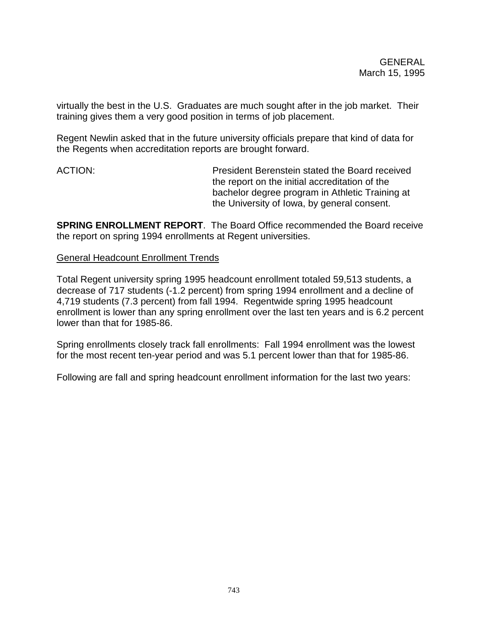virtually the best in the U.S. Graduates are much sought after in the job market. Their training gives them a very good position in terms of job placement.

Regent Newlin asked that in the future university officials prepare that kind of data for the Regents when accreditation reports are brought forward.

ACTION: President Berenstein stated the Board received the report on the initial accreditation of the bachelor degree program in Athletic Training at the University of Iowa, by general consent.

**SPRING ENROLLMENT REPORT**. The Board Office recommended the Board receive the report on spring 1994 enrollments at Regent universities.

General Headcount Enrollment Trends

Total Regent university spring 1995 headcount enrollment totaled 59,513 students, a decrease of 717 students (-1.2 percent) from spring 1994 enrollment and a decline of 4,719 students (7.3 percent) from fall 1994. Regentwide spring 1995 headcount enrollment is lower than any spring enrollment over the last ten years and is 6.2 percent lower than that for 1985-86.

Spring enrollments closely track fall enrollments: Fall 1994 enrollment was the lowest for the most recent ten-year period and was 5.1 percent lower than that for 1985-86.

Following are fall and spring headcount enrollment information for the last two years: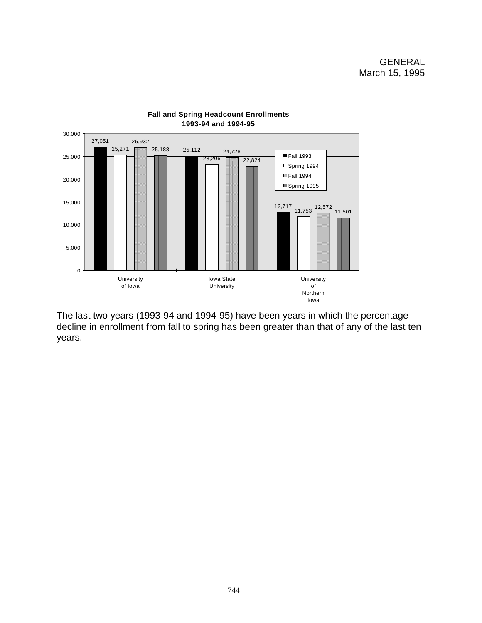

### **Fall and Spring Headcount Enrollments 1993-94 and 1994-95**

The last two years (1993-94 and 1994-95) have been years in which the percentage decline in enrollment from fall to spring has been greater than that of any of the last ten years.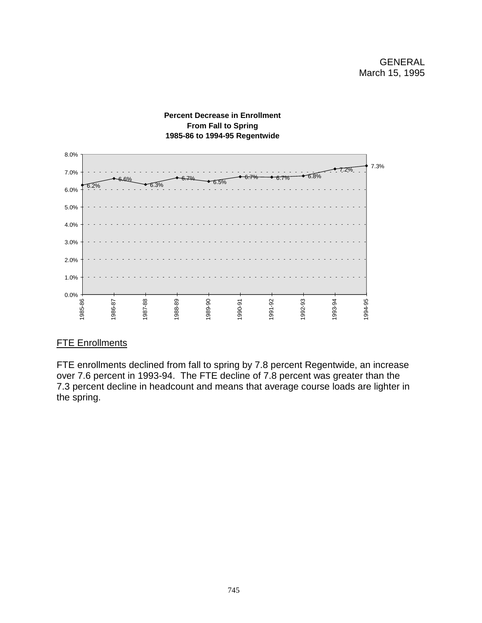## **Percent Decrease in Enrollment From Fall to Spring 1985-86 to 1994-95 Regentwide**



# **FTE Enrollments**

FTE enrollments declined from fall to spring by 7.8 percent Regentwide, an increase over 7.6 percent in 1993-94. The FTE decline of 7.8 percent was greater than the 7.3 percent decline in headcount and means that average course loads are lighter in the spring.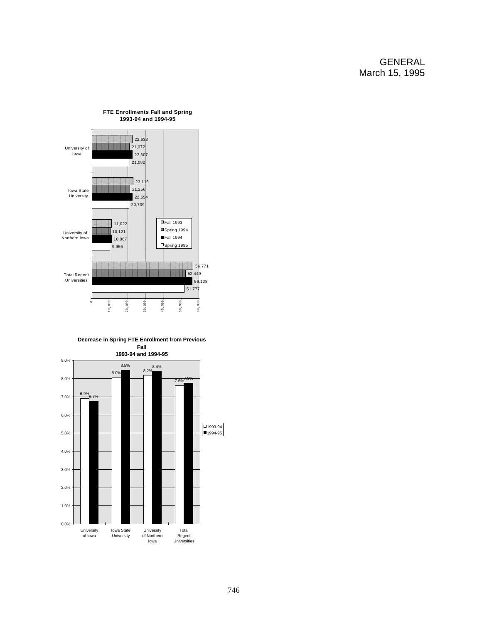# GENERAL March 15, 1995



**FTE Enrollments Fall and Spring 1993-94 and 1994-95**

**Decrease in Spring FTE Enrollment from Previous Fall** 

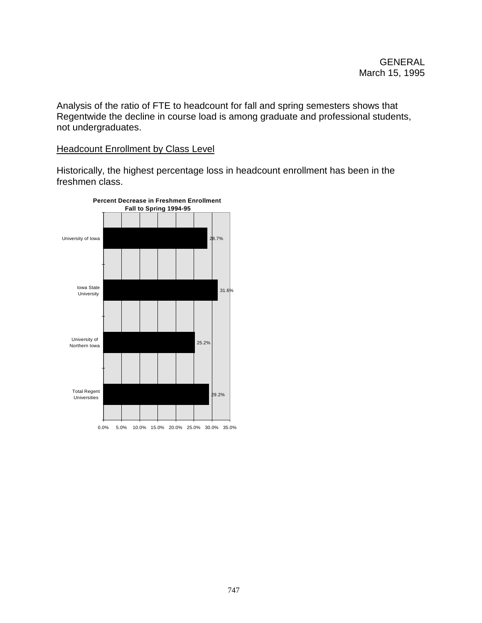Analysis of the ratio of FTE to headcount for fall and spring semesters shows that Regentwide the decline in course load is among graduate and professional students, not undergraduates.

# **Headcount Enrollment by Class Level**

Historically, the highest percentage loss in headcount enrollment has been in the freshmen class.

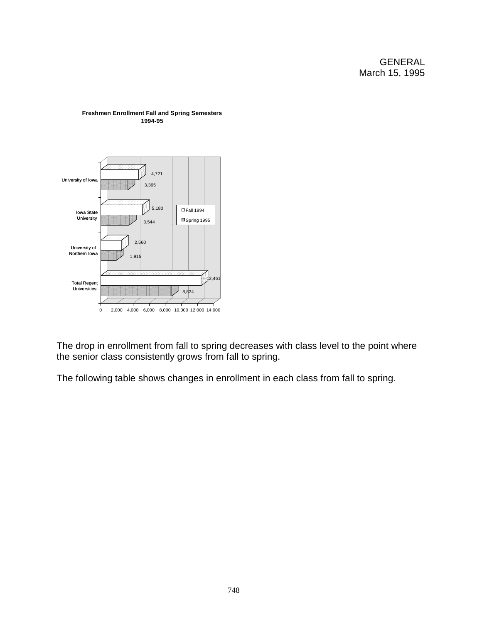

#### **Freshmen Enrollment Fall and Spring Semesters 1994-95**

The drop in enrollment from fall to spring decreases with class level to the point where the senior class consistently grows from fall to spring.

The following table shows changes in enrollment in each class from fall to spring.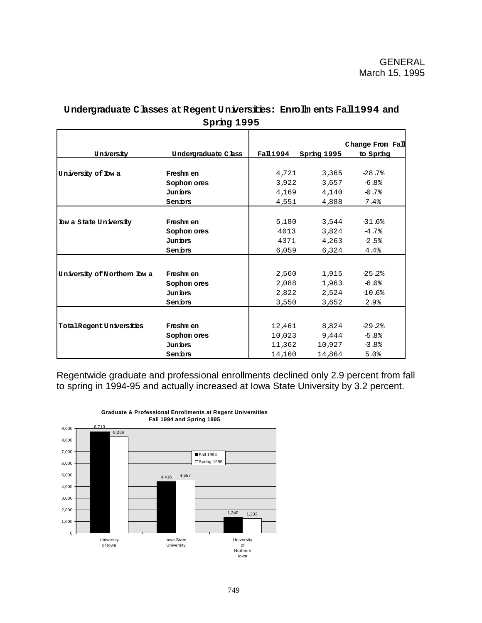|                             |                     |                     |              | Change From Fall |
|-----------------------------|---------------------|---------------------|--------------|------------------|
| University                  | Undergraduate Class | $F\texttt{all1994}$ | Spring 1995  | to Spring        |
|                             |                     |                     |              |                  |
| University of Iow a         | Freshmen            |                     | 4,721 3,365  | $-28.7%$         |
|                             | Sophom ores         |                     | 3.922 3.657  | $-6.8%$          |
|                             | Juniors             |                     | 4,169 4,140  | $-0.7%$          |
|                             | Senions             | 4,551               | 4,888        | 7.4%             |
|                             |                     |                     |              |                  |
| Iow a State University      | Freshmen            |                     | 5,180 3,544  | $-31.6%$         |
|                             | Sophom ores         | 4013                | 3,824        | $-4.7%$          |
|                             | Juniors             | 4371                | 4,263        | $-2.5%$          |
|                             | Seniors             | 6,059               | 6,324        | 4.4%             |
|                             |                     |                     |              |                  |
| University of Northern Ibwa | Freshm en           | 2,560               | 1,915        | $-25.2$          |
|                             | Sophom ores         | 2.088               | 1,963        | $-6.0%$          |
|                             | Juniors             | 2,822               | 2,524        | $-10.6%$         |
|                             | Senions             | 3,550               | 3,652        | 2.9%             |
|                             |                     |                     |              |                  |
| TotalRegentUniversities     | Freshm en           |                     | 12,461 8,824 | $-29.2$          |
|                             | Sophom ores         | 10,023              |              | $9,444$ $-5.8$   |
|                             | Junions             | 11,362              | 10,927       | $-3.8%$          |
|                             | Senions             | 14,160              | 14,864       | 5.0%             |

# **U ndergraduate Classes at Regent U niversities: Enrollm ents Fall1994 and Spring 1995**

Regentwide graduate and professional enrollments declined only 2.9 percent from fall to spring in 1994-95 and actually increased at Iowa State University by 3.2 percent.



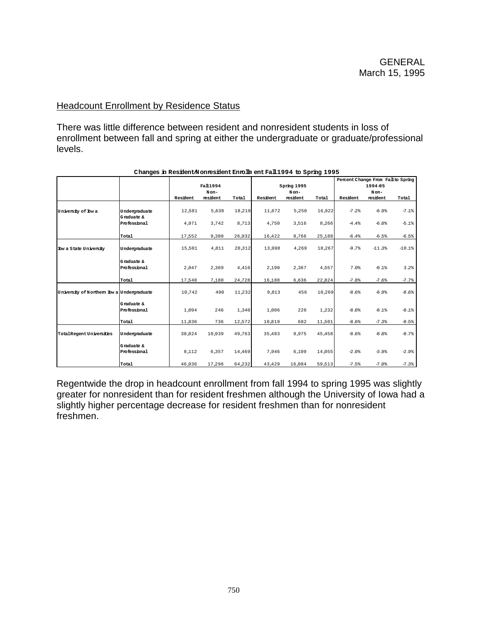## Headcount Enrollment by Residence Status

There was little difference between resident and nonresident students in loss of enrollment between fall and spring at either the undergraduate or graduate/professional levels.

|                                            |               |          |          |        |          |             |        | Percent Change From Fall to Spring |          |          |
|--------------------------------------------|---------------|----------|----------|--------|----------|-------------|--------|------------------------------------|----------|----------|
|                                            |               |          | Fall1994 |        |          | Spring 1995 |        |                                    | 1994-95  |          |
|                                            |               |          | Non-     |        |          | $Non-$      |        |                                    | $Non-$   |          |
|                                            |               | Resident | resident | Total  | Resident | resident    | Total  | Resident                           | resident | Total    |
|                                            |               |          |          |        |          |             |        |                                    |          |          |
| University of Ibwa                         | Undergraduate | 12,581   | 5.638    | 18,219 | 11,672   | 5,250       | 16,922 | $-7.2%$                            | $-6.9%$  | $-7.1%$  |
|                                            | Graduate &    |          |          |        |          |             |        |                                    |          |          |
|                                            | Professional  | 4.971    | 3.742    | 8,713  | 4.750    | 3,516       | 8,266  | $-4.4%$                            | $-6.0%$  | $-5.1%$  |
|                                            |               |          |          |        |          |             |        |                                    |          |          |
|                                            | Total         | 17,552   | 9,380    | 26,932 | 16,422   | 8,766       | 25,188 | $-6.4%$                            | $-6.5%$  | $-6.5%$  |
|                                            |               |          |          |        |          |             |        |                                    |          |          |
| Iow a State University                     | Undergraduate | 15,501   | 4,811    | 20,312 | 13,998   | 4,269       | 18,267 | $-9.7%$                            | $-11.3%$ | $-10.1%$ |
|                                            |               |          |          |        |          |             |        |                                    |          |          |
|                                            | Graduate &    |          |          |        |          |             |        |                                    |          |          |
|                                            | Professional  | 2.047    | 2.369    | 4.416  | 2.190    | 2,367       | 4.557  | 7.0%                               | $-0.1%$  | 3.2%     |
|                                            |               |          |          |        |          |             |        |                                    |          |          |
|                                            | Total         | 17,548   | 7,180    | 24,728 | 16,188   | 6,636       | 22,824 | $-7.8%$                            | $-7.6%$  | $-7.7%$  |
| University of Northern Ibw a Undergraduate |               | 10.742   | 490      | 11,232 | 9,813    | 456         | 10,269 | $-8.6%$                            | $-6.9%$  | $-8.6%$  |
|                                            |               |          |          |        |          |             |        |                                    |          |          |
|                                            | Graduate &    |          |          |        |          |             |        |                                    |          |          |
|                                            | Professional  | 1.094    | 246      | 1,340  | 1.006    | 226         | 1,232  | $-8.0%$                            | $-8.1%$  | $-8.1%$  |
|                                            |               |          |          |        |          |             |        |                                    |          |          |
|                                            | Total         | 11,836   | 736      | 12,572 | 10,819   | 682         | 11,501 | $-8.6%$                            | $-7.3%$  | $-8.5%$  |
|                                            |               |          |          |        |          |             |        |                                    |          |          |
| TotalRegent Universities                   | Undergraduate | 38.824   | 10.939   | 49,763 | 35.483   | 9,975       | 45,458 | $-8.6%$                            | $-8.8°$  | $-8.7%$  |
|                                            | Graduate &    |          |          |        |          |             |        |                                    |          |          |
|                                            | Professional  | 8.112    | 6.357    | 14,469 | 7.946    | 6.109       | 14.055 | $-2.0%$                            | $-3.9%$  | $-2.9%$  |
|                                            |               |          |          |        |          |             |        |                                    |          |          |
|                                            | Total         | 46,936   | 17,296   | 64,232 | 43,429   | 16,084      | 59,513 | $-7.5%$                            | $-7.0%$  | $-7.3%$  |

#### **Changes in Resident/Nonresident Enrollm ent Fall1994 to Spring 1995**

Regentwide the drop in headcount enrollment from fall 1994 to spring 1995 was slightly greater for nonresident than for resident freshmen although the University of Iowa had a slightly higher percentage decrease for resident freshmen than for nonresident freshmen.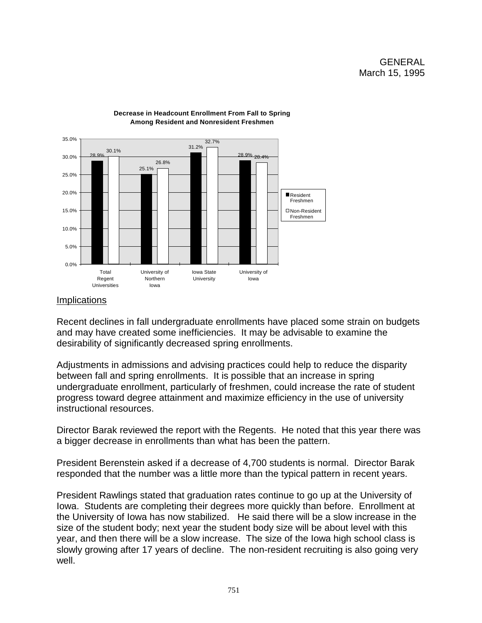

#### **Decrease in Headcount Enrollment From Fall to Spring Among Resident and Nonresident Freshmen**

## **Implications**

Recent declines in fall undergraduate enrollments have placed some strain on budgets and may have created some inefficiencies. It may be advisable to examine the desirability of significantly decreased spring enrollments.

Adjustments in admissions and advising practices could help to reduce the disparity between fall and spring enrollments. It is possible that an increase in spring undergraduate enrollment, particularly of freshmen, could increase the rate of student progress toward degree attainment and maximize efficiency in the use of university instructional resources.

Director Barak reviewed the report with the Regents. He noted that this year there was a bigger decrease in enrollments than what has been the pattern.

President Berenstein asked if a decrease of 4,700 students is normal. Director Barak responded that the number was a little more than the typical pattern in recent years.

President Rawlings stated that graduation rates continue to go up at the University of Iowa. Students are completing their degrees more quickly than before. Enrollment at the University of Iowa has now stabilized. He said there will be a slow increase in the size of the student body; next year the student body size will be about level with this year, and then there will be a slow increase. The size of the Iowa high school class is slowly growing after 17 years of decline. The non-resident recruiting is also going very well.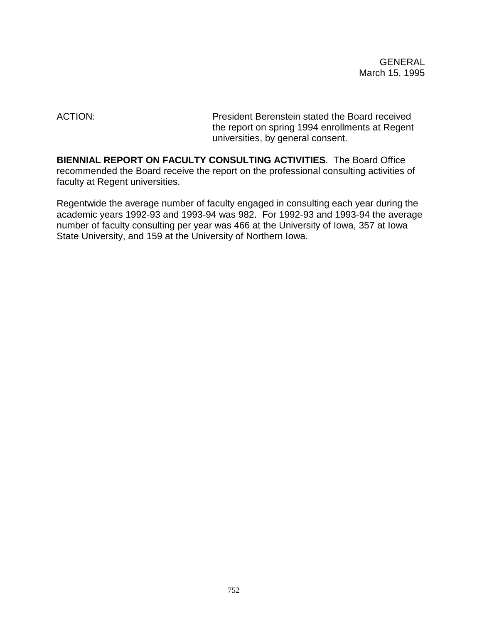ACTION: President Berenstein stated the Board received the report on spring 1994 enrollments at Regent universities, by general consent.

**BIENNIAL REPORT ON FACULTY CONSULTING ACTIVITIES**.The Board Office recommended the Board receive the report on the professional consulting activities of faculty at Regent universities.

Regentwide the average number of faculty engaged in consulting each year during the academic years 1992-93 and 1993-94 was 982. For 1992-93 and 1993-94 the average number of faculty consulting per year was 466 at the University of Iowa, 357 at Iowa State University, and 159 at the University of Northern Iowa.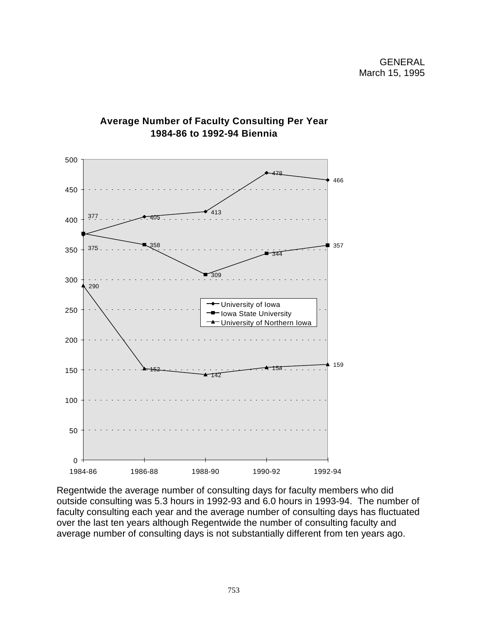

# **Average Number of Faculty Consulting Per Year 1984-86 to 1992-94 Biennia**

Regentwide the average number of consulting days for faculty members who did outside consulting was 5.3 hours in 1992-93 and 6.0 hours in 1993-94. The number of faculty consulting each year and the average number of consulting days has fluctuated over the last ten years although Regentwide the number of consulting faculty and average number of consulting days is not substantially different from ten years ago.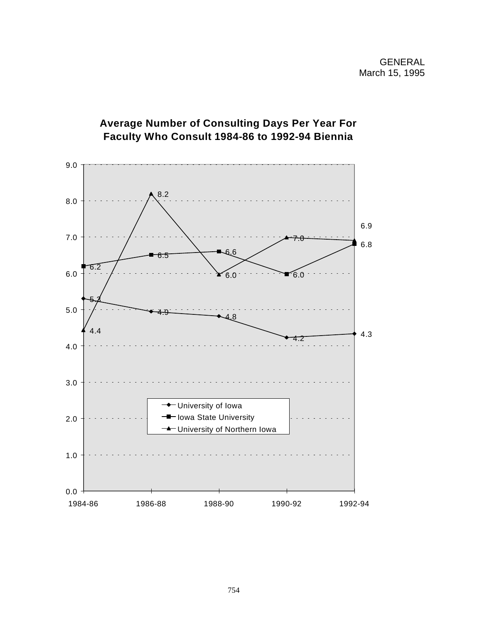

# **Average Number of Consulting Days Per Year For Faculty Who Consult 1984-86 to 1992-94 Biennia**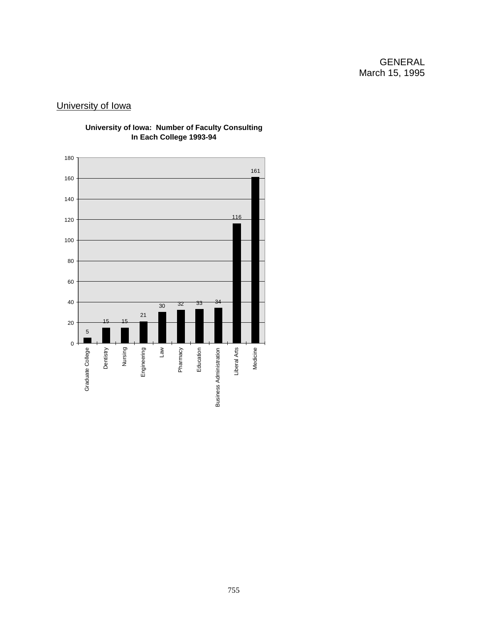GENERAL March 15, 1995

# University of Iowa



## **University of Iowa: Number of Faculty Consulting In Each College 1993-94**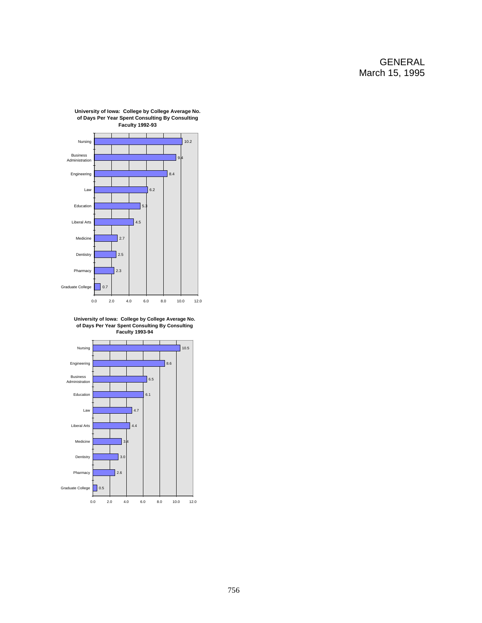## GENERAL March 15, 1995



**University of Iowa: College by College Average No. of Days Per Year Spent Consulting By Consulting Faculty 1992-93**

**University of Iowa: College by College Average No. of Days Per Year Spent Consulting By Consulting Faculty 1993-94**

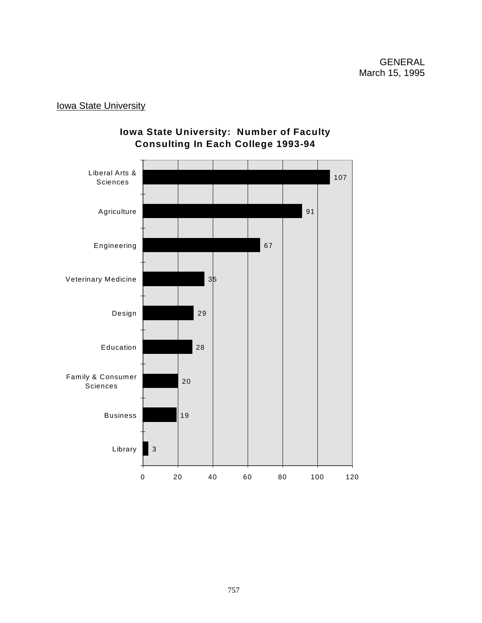# **Iowa State University**



# **Iowa State University: Number of Faculty Consulting In Each College 1993-94**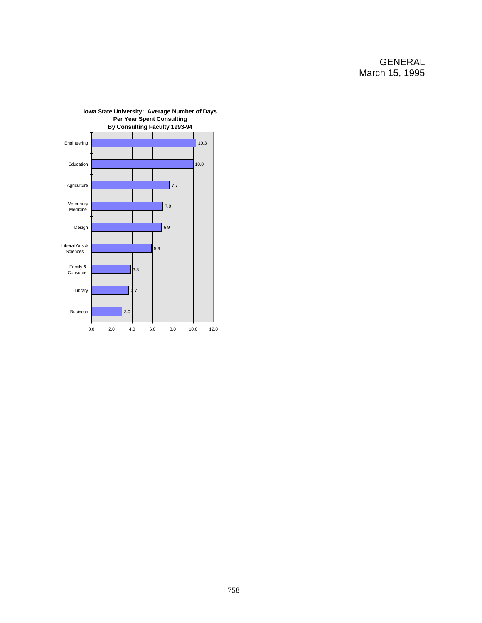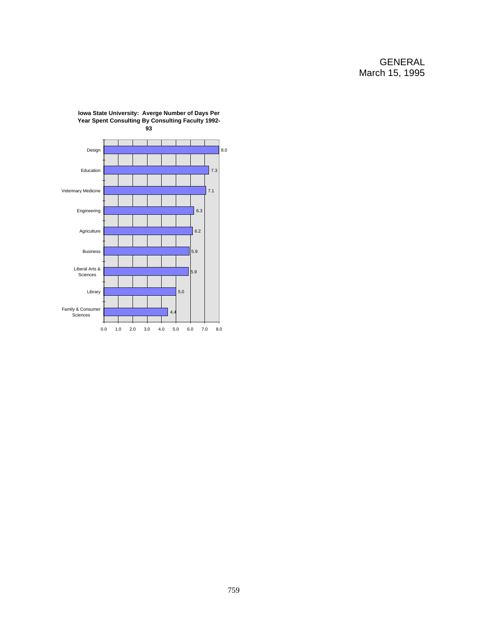

**Iowa State University: Averge Number of Days Per Year Spent Consulting By Consulting Faculty 1992-**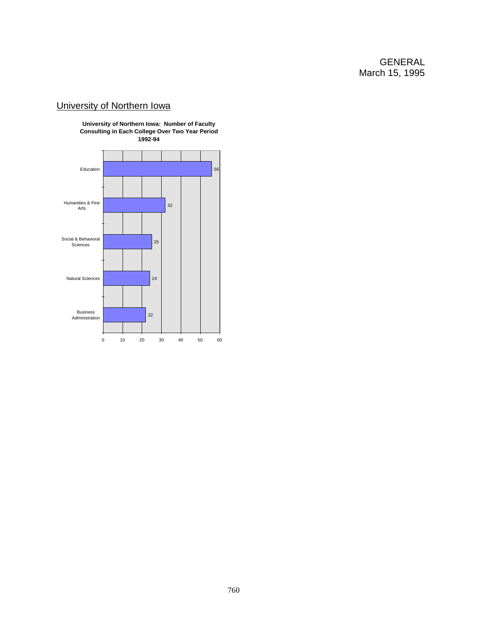# University of Northern Iowa



**University of Northern Iowa: Number of Faculty Consulting in Each College Over Two Year Period 1992-94**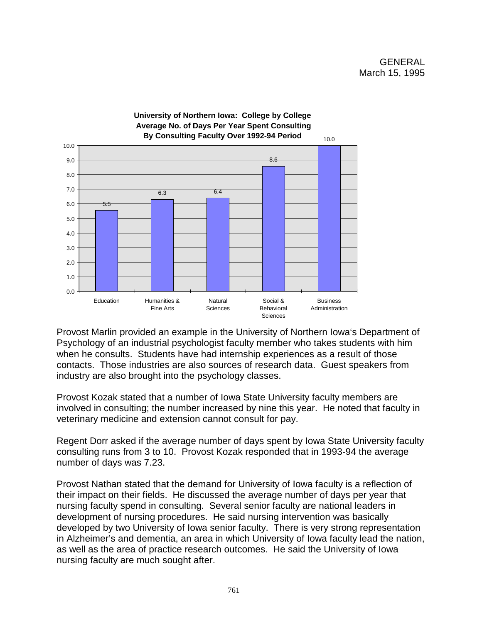

Provost Marlin provided an example in the University of Northern Iowa's Department of Psychology of an industrial psychologist faculty member who takes students with him when he consults. Students have had internship experiences as a result of those contacts. Those industries are also sources of research data. Guest speakers from industry are also brought into the psychology classes.

Provost Kozak stated that a number of Iowa State University faculty members are involved in consulting; the number increased by nine this year. He noted that faculty in veterinary medicine and extension cannot consult for pay.

Regent Dorr asked if the average number of days spent by Iowa State University faculty consulting runs from 3 to 10. Provost Kozak responded that in 1993-94 the average number of days was 7.23.

Provost Nathan stated that the demand for University of Iowa faculty is a reflection of their impact on their fields. He discussed the average number of days per year that nursing faculty spend in consulting. Several senior faculty are national leaders in development of nursing procedures. He said nursing intervention was basically developed by two University of Iowa senior faculty. There is very strong representation in Alzheimer's and dementia, an area in which University of Iowa faculty lead the nation, as well as the area of practice research outcomes. He said the University of Iowa nursing faculty are much sought after.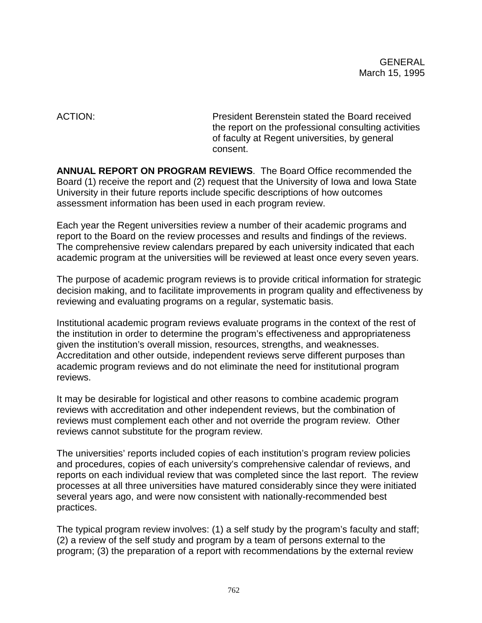ACTION: President Berenstein stated the Board received the report on the professional consulting activities of faculty at Regent universities, by general consent.

**ANNUAL REPORT ON PROGRAM REVIEWS**. The Board Office recommended the Board (1) receive the report and (2) request that the University of Iowa and Iowa State University in their future reports include specific descriptions of how outcomes assessment information has been used in each program review.

Each year the Regent universities review a number of their academic programs and report to the Board on the review processes and results and findings of the reviews. The comprehensive review calendars prepared by each university indicated that each academic program at the universities will be reviewed at least once every seven years.

The purpose of academic program reviews is to provide critical information for strategic decision making, and to facilitate improvements in program quality and effectiveness by reviewing and evaluating programs on a regular, systematic basis.

Institutional academic program reviews evaluate programs in the context of the rest of the institution in order to determine the program's effectiveness and appropriateness given the institution's overall mission, resources, strengths, and weaknesses. Accreditation and other outside, independent reviews serve different purposes than academic program reviews and do not eliminate the need for institutional program reviews.

It may be desirable for logistical and other reasons to combine academic program reviews with accreditation and other independent reviews, but the combination of reviews must complement each other and not override the program review. Other reviews cannot substitute for the program review.

The universities' reports included copies of each institution's program review policies and procedures, copies of each university's comprehensive calendar of reviews, and reports on each individual review that was completed since the last report. The review processes at all three universities have matured considerably since they were initiated several years ago, and were now consistent with nationally-recommended best practices.

The typical program review involves: (1) a self study by the program's faculty and staff; (2) a review of the self study and program by a team of persons external to the program; (3) the preparation of a report with recommendations by the external review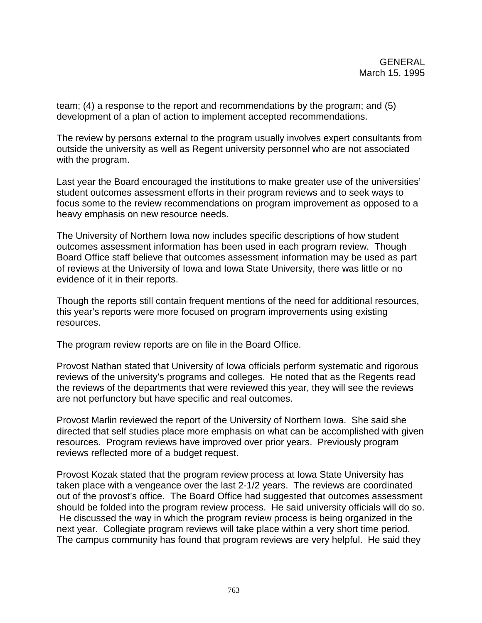team; (4) a response to the report and recommendations by the program; and (5) development of a plan of action to implement accepted recommendations.

The review by persons external to the program usually involves expert consultants from outside the university as well as Regent university personnel who are not associated with the program.

Last year the Board encouraged the institutions to make greater use of the universities' student outcomes assessment efforts in their program reviews and to seek ways to focus some to the review recommendations on program improvement as opposed to a heavy emphasis on new resource needs.

The University of Northern Iowa now includes specific descriptions of how student outcomes assessment information has been used in each program review. Though Board Office staff believe that outcomes assessment information may be used as part of reviews at the University of Iowa and Iowa State University, there was little or no evidence of it in their reports.

Though the reports still contain frequent mentions of the need for additional resources, this year's reports were more focused on program improvements using existing resources.

The program review reports are on file in the Board Office.

Provost Nathan stated that University of Iowa officials perform systematic and rigorous reviews of the university's programs and colleges. He noted that as the Regents read the reviews of the departments that were reviewed this year, they will see the reviews are not perfunctory but have specific and real outcomes.

Provost Marlin reviewed the report of the University of Northern Iowa. She said she directed that self studies place more emphasis on what can be accomplished with given resources. Program reviews have improved over prior years. Previously program reviews reflected more of a budget request.

Provost Kozak stated that the program review process at Iowa State University has taken place with a vengeance over the last 2-1/2 years. The reviews are coordinated out of the provost's office. The Board Office had suggested that outcomes assessment should be folded into the program review process. He said university officials will do so. He discussed the way in which the program review process is being organized in the next year. Collegiate program reviews will take place within a very short time period. The campus community has found that program reviews are very helpful. He said they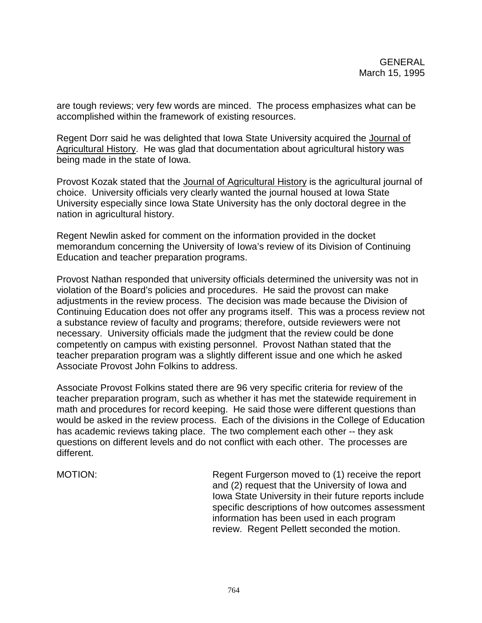are tough reviews; very few words are minced. The process emphasizes what can be accomplished within the framework of existing resources.

Regent Dorr said he was delighted that Iowa State University acquired the Journal of Agricultural History. He was glad that documentation about agricultural history was being made in the state of Iowa.

Provost Kozak stated that the Journal of Agricultural History is the agricultural journal of choice. University officials very clearly wanted the journal housed at Iowa State University especially since Iowa State University has the only doctoral degree in the nation in agricultural history.

Regent Newlin asked for comment on the information provided in the docket memorandum concerning the University of Iowa's review of its Division of Continuing Education and teacher preparation programs.

Provost Nathan responded that university officials determined the university was not in violation of the Board's policies and procedures. He said the provost can make adjustments in the review process. The decision was made because the Division of Continuing Education does not offer any programs itself. This was a process review not a substance review of faculty and programs; therefore, outside reviewers were not necessary. University officials made the judgment that the review could be done competently on campus with existing personnel. Provost Nathan stated that the teacher preparation program was a slightly different issue and one which he asked Associate Provost John Folkins to address.

Associate Provost Folkins stated there are 96 very specific criteria for review of the teacher preparation program, such as whether it has met the statewide requirement in math and procedures for record keeping. He said those were different questions than would be asked in the review process. Each of the divisions in the College of Education has academic reviews taking place. The two complement each other -- they ask questions on different levels and do not conflict with each other. The processes are different.

MOTION: Regent Furgerson moved to (1) receive the report and (2) request that the University of Iowa and Iowa State University in their future reports include specific descriptions of how outcomes assessment information has been used in each program review. Regent Pellett seconded the motion.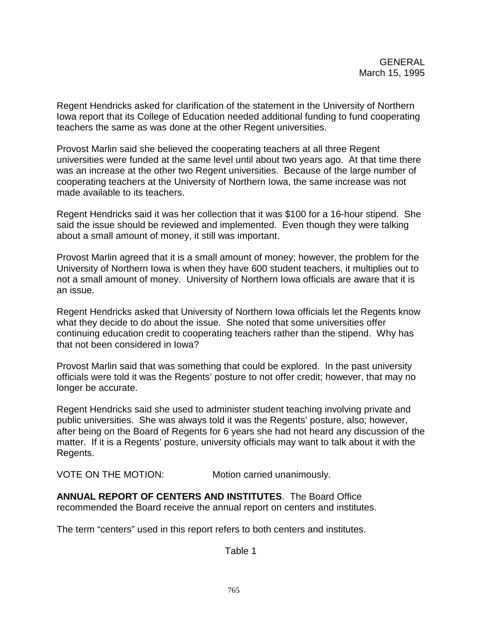Regent Hendricks asked for clarification of the statement in the University of Northern Iowa report that its College of Education needed additional funding to fund cooperating teachers the same as was done at the other Regent universities.

Provost Marlin said she believed the cooperating teachers at all three Regent universities were funded at the same level until about two years ago. At that time there was an increase at the other two Regent universities. Because of the large number of cooperating teachers at the University of Northern Iowa, the same increase was not made available to its teachers.

Regent Hendricks said it was her collection that it was \$100 for a 16-hour stipend. She said the issue should be reviewed and implemented. Even though they were talking about a small amount of money, it still was important.

Provost Marlin agreed that it is a small amount of money; however, the problem for the University of Northern Iowa is when they have 600 student teachers, it multiplies out to not a small amount of money. University of Northern Iowa officials are aware that it is an issue.

Regent Hendricks asked that University of Northern Iowa officials let the Regents know what they decide to do about the issue. She noted that some universities offer continuing education credit to cooperating teachers rather than the stipend. Why has that not been considered in Iowa?

Provost Marlin said that was something that could be explored. In the past university officials were told it was the Regents' posture to not offer credit; however, that may no longer be accurate.

Regent Hendricks said she used to administer student teaching involving private and public universities. She was always told it was the Regents' posture, also; however, after being on the Board of Regents for 6 years she had not heard any discussion of the matter. If it is a Regents' posture, university officials may want to talk about it with the Regents.

VOTE ON THE MOTION: Motion carried unanimously.

**ANNUAL REPORT OF CENTERS AND INSTITUTES**. The Board Office recommended the Board receive the annual report on centers and institutes.

The term "centers" used in this report refers to both centers and institutes.

Table 1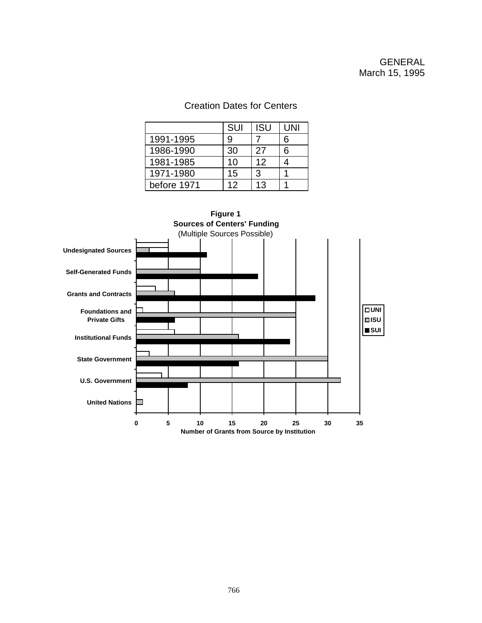# Creation Dates for Centers

|             | SUI | <b>ISU</b> | UNI |
|-------------|-----|------------|-----|
| 1991-1995   | 9   |            | 6   |
| 1986-1990   | 30  | 27         | 6   |
| 1981-1985   | 10  | 12         |     |
| 1971-1980   | 15  | 3          |     |
| before 1971 | 12  | 13         |     |

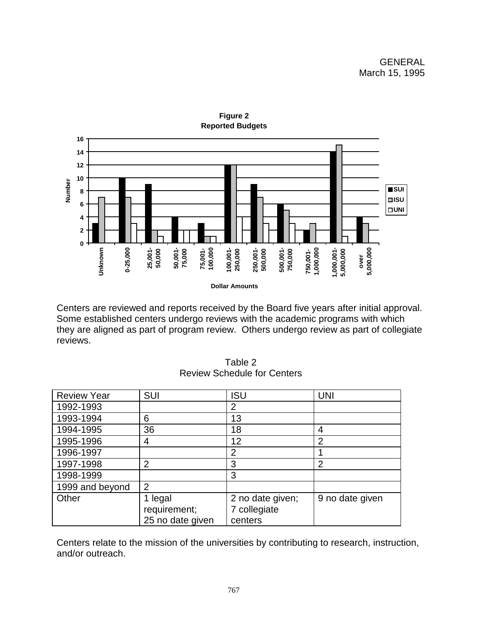

Centers are reviewed and reports received by the Board five years after initial approval. Some established centers undergo reviews with the academic programs with which they are aligned as part of program review. Others undergo review as part of collegiate reviews.

| <b>Review Year</b> | <b>SUI</b>                                  | <b>ISU</b>                                  | <b>UNI</b>      |
|--------------------|---------------------------------------------|---------------------------------------------|-----------------|
| 1992-1993          |                                             | 2                                           |                 |
| 1993-1994          | 6                                           | 13                                          |                 |
| 1994-1995          | 36                                          | 18                                          | 4               |
| 1995-1996          | 4                                           | 12                                          | $\overline{2}$  |
| 1996-1997          |                                             | $\overline{2}$                              |                 |
| 1997-1998          | 2                                           | 3                                           | $\overline{2}$  |
| 1998-1999          |                                             | 3                                           |                 |
| 1999 and beyond    | 2                                           |                                             |                 |
| Other              | 1 legal<br>requirement;<br>25 no date given | 2 no date given;<br>7 collegiate<br>centers | 9 no date given |

Table 2 Review Schedule for Centers

Centers relate to the mission of the universities by contributing to research, instruction, and/or outreach.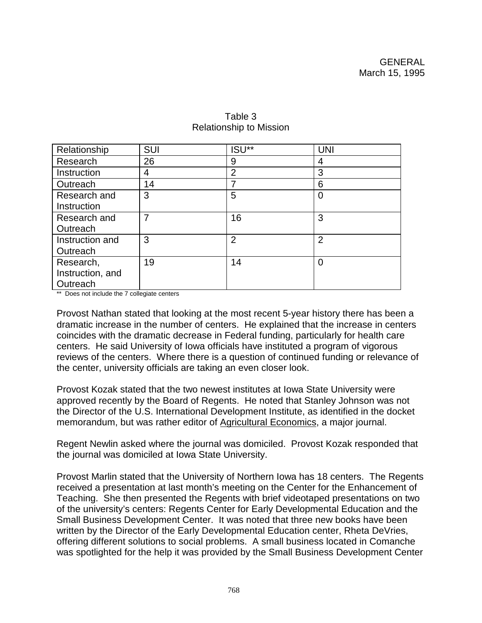| Relationship     | <b>SUI</b> | ISU**          | <b>UNI</b>     |
|------------------|------------|----------------|----------------|
| Research         | 26         | 9              | 4              |
| Instruction      | 4          | $\overline{2}$ | 3              |
| Outreach         | 14         |                | 6              |
| Research and     | 3          | 5              | 0              |
| Instruction      |            |                |                |
| Research and     |            | 16             | 3              |
| Outreach         |            |                |                |
| Instruction and  | 3          | $\overline{2}$ | $\overline{2}$ |
| Outreach         |            |                |                |
| Research,        | 19         | 14             | $\overline{0}$ |
| Instruction, and |            |                |                |
| Outreach         |            |                |                |

# Table 3 Relationship to Mission

\*\* Does not include the 7 collegiate centers

Provost Nathan stated that looking at the most recent 5-year history there has been a dramatic increase in the number of centers. He explained that the increase in centers coincides with the dramatic decrease in Federal funding, particularly for health care centers. He said University of Iowa officials have instituted a program of vigorous reviews of the centers. Where there is a question of continued funding or relevance of the center, university officials are taking an even closer look.

Provost Kozak stated that the two newest institutes at Iowa State University were approved recently by the Board of Regents. He noted that Stanley Johnson was not the Director of the U.S. International Development Institute, as identified in the docket memorandum, but was rather editor of Agricultural Economics, a major journal.

Regent Newlin asked where the journal was domiciled. Provost Kozak responded that the journal was domiciled at Iowa State University.

Provost Marlin stated that the University of Northern Iowa has 18 centers. The Regents received a presentation at last month's meeting on the Center for the Enhancement of Teaching. She then presented the Regents with brief videotaped presentations on two of the university's centers: Regents Center for Early Developmental Education and the Small Business Development Center. It was noted that three new books have been written by the Director of the Early Developmental Education center, Rheta DeVries, offering different solutions to social problems. A small business located in Comanche was spotlighted for the help it was provided by the Small Business Development Center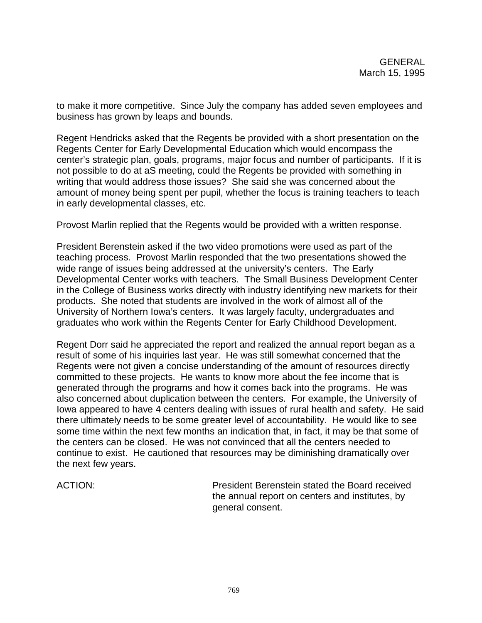to make it more competitive. Since July the company has added seven employees and business has grown by leaps and bounds.

Regent Hendricks asked that the Regents be provided with a short presentation on the Regents Center for Early Developmental Education which would encompass the center's strategic plan, goals, programs, major focus and number of participants. If it is not possible to do at aS meeting, could the Regents be provided with something in writing that would address those issues? She said she was concerned about the amount of money being spent per pupil, whether the focus is training teachers to teach in early developmental classes, etc.

Provost Marlin replied that the Regents would be provided with a written response.

President Berenstein asked if the two video promotions were used as part of the teaching process. Provost Marlin responded that the two presentations showed the wide range of issues being addressed at the university's centers. The Early Developmental Center works with teachers. The Small Business Development Center in the College of Business works directly with industry identifying new markets for their products. She noted that students are involved in the work of almost all of the University of Northern Iowa's centers. It was largely faculty, undergraduates and graduates who work within the Regents Center for Early Childhood Development.

Regent Dorr said he appreciated the report and realized the annual report began as a result of some of his inquiries last year. He was still somewhat concerned that the Regents were not given a concise understanding of the amount of resources directly committed to these projects. He wants to know more about the fee income that is generated through the programs and how it comes back into the programs. He was also concerned about duplication between the centers. For example, the University of Iowa appeared to have 4 centers dealing with issues of rural health and safety. He said there ultimately needs to be some greater level of accountability. He would like to see some time within the next few months an indication that, in fact, it may be that some of the centers can be closed. He was not convinced that all the centers needed to continue to exist. He cautioned that resources may be diminishing dramatically over the next few years.

ACTION: President Berenstein stated the Board received the annual report on centers and institutes, by general consent.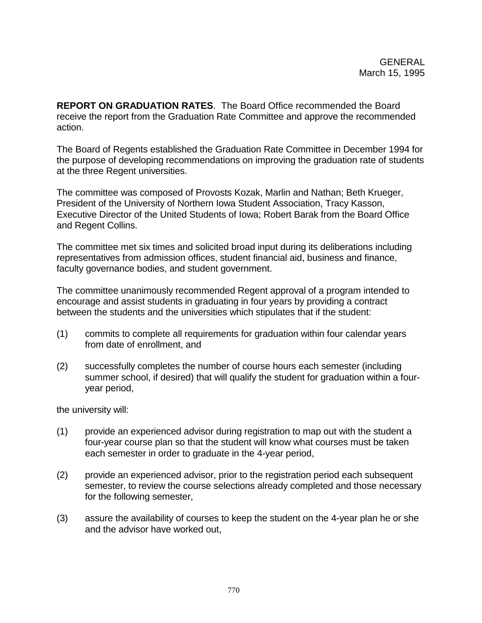**REPORT ON GRADUATION RATES**. The Board Office recommended the Board receive the report from the Graduation Rate Committee and approve the recommended action.

The Board of Regents established the Graduation Rate Committee in December 1994 for the purpose of developing recommendations on improving the graduation rate of students at the three Regent universities.

The committee was composed of Provosts Kozak, Marlin and Nathan; Beth Krueger, President of the University of Northern Iowa Student Association, Tracy Kasson, Executive Director of the United Students of Iowa; Robert Barak from the Board Office and Regent Collins.

The committee met six times and solicited broad input during its deliberations including representatives from admission offices, student financial aid, business and finance, faculty governance bodies, and student government.

The committee unanimously recommended Regent approval of a program intended to encourage and assist students in graduating in four years by providing a contract between the students and the universities which stipulates that if the student:

- (1) commits to complete all requirements for graduation within four calendar years from date of enrollment, and
- (2) successfully completes the number of course hours each semester (including summer school, if desired) that will qualify the student for graduation within a fouryear period,

the university will:

- (1) provide an experienced advisor during registration to map out with the student a four-year course plan so that the student will know what courses must be taken each semester in order to graduate in the 4-year period,
- (2) provide an experienced advisor, prior to the registration period each subsequent semester, to review the course selections already completed and those necessary for the following semester,
- (3) assure the availability of courses to keep the student on the 4-year plan he or she and the advisor have worked out,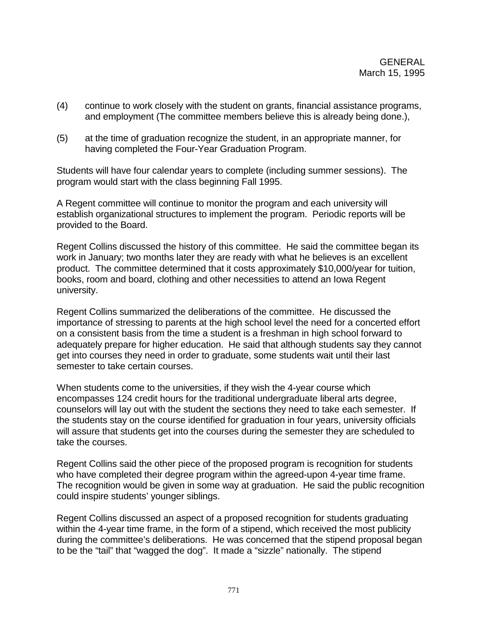- (4) continue to work closely with the student on grants, financial assistance programs, and employment (The committee members believe this is already being done.),
- (5) at the time of graduation recognize the student, in an appropriate manner, for having completed the Four-Year Graduation Program.

Students will have four calendar years to complete (including summer sessions). The program would start with the class beginning Fall 1995.

A Regent committee will continue to monitor the program and each university will establish organizational structures to implement the program. Periodic reports will be provided to the Board.

Regent Collins discussed the history of this committee. He said the committee began its work in January; two months later they are ready with what he believes is an excellent product. The committee determined that it costs approximately \$10,000/year for tuition, books, room and board, clothing and other necessities to attend an Iowa Regent university.

Regent Collins summarized the deliberations of the committee. He discussed the importance of stressing to parents at the high school level the need for a concerted effort on a consistent basis from the time a student is a freshman in high school forward to adequately prepare for higher education. He said that although students say they cannot get into courses they need in order to graduate, some students wait until their last semester to take certain courses.

When students come to the universities, if they wish the 4-year course which encompasses 124 credit hours for the traditional undergraduate liberal arts degree, counselors will lay out with the student the sections they need to take each semester. If the students stay on the course identified for graduation in four years, university officials will assure that students get into the courses during the semester they are scheduled to take the courses.

Regent Collins said the other piece of the proposed program is recognition for students who have completed their degree program within the agreed-upon 4-year time frame. The recognition would be given in some way at graduation. He said the public recognition could inspire students' younger siblings.

Regent Collins discussed an aspect of a proposed recognition for students graduating within the 4-year time frame, in the form of a stipend, which received the most publicity during the committee's deliberations. He was concerned that the stipend proposal began to be the "tail" that "wagged the dog". It made a "sizzle" nationally. The stipend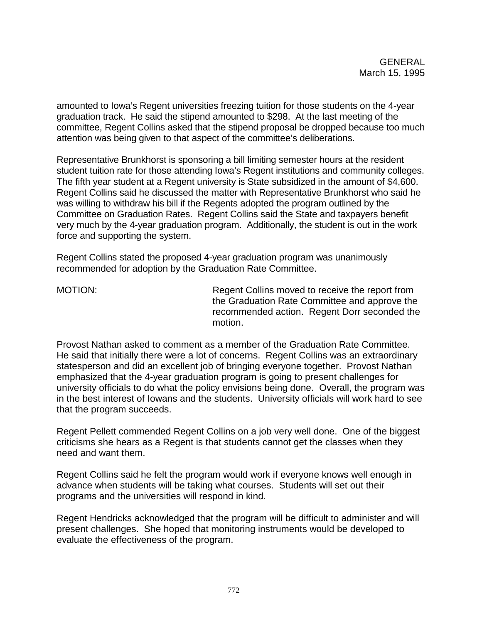amounted to Iowa's Regent universities freezing tuition for those students on the 4-year graduation track. He said the stipend amounted to \$298. At the last meeting of the committee, Regent Collins asked that the stipend proposal be dropped because too much attention was being given to that aspect of the committee's deliberations.

Representative Brunkhorst is sponsoring a bill limiting semester hours at the resident student tuition rate for those attending Iowa's Regent institutions and community colleges. The fifth year student at a Regent university is State subsidized in the amount of \$4,600. Regent Collins said he discussed the matter with Representative Brunkhorst who said he was willing to withdraw his bill if the Regents adopted the program outlined by the Committee on Graduation Rates. Regent Collins said the State and taxpayers benefit very much by the 4-year graduation program. Additionally, the student is out in the work force and supporting the system.

Regent Collins stated the proposed 4-year graduation program was unanimously recommended for adoption by the Graduation Rate Committee.

MOTION: MOTION: Regent Collins moved to receive the report from the Graduation Rate Committee and approve the recommended action. Regent Dorr seconded the motion.

Provost Nathan asked to comment as a member of the Graduation Rate Committee. He said that initially there were a lot of concerns. Regent Collins was an extraordinary statesperson and did an excellent job of bringing everyone together. Provost Nathan emphasized that the 4-year graduation program is going to present challenges for university officials to do what the policy envisions being done. Overall, the program was in the best interest of Iowans and the students. University officials will work hard to see that the program succeeds.

Regent Pellett commended Regent Collins on a job very well done. One of the biggest criticisms she hears as a Regent is that students cannot get the classes when they need and want them.

Regent Collins said he felt the program would work if everyone knows well enough in advance when students will be taking what courses. Students will set out their programs and the universities will respond in kind.

Regent Hendricks acknowledged that the program will be difficult to administer and will present challenges. She hoped that monitoring instruments would be developed to evaluate the effectiveness of the program.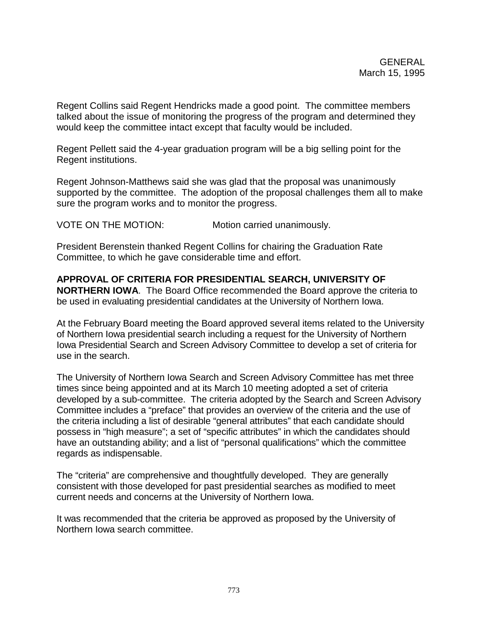Regent Collins said Regent Hendricks made a good point. The committee members talked about the issue of monitoring the progress of the program and determined they would keep the committee intact except that faculty would be included.

Regent Pellett said the 4-year graduation program will be a big selling point for the Regent institutions.

Regent Johnson-Matthews said she was glad that the proposal was unanimously supported by the committee. The adoption of the proposal challenges them all to make sure the program works and to monitor the progress.

VOTE ON THE MOTION: Motion carried unanimously.

President Berenstein thanked Regent Collins for chairing the Graduation Rate Committee, to which he gave considerable time and effort.

**APPROVAL OF CRITERIA FOR PRESIDENTIAL SEARCH, UNIVERSITY OF NORTHERN IOWA**. The Board Office recommended the Board approve the criteria to be used in evaluating presidential candidates at the University of Northern Iowa.

At the February Board meeting the Board approved several items related to the University of Northern Iowa presidential search including a request for the University of Northern Iowa Presidential Search and Screen Advisory Committee to develop a set of criteria for use in the search.

The University of Northern Iowa Search and Screen Advisory Committee has met three times since being appointed and at its March 10 meeting adopted a set of criteria developed by a sub-committee. The criteria adopted by the Search and Screen Advisory Committee includes a "preface" that provides an overview of the criteria and the use of the criteria including a list of desirable "general attributes" that each candidate should possess in "high measure"; a set of "specific attributes" in which the candidates should have an outstanding ability; and a list of "personal qualifications" which the committee regards as indispensable.

The "criteria" are comprehensive and thoughtfully developed. They are generally consistent with those developed for past presidential searches as modified to meet current needs and concerns at the University of Northern Iowa.

It was recommended that the criteria be approved as proposed by the University of Northern Iowa search committee.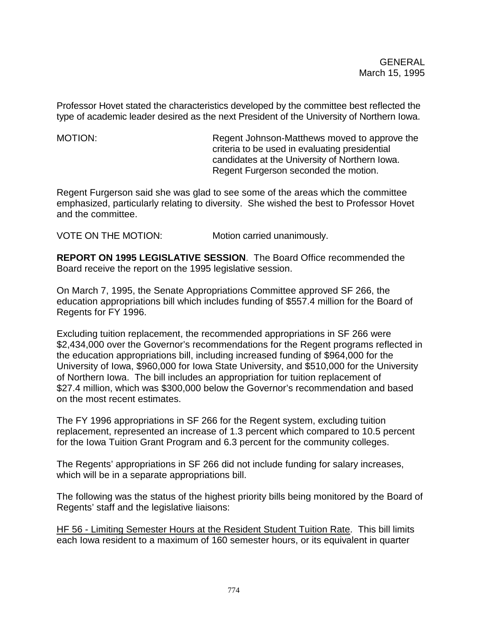Professor Hovet stated the characteristics developed by the committee best reflected the type of academic leader desired as the next President of the University of Northern Iowa.

MOTION: Regent Johnson-Matthews moved to approve the criteria to be used in evaluating presidential candidates at the University of Northern Iowa. Regent Furgerson seconded the motion.

Regent Furgerson said she was glad to see some of the areas which the committee emphasized, particularly relating to diversity. She wished the best to Professor Hovet and the committee.

VOTE ON THE MOTION: Motion carried unanimously.

**REPORT ON 1995 LEGISLATIVE SESSION**. The Board Office recommended the Board receive the report on the 1995 legislative session.

On March 7, 1995, the Senate Appropriations Committee approved SF 266, the education appropriations bill which includes funding of \$557.4 million for the Board of Regents for FY 1996.

Excluding tuition replacement, the recommended appropriations in SF 266 were \$2,434,000 over the Governor's recommendations for the Regent programs reflected in the education appropriations bill, including increased funding of \$964,000 for the University of Iowa, \$960,000 for Iowa State University, and \$510,000 for the University of Northern Iowa. The bill includes an appropriation for tuition replacement of \$27.4 million, which was \$300,000 below the Governor's recommendation and based on the most recent estimates.

The FY 1996 appropriations in SF 266 for the Regent system, excluding tuition replacement, represented an increase of 1.3 percent which compared to 10.5 percent for the Iowa Tuition Grant Program and 6.3 percent for the community colleges.

The Regents' appropriations in SF 266 did not include funding for salary increases, which will be in a separate appropriations bill.

The following was the status of the highest priority bills being monitored by the Board of Regents' staff and the legislative liaisons:

HF 56 - Limiting Semester Hours at the Resident Student Tuition Rate. This bill limits each Iowa resident to a maximum of 160 semester hours, or its equivalent in quarter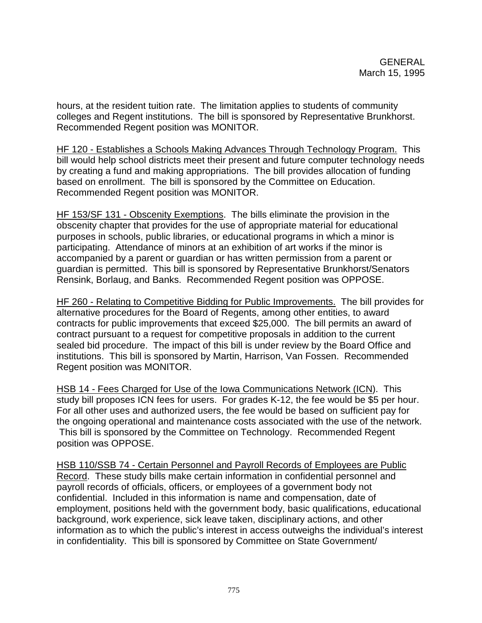hours, at the resident tuition rate. The limitation applies to students of community colleges and Regent institutions. The bill is sponsored by Representative Brunkhorst. Recommended Regent position was MONITOR.

HF 120 - Establishes a Schools Making Advances Through Technology Program.This bill would help school districts meet their present and future computer technology needs by creating a fund and making appropriations. The bill provides allocation of funding based on enrollment. The bill is sponsored by the Committee on Education. Recommended Regent position was MONITOR.

HF 153/SF 131 - Obscenity Exemptions. The bills eliminate the provision in the obscenity chapter that provides for the use of appropriate material for educational purposes in schools, public libraries, or educational programs in which a minor is participating. Attendance of minors at an exhibition of art works if the minor is accompanied by a parent or guardian or has written permission from a parent or guardian is permitted. This bill is sponsored by Representative Brunkhorst/Senators Rensink, Borlaug, and Banks. Recommended Regent position was OPPOSE.

HF 260 - Relating to Competitive Bidding for Public Improvements. The bill provides for alternative procedures for the Board of Regents, among other entities, to award contracts for public improvements that exceed \$25,000. The bill permits an award of contract pursuant to a request for competitive proposals in addition to the current sealed bid procedure. The impact of this bill is under review by the Board Office and institutions. This bill is sponsored by Martin, Harrison, Van Fossen. Recommended Regent position was MONITOR.

HSB 14 - Fees Charged for Use of the Iowa Communications Network (ICN). This study bill proposes ICN fees for users. For grades K-12, the fee would be \$5 per hour. For all other uses and authorized users, the fee would be based on sufficient pay for the ongoing operational and maintenance costs associated with the use of the network. This bill is sponsored by the Committee on Technology. Recommended Regent position was OPPOSE.

HSB 110/SSB 74 - Certain Personnel and Payroll Records of Employees are Public Record. These study bills make certain information in confidential personnel and payroll records of officials, officers, or employees of a government body not confidential. Included in this information is name and compensation, date of employment, positions held with the government body, basic qualifications, educational background, work experience, sick leave taken, disciplinary actions, and other information as to which the public's interest in access outweighs the individual's interest in confidentiality. This bill is sponsored by Committee on State Government/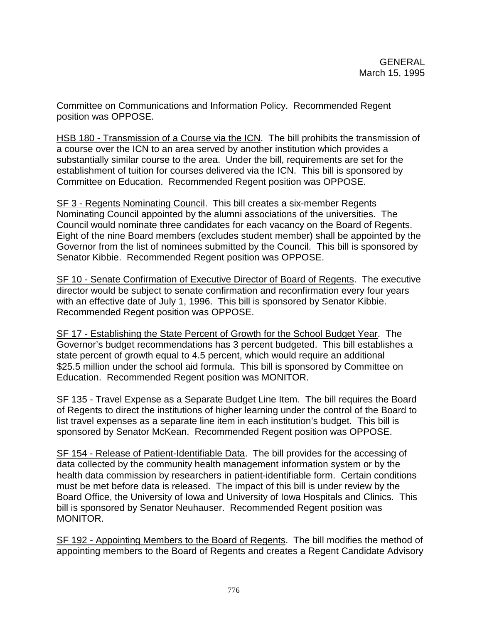Committee on Communications and Information Policy. Recommended Regent position was OPPOSE.

HSB 180 - Transmission of a Course via the ICN. The bill prohibits the transmission of a course over the ICN to an area served by another institution which provides a substantially similar course to the area. Under the bill, requirements are set for the establishment of tuition for courses delivered via the ICN. This bill is sponsored by Committee on Education. Recommended Regent position was OPPOSE.

SF 3 - Regents Nominating Council. This bill creates a six-member Regents Nominating Council appointed by the alumni associations of the universities. The Council would nominate three candidates for each vacancy on the Board of Regents. Eight of the nine Board members (excludes student member) shall be appointed by the Governor from the list of nominees submitted by the Council. This bill is sponsored by Senator Kibbie. Recommended Regent position was OPPOSE.

SF 10 - Senate Confirmation of Executive Director of Board of Regents. The executive director would be subject to senate confirmation and reconfirmation every four years with an effective date of July 1, 1996. This bill is sponsored by Senator Kibbie. Recommended Regent position was OPPOSE.

SF 17 - Establishing the State Percent of Growth for the School Budget Year. The Governor's budget recommendations has 3 percent budgeted. This bill establishes a state percent of growth equal to 4.5 percent, which would require an additional \$25.5 million under the school aid formula. This bill is sponsored by Committee on Education. Recommended Regent position was MONITOR.

SF 135 - Travel Expense as a Separate Budget Line Item. The bill requires the Board of Regents to direct the institutions of higher learning under the control of the Board to list travel expenses as a separate line item in each institution's budget. This bill is sponsored by Senator McKean. Recommended Regent position was OPPOSE.

SF 154 - Release of Patient-Identifiable Data. The bill provides for the accessing of data collected by the community health management information system or by the health data commission by researchers in patient-identifiable form. Certain conditions must be met before data is released. The impact of this bill is under review by the Board Office, the University of Iowa and University of Iowa Hospitals and Clinics. This bill is sponsored by Senator Neuhauser. Recommended Regent position was MONITOR.

SF 192 - Appointing Members to the Board of Regents. The bill modifies the method of appointing members to the Board of Regents and creates a Regent Candidate Advisory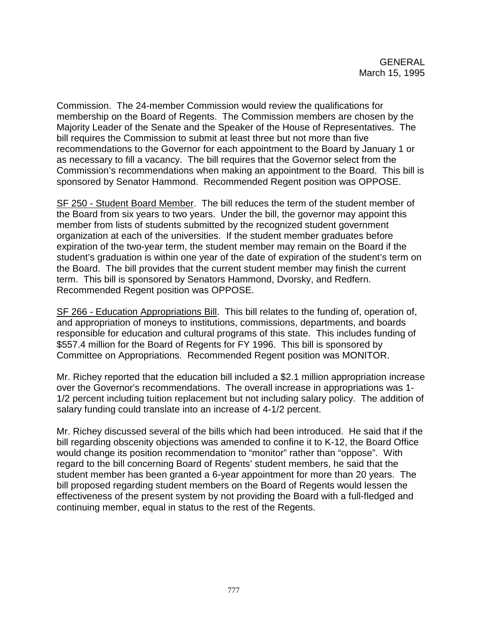Commission. The 24-member Commission would review the qualifications for membership on the Board of Regents. The Commission members are chosen by the Majority Leader of the Senate and the Speaker of the House of Representatives. The bill requires the Commission to submit at least three but not more than five recommendations to the Governor for each appointment to the Board by January 1 or as necessary to fill a vacancy. The bill requires that the Governor select from the Commission's recommendations when making an appointment to the Board. This bill is sponsored by Senator Hammond. Recommended Regent position was OPPOSE.

SF 250 - Student Board Member. The bill reduces the term of the student member of the Board from six years to two years. Under the bill, the governor may appoint this member from lists of students submitted by the recognized student government organization at each of the universities. If the student member graduates before expiration of the two-year term, the student member may remain on the Board if the student's graduation is within one year of the date of expiration of the student's term on the Board. The bill provides that the current student member may finish the current term. This bill is sponsored by Senators Hammond, Dvorsky, and Redfern. Recommended Regent position was OPPOSE.

SF 266 - Education Appropriations Bill. This bill relates to the funding of, operation of, and appropriation of moneys to institutions, commissions, departments, and boards responsible for education and cultural programs of this state. This includes funding of \$557.4 million for the Board of Regents for FY 1996. This bill is sponsored by Committee on Appropriations. Recommended Regent position was MONITOR.

Mr. Richey reported that the education bill included a \$2.1 million appropriation increase over the Governor's recommendations. The overall increase in appropriations was 1- 1/2 percent including tuition replacement but not including salary policy. The addition of salary funding could translate into an increase of 4-1/2 percent.

Mr. Richey discussed several of the bills which had been introduced. He said that if the bill regarding obscenity objections was amended to confine it to K-12, the Board Office would change its position recommendation to "monitor" rather than "oppose". With regard to the bill concerning Board of Regents' student members, he said that the student member has been granted a 6-year appointment for more than 20 years. The bill proposed regarding student members on the Board of Regents would lessen the effectiveness of the present system by not providing the Board with a full-fledged and continuing member, equal in status to the rest of the Regents.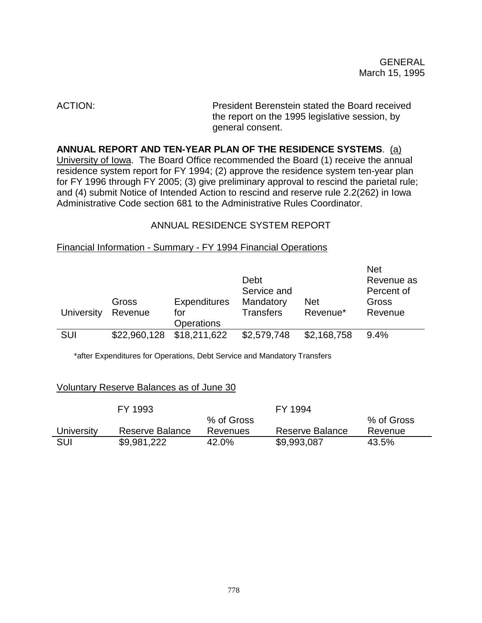ACTION: President Berenstein stated the Board received the report on the 1995 legislative session, by general consent.

**ANNUAL REPORT AND TEN-YEAR PLAN OF THE RESIDENCE SYSTEMS**. (a) University of Iowa. The Board Office recommended the Board (1) receive the annual residence system report for FY 1994; (2) approve the residence system ten-year plan for FY 1996 through FY 2005; (3) give preliminary approval to rescind the parietal rule; and (4) submit Notice of Intended Action to rescind and reserve rule 2.2(262) in Iowa Administrative Code section 681 to the Administrative Rules Coordinator.

# ANNUAL RESIDENCE SYSTEM REPORT

## Financial Information - Summary - FY 1994 Financial Operations

| Gross<br>Revenue | <b>Expenditures</b><br>for | Debt<br>Service and<br>Mandatory<br><b>Transfers</b> | <b>Net</b><br>Revenue* | <b>Net</b><br>Revenue as<br>Percent of<br>Gross<br>Revenue |
|------------------|----------------------------|------------------------------------------------------|------------------------|------------------------------------------------------------|
|                  |                            | \$2,579,748                                          | \$2,168,758            | 9.4%                                                       |
|                  |                            | <b>Operations</b><br>\$22,960,128 \$18,211,622       |                        |                                                            |

\*after Expenditures for Operations, Debt Service and Mandatory Transfers

## Voluntary Reserve Balances as of June 30

|            | FY 1993         |            | FY 1994         |            |
|------------|-----------------|------------|-----------------|------------|
|            |                 | % of Gross |                 | % of Gross |
| University | Reserve Balance | Revenues   | Reserve Balance | Revenue    |
| SUI        | \$9,981,222     | 42.0%      | \$9,993,087     | 43.5%      |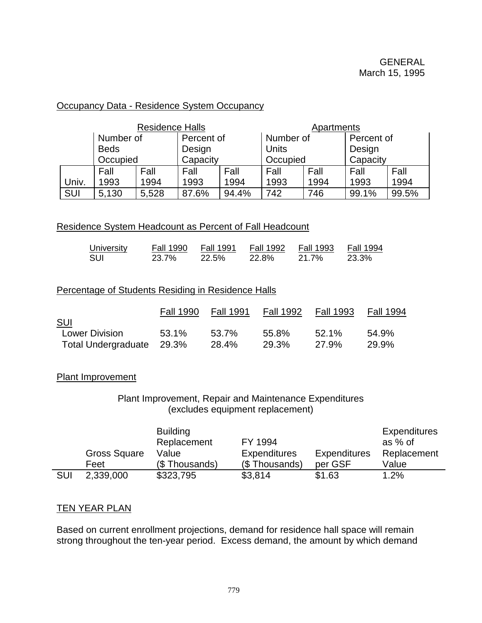# **Occupancy Data - Residence System Occupancy**

| <b>Residence Halls</b> |             |       |            | Apartments |           |      |            |       |
|------------------------|-------------|-------|------------|------------|-----------|------|------------|-------|
|                        | Number of   |       | Percent of |            | Number of |      | Percent of |       |
|                        | <b>Beds</b> |       | Design     |            | Units     |      | Design     |       |
|                        | Occupied    |       | Capacity   |            | Occupied  |      | Capacity   |       |
|                        | Fall        | Fall  | Fall       | Fall       | Fall      | Fall | Fall       | Fall  |
| Univ.                  | 1993        | 1994  | 1993       | 1994       | 1993      | 1994 | 1993       | 1994  |
| SUI                    | 5,130       | 5,528 | 87.6%      | 94.4%      | 742       | 746  | 99.1%      | 99.5% |

#### Residence System Headcount as Percent of Fall Headcount

| University | Fall 1990 | <b>Fall 1991</b> | Fall 1992 | Fall 1993 | Fall 1994 |
|------------|-----------|------------------|-----------|-----------|-----------|
| - SUI      | 23.7%     | 22.5%            | 22.8%     | 21.7%     | 23.3%     |

#### Percentage of Students Residing in Residence Halls

|                           | Fall 1990 | <b>Fall 1991</b> | <b>Fall 1992</b> | <b>Fall 1993</b> | <b>Fall 1994</b> |
|---------------------------|-----------|------------------|------------------|------------------|------------------|
| <u>SUI</u>                |           |                  |                  |                  |                  |
| <b>Lower Division</b>     | 53.1%     | 53.7%            | 55.8%            | $52.1\%$         | 54.9%            |
| Total Undergraduate 29.3% |           | 28.4%            | 29.3%            | 27.9%            | 29.9%            |

#### Plant Improvement

## Plant Improvement, Repair and Maintenance Expenditures (excludes equipment replacement)

|     |                     | <b>Building</b> |                     |                     | <b>Expenditures</b> |
|-----|---------------------|-----------------|---------------------|---------------------|---------------------|
|     |                     | Replacement     | FY 1994             |                     | as % of             |
|     | <b>Gross Square</b> | Value           | <b>Expenditures</b> | <b>Expenditures</b> | Replacement         |
|     | Feet                | (\$Thousands)   | (\$Thousands)       | per GSF             | Value               |
| SUI | 2,339,000           | \$323,795       | \$3,814             | \$1.63              | 1.2%                |

## TEN YEAR PLAN

Based on current enrollment projections, demand for residence hall space will remain strong throughout the ten-year period. Excess demand, the amount by which demand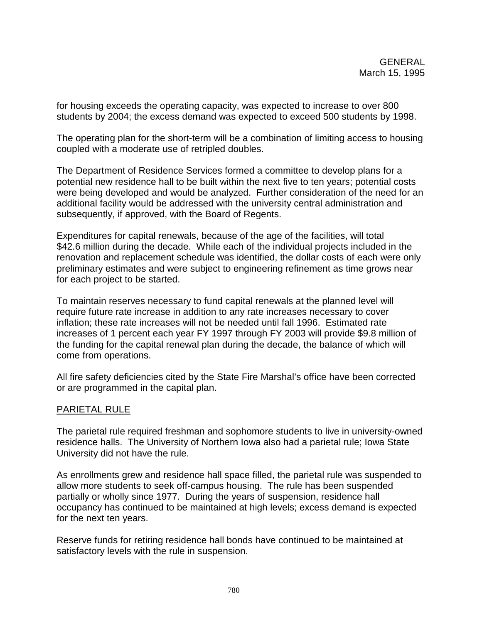for housing exceeds the operating capacity, was expected to increase to over 800 students by 2004; the excess demand was expected to exceed 500 students by 1998.

The operating plan for the short-term will be a combination of limiting access to housing coupled with a moderate use of retripled doubles.

The Department of Residence Services formed a committee to develop plans for a potential new residence hall to be built within the next five to ten years; potential costs were being developed and would be analyzed. Further consideration of the need for an additional facility would be addressed with the university central administration and subsequently, if approved, with the Board of Regents.

Expenditures for capital renewals, because of the age of the facilities, will total \$42.6 million during the decade. While each of the individual projects included in the renovation and replacement schedule was identified, the dollar costs of each were only preliminary estimates and were subject to engineering refinement as time grows near for each project to be started.

To maintain reserves necessary to fund capital renewals at the planned level will require future rate increase in addition to any rate increases necessary to cover inflation; these rate increases will not be needed until fall 1996. Estimated rate increases of 1 percent each year FY 1997 through FY 2003 will provide \$9.8 million of the funding for the capital renewal plan during the decade, the balance of which will come from operations.

All fire safety deficiencies cited by the State Fire Marshal's office have been corrected or are programmed in the capital plan.

## PARIETAL RULE

The parietal rule required freshman and sophomore students to live in university-owned residence halls. The University of Northern Iowa also had a parietal rule; Iowa State University did not have the rule.

As enrollments grew and residence hall space filled, the parietal rule was suspended to allow more students to seek off-campus housing. The rule has been suspended partially or wholly since 1977. During the years of suspension, residence hall occupancy has continued to be maintained at high levels; excess demand is expected for the next ten years.

Reserve funds for retiring residence hall bonds have continued to be maintained at satisfactory levels with the rule in suspension.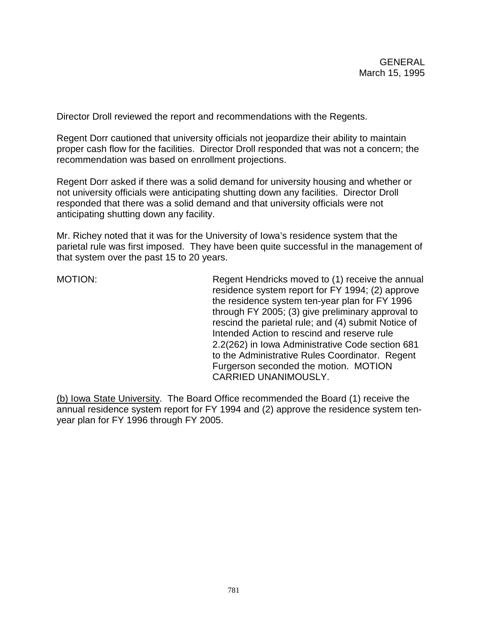Director Droll reviewed the report and recommendations with the Regents.

Regent Dorr cautioned that university officials not jeopardize their ability to maintain proper cash flow for the facilities. Director Droll responded that was not a concern; the recommendation was based on enrollment projections.

Regent Dorr asked if there was a solid demand for university housing and whether or not university officials were anticipating shutting down any facilities. Director Droll responded that there was a solid demand and that university officials were not anticipating shutting down any facility.

Mr. Richey noted that it was for the University of Iowa's residence system that the parietal rule was first imposed. They have been quite successful in the management of that system over the past 15 to 20 years.

MOTION: Regent Hendricks moved to (1) receive the annual residence system report for FY 1994; (2) approve the residence system ten-year plan for FY 1996 through FY 2005; (3) give preliminary approval to rescind the parietal rule; and (4) submit Notice of Intended Action to rescind and reserve rule 2.2(262) in Iowa Administrative Code section 681 to the Administrative Rules Coordinator. Regent Furgerson seconded the motion. MOTION CARRIED UNANIMOUSLY.

(b) Iowa State University. The Board Office recommended the Board (1) receive the annual residence system report for FY 1994 and (2) approve the residence system tenyear plan for FY 1996 through FY 2005.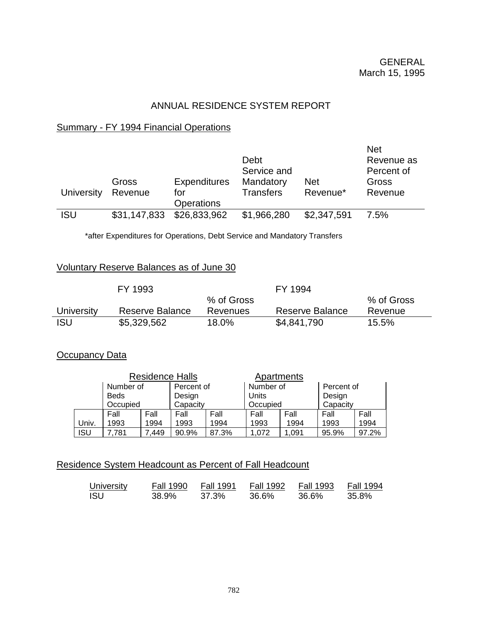# ANNUAL RESIDENCE SYSTEM REPORT

# Summary - FY 1994 Financial Operations

| University | Gross<br>Revenue | <b>Expenditures</b><br>for<br><b>Operations</b> | Debt<br>Service and<br>Mandatory<br><b>Transfers</b> | <b>Net</b><br>Revenue* | <b>Net</b><br>Revenue as<br>Percent of<br>Gross<br>Revenue |
|------------|------------------|-------------------------------------------------|------------------------------------------------------|------------------------|------------------------------------------------------------|
| <b>ISU</b> | \$31,147,833     | \$26,833,962                                    | \$1,966,280                                          | \$2,347,591            | $7.5\%$                                                    |

\*after Expenditures for Operations, Debt Service and Mandatory Transfers

#### Voluntary Reserve Balances as of June 30

|            | FY 1993         | FY 1994    |                 |            |
|------------|-----------------|------------|-----------------|------------|
|            |                 | % of Gross |                 | % of Gross |
|            |                 |            |                 |            |
| University | Reserve Balance | Revenues   | Reserve Balance | Revenue    |

#### **Occupancy Data**

|            | <b>Residence Halls</b> |      |            |       | Apartments |       |            |       |
|------------|------------------------|------|------------|-------|------------|-------|------------|-------|
|            | Number of              |      | Percent of |       | Number of  |       | Percent of |       |
|            | <b>Beds</b>            |      | Design     |       | Units      |       | Design     |       |
|            | Occupied               |      | Capacity   |       | Occupied   |       | Capacity   |       |
|            | Fall                   | Fall | Fall       | Fall  | Fall       | Fall  | Fall       | Fall  |
| Univ.      | 1993                   | 1994 | 1993       | 1994  | 1993       | 1994  | 1993       | 1994  |
| <b>ISU</b> | 7,781                  | .449 | 90.9%      | 87.3% | 1,072      | 1,091 | 95.9%      | 97.2% |

# Residence System Headcount as Percent of Fall Headcount

| University | Fall 1990 | <b>Fall 1991</b> | <b>Fall 1992</b> | Fall 1993 | <b>Fall 1994</b> |
|------------|-----------|------------------|------------------|-----------|------------------|
| ISU        | 38.9%     | 37.3%            | 36.6%            | 36.6%     | 35.8%            |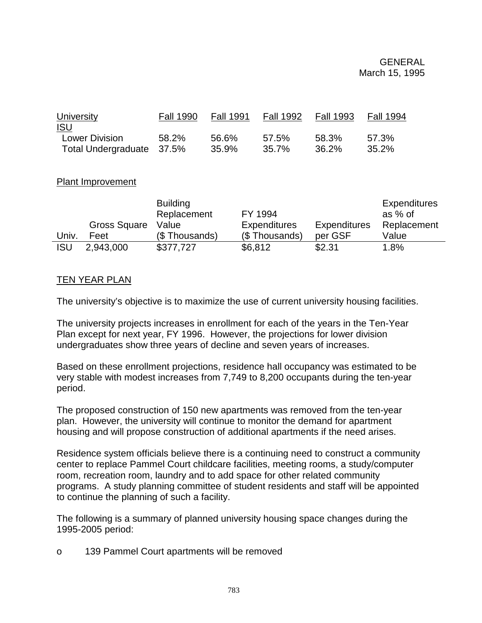| <b>University</b>         | <b>Fall 1990</b> | <b>Fall 1991</b> | <b>Fall 1992</b> | <b>Fall 1993</b> | <b>Fall 1994</b> |
|---------------------------|------------------|------------------|------------------|------------------|------------------|
| <u>ISU</u>                |                  |                  |                  |                  |                  |
| <b>Lower Division</b>     | 58.2%            | 56.6%            | 57.5%            | 58.3%            | 57.3%            |
| Total Undergraduate 37.5% |                  | 35.9%            | 35.7%            | 36.2%            | 35.2%            |

## Plant Improvement

|            |                     | <b>Building</b> |                     |                     | <b>Expenditures</b> |
|------------|---------------------|-----------------|---------------------|---------------------|---------------------|
|            |                     | Replacement     | FY 1994             |                     | as % of             |
|            | <b>Gross Square</b> | Value           | <b>Expenditures</b> | <b>Expenditures</b> | Replacement         |
| Univ.      | Feet                | (\$Thousands)   | (\$Thousands)       | per GSF             | Value               |
| <b>ISU</b> | 2,943,000           | \$377,727       | \$6,812             | \$2.31              | 1.8%                |

# TEN YEAR PLAN

The university's objective is to maximize the use of current university housing facilities.

The university projects increases in enrollment for each of the years in the Ten-Year Plan except for next year, FY 1996. However, the projections for lower division undergraduates show three years of decline and seven years of increases.

Based on these enrollment projections, residence hall occupancy was estimated to be very stable with modest increases from 7,749 to 8,200 occupants during the ten-year period.

The proposed construction of 150 new apartments was removed from the ten-year plan. However, the university will continue to monitor the demand for apartment housing and will propose construction of additional apartments if the need arises.

Residence system officials believe there is a continuing need to construct a community center to replace Pammel Court childcare facilities, meeting rooms, a study/computer room, recreation room, laundry and to add space for other related community programs. A study planning committee of student residents and staff will be appointed to continue the planning of such a facility.

The following is a summary of planned university housing space changes during the 1995-2005 period:

o 139 Pammel Court apartments will be removed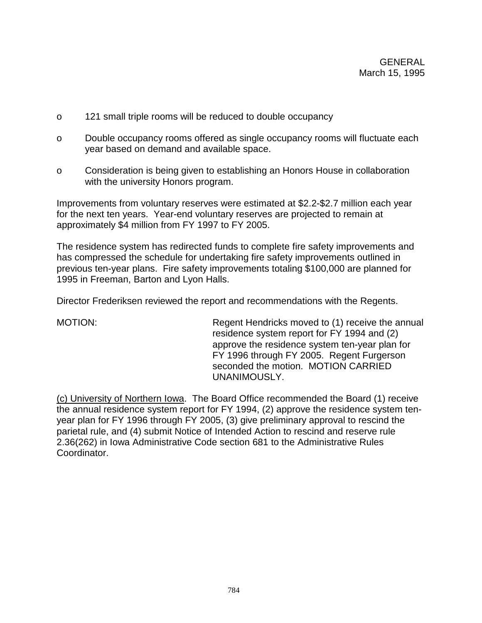- o 121 small triple rooms will be reduced to double occupancy
- o Double occupancy rooms offered as single occupancy rooms will fluctuate each year based on demand and available space.
- o Consideration is being given to establishing an Honors House in collaboration with the university Honors program.

Improvements from voluntary reserves were estimated at \$2.2-\$2.7 million each year for the next ten years. Year-end voluntary reserves are projected to remain at approximately \$4 million from FY 1997 to FY 2005.

The residence system has redirected funds to complete fire safety improvements and has compressed the schedule for undertaking fire safety improvements outlined in previous ten-year plans. Fire safety improvements totaling \$100,000 are planned for 1995 in Freeman, Barton and Lyon Halls.

Director Frederiksen reviewed the report and recommendations with the Regents.

MOTION: Regent Hendricks moved to (1) receive the annual residence system report for FY 1994 and (2) approve the residence system ten-year plan for FY 1996 through FY 2005. Regent Furgerson seconded the motion. MOTION CARRIED UNANIMOUSLY.

(c) University of Northern Iowa. The Board Office recommended the Board (1) receive the annual residence system report for FY 1994, (2) approve the residence system tenyear plan for FY 1996 through FY 2005, (3) give preliminary approval to rescind the parietal rule, and (4) submit Notice of Intended Action to rescind and reserve rule 2.36(262) in Iowa Administrative Code section 681 to the Administrative Rules Coordinator.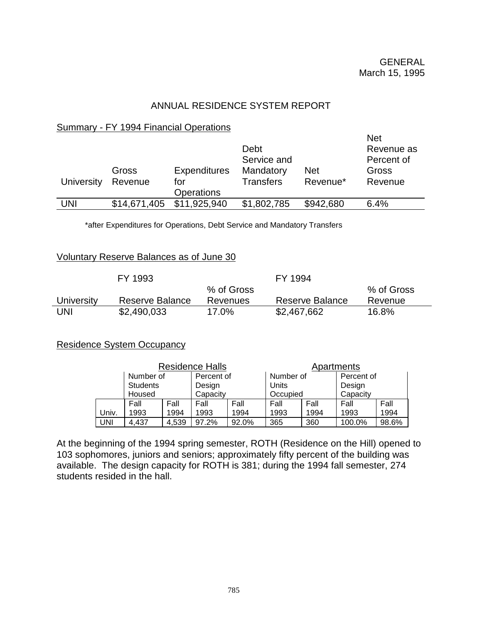# ANNUAL RESIDENCE SYSTEM REPORT

#### Summary - FY 1994 Financial Operations

| University | Gross<br>Revenue | <b>Expenditures</b><br>for<br><b>Operations</b> | Debt<br>Service and<br>Mandatory<br><b>Transfers</b> | <b>Net</b><br>Revenue* | <b>Net</b><br>Revenue as<br>Percent of<br>Gross<br>Revenue |
|------------|------------------|-------------------------------------------------|------------------------------------------------------|------------------------|------------------------------------------------------------|
| UNI        | \$14,671,405     | \$11,925,940                                    | \$1,802,785                                          | \$942,680              | 6.4%                                                       |
|            |                  |                                                 |                                                      |                        |                                                            |

\*after Expenditures for Operations, Debt Service and Mandatory Transfers

## Voluntary Reserve Balances as of June 30

|            | FY 1993         |            | FY 1994         |            |
|------------|-----------------|------------|-----------------|------------|
|            |                 | % of Gross |                 | % of Gross |
|            |                 |            |                 |            |
| University | Reserve Balance | Revenues   | Reserve Balance | Revenue    |

## Residence System Occupancy

|       | <b>Residence Halls</b> |       |            |       | Apartments |      |            |       |
|-------|------------------------|-------|------------|-------|------------|------|------------|-------|
|       | Number of              |       | Percent of |       | Number of  |      | Percent of |       |
|       | <b>Students</b>        |       | Design     |       | Units      |      | Design     |       |
|       | Housed                 |       | Capacity   |       | Occupied   |      | Capacity   |       |
|       | Fall                   | Fall  | Fall       | Fall  | Fall       | Fall | Fall       | Fall  |
| Univ. | 1993                   | 1994  | 1993       | 1994  | 1993       | 1994 | 1993       | 1994  |
| JNI   | 4.437                  | 4,539 | 97.2%      | 92.0% | 365        | 360  | 100.0%     | 98.6% |

At the beginning of the 1994 spring semester, ROTH (Residence on the Hill) opened to 103 sophomores, juniors and seniors; approximately fifty percent of the building was available. The design capacity for ROTH is 381; during the 1994 fall semester, 274 students resided in the hall.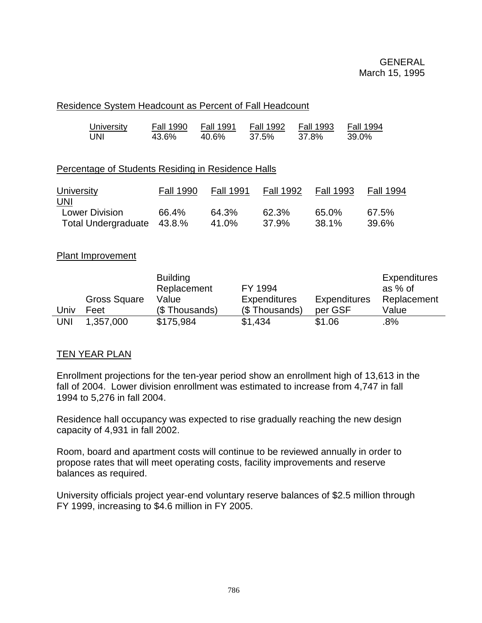# Residence System Headcount as Percent of Fall Headcount

| University | Fall 1990 | <b>Fall 1991</b> | Fall 1992 | Fall 1993 | Fall 1994 |
|------------|-----------|------------------|-----------|-----------|-----------|
| UNI        | 43.6%     | $40.6\%$         | 37.5%     | 37.8%     | 39.0%     |

#### Percentage of Students Residing in Residence Halls

| <b>University</b>          | <b>Fall 1990</b> | <b>Fall 1991</b> | <b>Fall 1992</b> | <b>Fall 1993</b> | <b>Fall 1994</b> |
|----------------------------|------------------|------------------|------------------|------------------|------------------|
| <u>UNI</u>                 |                  |                  |                  |                  |                  |
| <b>Lower Division</b>      | 66.4%            | 64.3%            | 62.3%            | 65.0%            | 67.5%            |
| Total Undergraduate 43.8.% |                  | 41.0%            | 37.9%            | 38.1%            | 39.6%            |

#### Plant Improvement

|            |                     | <b>Building</b> |                     |                     | Expenditures |
|------------|---------------------|-----------------|---------------------|---------------------|--------------|
|            |                     | Replacement     | FY 1994             |                     | as % of      |
|            | <b>Gross Square</b> | Value           | <b>Expenditures</b> | <b>Expenditures</b> | Replacement  |
| Univ       | Feet                | (\$Thousands)   | (\$Thousands)       | per GSF             | Value        |
| <b>UNI</b> | 1,357,000           | \$175,984       | \$1,434             | \$1.06              | .8%          |

## TEN YEAR PLAN

Enrollment projections for the ten-year period show an enrollment high of 13,613 in the fall of 2004. Lower division enrollment was estimated to increase from 4,747 in fall 1994 to 5,276 in fall 2004.

Residence hall occupancy was expected to rise gradually reaching the new design capacity of 4,931 in fall 2002.

Room, board and apartment costs will continue to be reviewed annually in order to propose rates that will meet operating costs, facility improvements and reserve balances as required.

University officials project year-end voluntary reserve balances of \$2.5 million through FY 1999, increasing to \$4.6 million in FY 2005.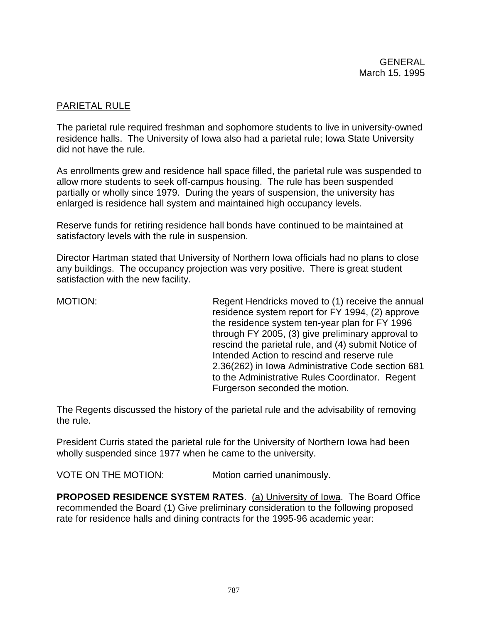# PARIETAL RULE

The parietal rule required freshman and sophomore students to live in university-owned residence halls. The University of Iowa also had a parietal rule; Iowa State University did not have the rule.

As enrollments grew and residence hall space filled, the parietal rule was suspended to allow more students to seek off-campus housing. The rule has been suspended partially or wholly since 1979. During the years of suspension, the university has enlarged is residence hall system and maintained high occupancy levels.

Reserve funds for retiring residence hall bonds have continued to be maintained at satisfactory levels with the rule in suspension.

Director Hartman stated that University of Northern Iowa officials had no plans to close any buildings. The occupancy projection was very positive. There is great student satisfaction with the new facility.

MOTION: Regent Hendricks moved to (1) receive the annual residence system report for FY 1994, (2) approve the residence system ten-year plan for FY 1996 through FY 2005, (3) give preliminary approval to rescind the parietal rule, and (4) submit Notice of Intended Action to rescind and reserve rule 2.36(262) in Iowa Administrative Code section 681 to the Administrative Rules Coordinator. Regent Furgerson seconded the motion.

The Regents discussed the history of the parietal rule and the advisability of removing the rule.

President Curris stated the parietal rule for the University of Northern Iowa had been wholly suspended since 1977 when he came to the university.

VOTE ON THE MOTION: Motion carried unanimously.

**PROPOSED RESIDENCE SYSTEM RATES.** (a) University of Iowa. The Board Office recommended the Board (1) Give preliminary consideration to the following proposed rate for residence halls and dining contracts for the 1995-96 academic year: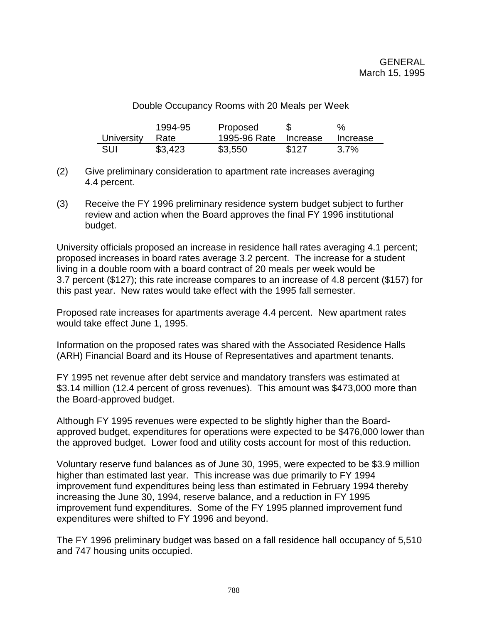Double Occupancy Rooms with 20 Meals per Week

|            | 1994-95 | Proposed     |          | $\%$     |
|------------|---------|--------------|----------|----------|
| University | Rate    | 1995-96 Rate | Increase | Increase |
| SUI        | \$3,423 | \$3,550      | \$127    | 3.7%     |

- (2) Give preliminary consideration to apartment rate increases averaging 4.4 percent.
- (3) Receive the FY 1996 preliminary residence system budget subject to further review and action when the Board approves the final FY 1996 institutional budget.

University officials proposed an increase in residence hall rates averaging 4.1 percent; proposed increases in board rates average 3.2 percent. The increase for a student living in a double room with a board contract of 20 meals per week would be 3.7 percent (\$127); this rate increase compares to an increase of 4.8 percent (\$157) for this past year. New rates would take effect with the 1995 fall semester.

Proposed rate increases for apartments average 4.4 percent. New apartment rates would take effect June 1, 1995.

Information on the proposed rates was shared with the Associated Residence Halls (ARH) Financial Board and its House of Representatives and apartment tenants.

FY 1995 net revenue after debt service and mandatory transfers was estimated at \$3.14 million (12.4 percent of gross revenues). This amount was \$473,000 more than the Board-approved budget.

Although FY 1995 revenues were expected to be slightly higher than the Boardapproved budget, expenditures for operations were expected to be \$476,000 lower than the approved budget. Lower food and utility costs account for most of this reduction.

Voluntary reserve fund balances as of June 30, 1995, were expected to be \$3.9 million higher than estimated last year. This increase was due primarily to FY 1994 improvement fund expenditures being less than estimated in February 1994 thereby increasing the June 30, 1994, reserve balance, and a reduction in FY 1995 improvement fund expenditures. Some of the FY 1995 planned improvement fund expenditures were shifted to FY 1996 and beyond.

The FY 1996 preliminary budget was based on a fall residence hall occupancy of 5,510 and 747 housing units occupied.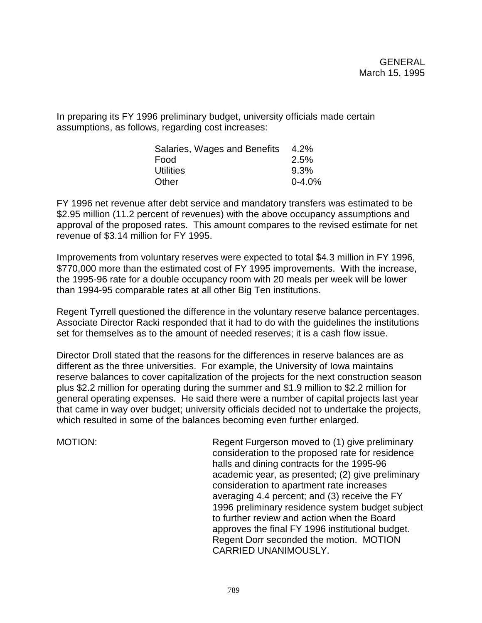In preparing its FY 1996 preliminary budget, university officials made certain assumptions, as follows, regarding cost increases:

| Salaries, Wages and Benefits | 4.2%       |
|------------------------------|------------|
| Food                         | 2.5%       |
| Utilities                    | 9.3%       |
| Other                        | $0 - 4.0%$ |

FY 1996 net revenue after debt service and mandatory transfers was estimated to be \$2.95 million (11.2 percent of revenues) with the above occupancy assumptions and approval of the proposed rates. This amount compares to the revised estimate for net revenue of \$3.14 million for FY 1995.

Improvements from voluntary reserves were expected to total \$4.3 million in FY 1996, \$770,000 more than the estimated cost of FY 1995 improvements. With the increase, the 1995-96 rate for a double occupancy room with 20 meals per week will be lower than 1994-95 comparable rates at all other Big Ten institutions.

Regent Tyrrell questioned the difference in the voluntary reserve balance percentages. Associate Director Racki responded that it had to do with the guidelines the institutions set for themselves as to the amount of needed reserves; it is a cash flow issue.

Director Droll stated that the reasons for the differences in reserve balances are as different as the three universities. For example, the University of Iowa maintains reserve balances to cover capitalization of the projects for the next construction season plus \$2.2 million for operating during the summer and \$1.9 million to \$2.2 million for general operating expenses. He said there were a number of capital projects last year that came in way over budget; university officials decided not to undertake the projects, which resulted in some of the balances becoming even further enlarged.

MOTION: Regent Furgerson moved to (1) give preliminary consideration to the proposed rate for residence halls and dining contracts for the 1995-96 academic year, as presented; (2) give preliminary consideration to apartment rate increases averaging 4.4 percent; and (3) receive the FY 1996 preliminary residence system budget subject to further review and action when the Board approves the final FY 1996 institutional budget. Regent Dorr seconded the motion. MOTION CARRIED UNANIMOUSLY.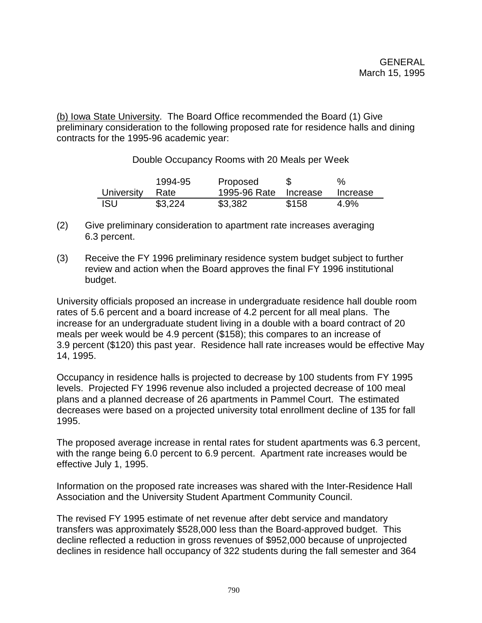(b) Iowa State University. The Board Office recommended the Board (1) Give preliminary consideration to the following proposed rate for residence halls and dining contracts for the 1995-96 academic year:

Double Occupancy Rooms with 20 Meals per Week

|            | 1994-95 | Proposed              |       | $\%$     |
|------------|---------|-----------------------|-------|----------|
| University | Rate    | 1995-96 Rate Increase |       | Increase |
| <b>ISU</b> | \$3,224 | \$3,382               | \$158 | $4.9\%$  |

- (2) Give preliminary consideration to apartment rate increases averaging 6.3 percent.
- (3) Receive the FY 1996 preliminary residence system budget subject to further review and action when the Board approves the final FY 1996 institutional budget.

University officials proposed an increase in undergraduate residence hall double room rates of 5.6 percent and a board increase of 4.2 percent for all meal plans. The increase for an undergraduate student living in a double with a board contract of 20 meals per week would be 4.9 percent (\$158); this compares to an increase of 3.9 percent (\$120) this past year. Residence hall rate increases would be effective May 14, 1995.

Occupancy in residence halls is projected to decrease by 100 students from FY 1995 levels. Projected FY 1996 revenue also included a projected decrease of 100 meal plans and a planned decrease of 26 apartments in Pammel Court. The estimated decreases were based on a projected university total enrollment decline of 135 for fall 1995.

The proposed average increase in rental rates for student apartments was 6.3 percent, with the range being 6.0 percent to 6.9 percent. Apartment rate increases would be effective July 1, 1995.

Information on the proposed rate increases was shared with the Inter-Residence Hall Association and the University Student Apartment Community Council.

The revised FY 1995 estimate of net revenue after debt service and mandatory transfers was approximately \$528,000 less than the Board-approved budget. This decline reflected a reduction in gross revenues of \$952,000 because of unprojected declines in residence hall occupancy of 322 students during the fall semester and 364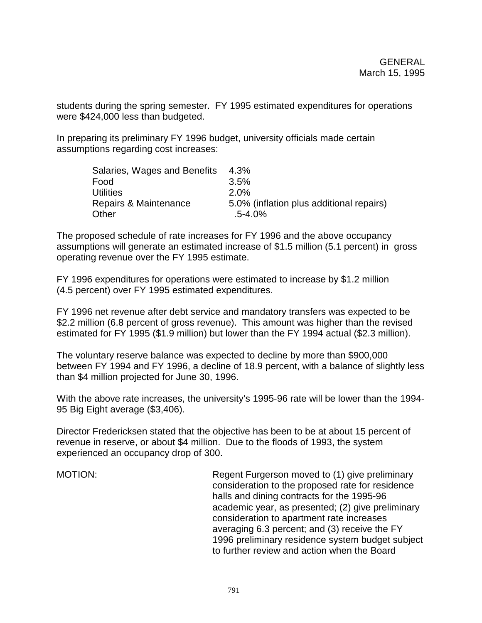students during the spring semester. FY 1995 estimated expenditures for operations were \$424,000 less than budgeted.

In preparing its preliminary FY 1996 budget, university officials made certain assumptions regarding cost increases:

| Salaries, Wages and Benefits | 4.3%                                     |
|------------------------------|------------------------------------------|
| Food                         | $3.5\%$                                  |
| <b>Utilities</b>             | $2.0\%$                                  |
| Repairs & Maintenance        | 5.0% (inflation plus additional repairs) |
| Other                        | $.5 - 4.0\%$                             |

The proposed schedule of rate increases for FY 1996 and the above occupancy assumptions will generate an estimated increase of \$1.5 million (5.1 percent) in gross operating revenue over the FY 1995 estimate.

FY 1996 expenditures for operations were estimated to increase by \$1.2 million (4.5 percent) over FY 1995 estimated expenditures.

FY 1996 net revenue after debt service and mandatory transfers was expected to be \$2.2 million (6.8 percent of gross revenue). This amount was higher than the revised estimated for FY 1995 (\$1.9 million) but lower than the FY 1994 actual (\$2.3 million).

The voluntary reserve balance was expected to decline by more than \$900,000 between FY 1994 and FY 1996, a decline of 18.9 percent, with a balance of slightly less than \$4 million projected for June 30, 1996.

With the above rate increases, the university's 1995-96 rate will be lower than the 1994- 95 Big Eight average (\$3,406).

Director Fredericksen stated that the objective has been to be at about 15 percent of revenue in reserve, or about \$4 million. Due to the floods of 1993, the system experienced an occupancy drop of 300.

MOTION: Regent Furgerson moved to (1) give preliminary consideration to the proposed rate for residence halls and dining contracts for the 1995-96 academic year, as presented; (2) give preliminary consideration to apartment rate increases averaging 6.3 percent; and (3) receive the FY 1996 preliminary residence system budget subject to further review and action when the Board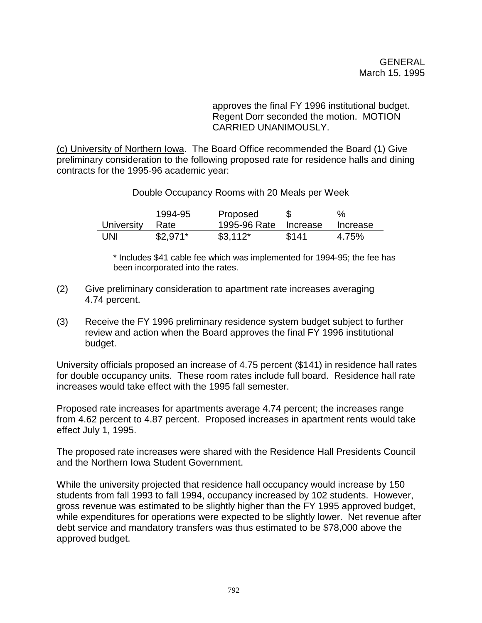approves the final FY 1996 institutional budget. Regent Dorr seconded the motion. MOTION CARRIED UNANIMOUSLY.

(c) University of Northern Iowa. The Board Office recommended the Board (1) Give preliminary consideration to the following proposed rate for residence halls and dining contracts for the 1995-96 academic year:

Double Occupancy Rooms with 20 Meals per Week

|            | 1994-95    | Proposed     |          | $\%$     |
|------------|------------|--------------|----------|----------|
| University | Rate       | 1995-96 Rate | Increase | Increase |
| UNI        | $$2,971$ * | $$3.112*$    | \$141    | 4.75%    |

\* Includes \$41 cable fee which was implemented for 1994-95; the fee has been incorporated into the rates.

- (2) Give preliminary consideration to apartment rate increases averaging 4.74 percent.
- (3) Receive the FY 1996 preliminary residence system budget subject to further review and action when the Board approves the final FY 1996 institutional budget.

University officials proposed an increase of 4.75 percent (\$141) in residence hall rates for double occupancy units. These room rates include full board. Residence hall rate increases would take effect with the 1995 fall semester.

Proposed rate increases for apartments average 4.74 percent; the increases range from 4.62 percent to 4.87 percent. Proposed increases in apartment rents would take effect July 1, 1995.

The proposed rate increases were shared with the Residence Hall Presidents Council and the Northern Iowa Student Government.

While the university projected that residence hall occupancy would increase by 150 students from fall 1993 to fall 1994, occupancy increased by 102 students. However, gross revenue was estimated to be slightly higher than the FY 1995 approved budget, while expenditures for operations were expected to be slightly lower. Net revenue after debt service and mandatory transfers was thus estimated to be \$78,000 above the approved budget.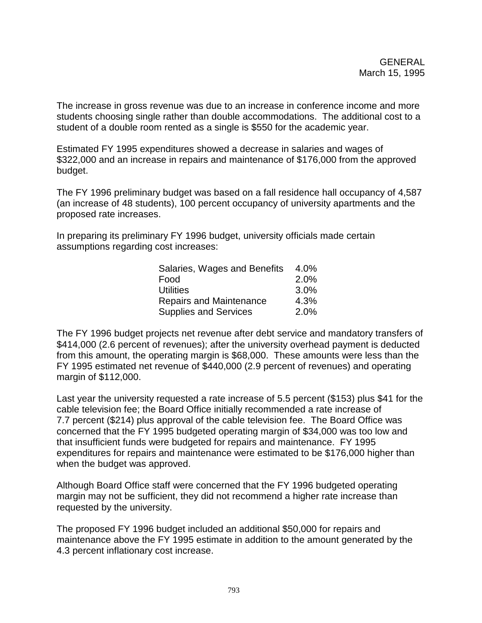The increase in gross revenue was due to an increase in conference income and more students choosing single rather than double accommodations. The additional cost to a student of a double room rented as a single is \$550 for the academic year.

Estimated FY 1995 expenditures showed a decrease in salaries and wages of \$322,000 and an increase in repairs and maintenance of \$176,000 from the approved budget.

The FY 1996 preliminary budget was based on a fall residence hall occupancy of 4,587 (an increase of 48 students), 100 percent occupancy of university apartments and the proposed rate increases.

In preparing its preliminary FY 1996 budget, university officials made certain assumptions regarding cost increases:

| Salaries, Wages and Benefits   | 4.0% |
|--------------------------------|------|
| Food                           | 2.0% |
| <b>Utilities</b>               | 3.0% |
| <b>Repairs and Maintenance</b> | 4.3% |
| <b>Supplies and Services</b>   | 2.0% |

The FY 1996 budget projects net revenue after debt service and mandatory transfers of \$414,000 (2.6 percent of revenues); after the university overhead payment is deducted from this amount, the operating margin is \$68,000. These amounts were less than the FY 1995 estimated net revenue of \$440,000 (2.9 percent of revenues) and operating margin of \$112,000.

Last year the university requested a rate increase of 5.5 percent (\$153) plus \$41 for the cable television fee; the Board Office initially recommended a rate increase of 7.7 percent (\$214) plus approval of the cable television fee. The Board Office was concerned that the FY 1995 budgeted operating margin of \$34,000 was too low and that insufficient funds were budgeted for repairs and maintenance. FY 1995 expenditures for repairs and maintenance were estimated to be \$176,000 higher than when the budget was approved.

Although Board Office staff were concerned that the FY 1996 budgeted operating margin may not be sufficient, they did not recommend a higher rate increase than requested by the university.

The proposed FY 1996 budget included an additional \$50,000 for repairs and maintenance above the FY 1995 estimate in addition to the amount generated by the 4.3 percent inflationary cost increase.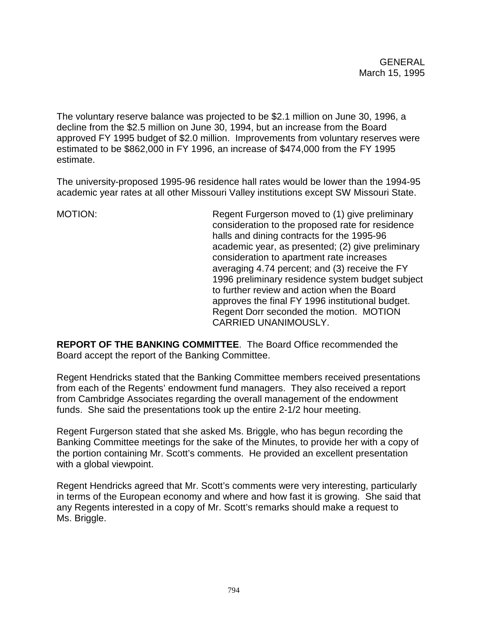The voluntary reserve balance was projected to be \$2.1 million on June 30, 1996, a decline from the \$2.5 million on June 30, 1994, but an increase from the Board approved FY 1995 budget of \$2.0 million. Improvements from voluntary reserves were estimated to be \$862,000 in FY 1996, an increase of \$474,000 from the FY 1995 estimate.

The university-proposed 1995-96 residence hall rates would be lower than the 1994-95 academic year rates at all other Missouri Valley institutions except SW Missouri State.

MOTION: Regent Furgerson moved to (1) give preliminary consideration to the proposed rate for residence halls and dining contracts for the 1995-96 academic year, as presented; (2) give preliminary consideration to apartment rate increases averaging 4.74 percent; and (3) receive the FY 1996 preliminary residence system budget subject to further review and action when the Board approves the final FY 1996 institutional budget. Regent Dorr seconded the motion. MOTION CARRIED UNANIMOUSLY.

**REPORT OF THE BANKING COMMITTEE**. The Board Office recommended the Board accept the report of the Banking Committee.

Regent Hendricks stated that the Banking Committee members received presentations from each of the Regents' endowment fund managers. They also received a report from Cambridge Associates regarding the overall management of the endowment funds. She said the presentations took up the entire 2-1/2 hour meeting.

Regent Furgerson stated that she asked Ms. Briggle, who has begun recording the Banking Committee meetings for the sake of the Minutes, to provide her with a copy of the portion containing Mr. Scott's comments. He provided an excellent presentation with a global viewpoint.

Regent Hendricks agreed that Mr. Scott's comments were very interesting, particularly in terms of the European economy and where and how fast it is growing. She said that any Regents interested in a copy of Mr. Scott's remarks should make a request to Ms. Briggle.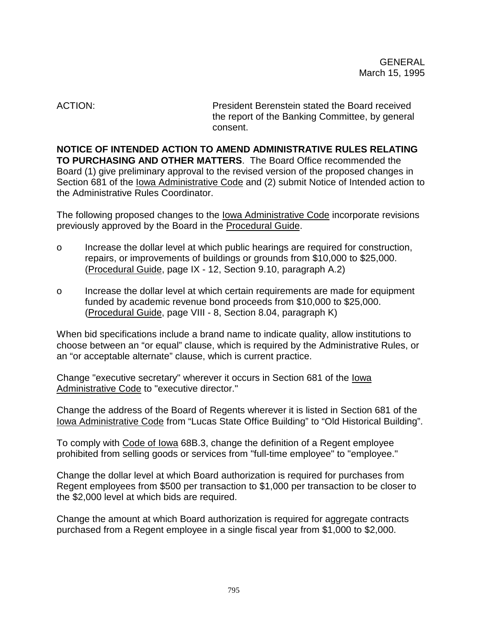ACTION: President Berenstein stated the Board received the report of the Banking Committee, by general consent.

**NOTICE OF INTENDED ACTION TO AMEND ADMINISTRATIVE RULES RELATING TO PURCHASING AND OTHER MATTERS**. The Board Office recommended the Board (1) give preliminary approval to the revised version of the proposed changes in Section 681 of the Iowa Administrative Code and (2) submit Notice of Intended action to the Administrative Rules Coordinator.

The following proposed changes to the Iowa Administrative Code incorporate revisions previously approved by the Board in the Procedural Guide.

- o Increase the dollar level at which public hearings are required for construction, repairs, or improvements of buildings or grounds from \$10,000 to \$25,000. (Procedural Guide, page IX - 12, Section 9.10, paragraph A.2)
- o Increase the dollar level at which certain requirements are made for equipment funded by academic revenue bond proceeds from \$10,000 to \$25,000. (Procedural Guide, page VIII - 8, Section 8.04, paragraph K)

When bid specifications include a brand name to indicate quality, allow institutions to choose between an "or equal" clause, which is required by the Administrative Rules, or an "or acceptable alternate" clause, which is current practice.

Change "executive secretary" wherever it occurs in Section 681 of the Iowa Administrative Code to "executive director."

Change the address of the Board of Regents wherever it is listed in Section 681 of the Iowa Administrative Code from "Lucas State Office Building" to "Old Historical Building".

To comply with Code of Iowa 68B.3, change the definition of a Regent employee prohibited from selling goods or services from "full-time employee" to "employee."

Change the dollar level at which Board authorization is required for purchases from Regent employees from \$500 per transaction to \$1,000 per transaction to be closer to the \$2,000 level at which bids are required.

Change the amount at which Board authorization is required for aggregate contracts purchased from a Regent employee in a single fiscal year from \$1,000 to \$2,000.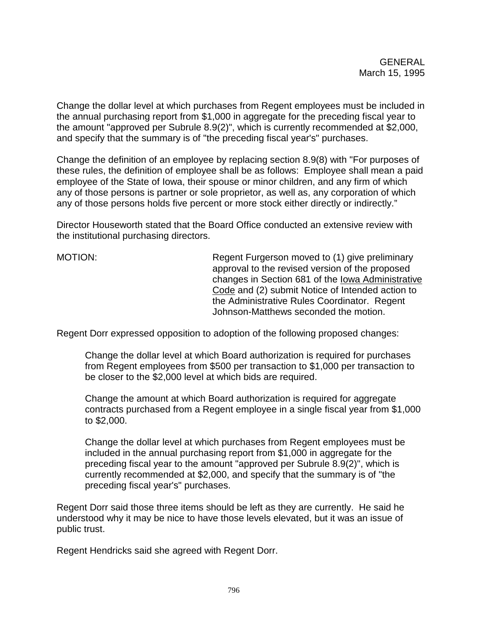Change the dollar level at which purchases from Regent employees must be included in the annual purchasing report from \$1,000 in aggregate for the preceding fiscal year to the amount "approved per Subrule 8.9(2)", which is currently recommended at \$2,000, and specify that the summary is of "the preceding fiscal year's" purchases.

Change the definition of an employee by replacing section 8.9(8) with "For purposes of these rules, the definition of employee shall be as follows: Employee shall mean a paid employee of the State of Iowa, their spouse or minor children, and any firm of which any of those persons is partner or sole proprietor, as well as, any corporation of which any of those persons holds five percent or more stock either directly or indirectly."

Director Houseworth stated that the Board Office conducted an extensive review with the institutional purchasing directors.

MOTION: Regent Furgerson moved to (1) give preliminary approval to the revised version of the proposed changes in Section 681 of the Iowa Administrative Code and (2) submit Notice of Intended action to the Administrative Rules Coordinator. Regent Johnson-Matthews seconded the motion.

Regent Dorr expressed opposition to adoption of the following proposed changes:

Change the dollar level at which Board authorization is required for purchases from Regent employees from \$500 per transaction to \$1,000 per transaction to be closer to the \$2,000 level at which bids are required.

Change the amount at which Board authorization is required for aggregate contracts purchased from a Regent employee in a single fiscal year from \$1,000 to \$2,000.

Change the dollar level at which purchases from Regent employees must be included in the annual purchasing report from \$1,000 in aggregate for the preceding fiscal year to the amount "approved per Subrule 8.9(2)", which is currently recommended at \$2,000, and specify that the summary is of "the preceding fiscal year's" purchases.

Regent Dorr said those three items should be left as they are currently. He said he understood why it may be nice to have those levels elevated, but it was an issue of public trust.

Regent Hendricks said she agreed with Regent Dorr.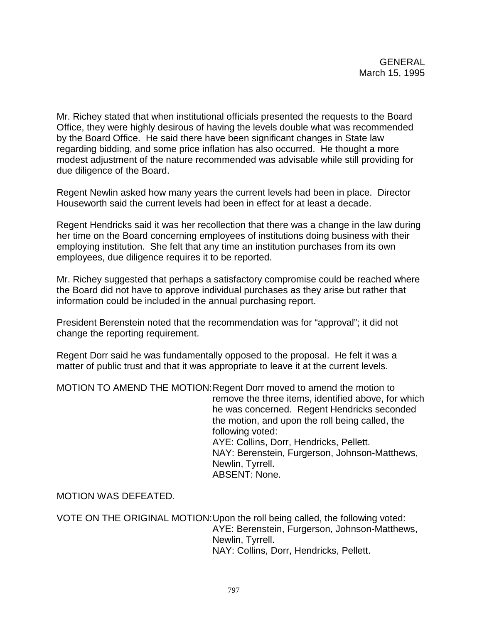Mr. Richey stated that when institutional officials presented the requests to the Board Office, they were highly desirous of having the levels double what was recommended by the Board Office. He said there have been significant changes in State law regarding bidding, and some price inflation has also occurred. He thought a more modest adjustment of the nature recommended was advisable while still providing for due diligence of the Board.

Regent Newlin asked how many years the current levels had been in place. Director Houseworth said the current levels had been in effect for at least a decade.

Regent Hendricks said it was her recollection that there was a change in the law during her time on the Board concerning employees of institutions doing business with their employing institution. She felt that any time an institution purchases from its own employees, due diligence requires it to be reported.

Mr. Richey suggested that perhaps a satisfactory compromise could be reached where the Board did not have to approve individual purchases as they arise but rather that information could be included in the annual purchasing report.

President Berenstein noted that the recommendation was for "approval"; it did not change the reporting requirement.

Regent Dorr said he was fundamentally opposed to the proposal. He felt it was a matter of public trust and that it was appropriate to leave it at the current levels.

MOTION TO AMEND THE MOTION:Regent Dorr moved to amend the motion to remove the three items, identified above, for which he was concerned. Regent Hendricks seconded the motion, and upon the roll being called, the following voted: AYE: Collins, Dorr, Hendricks, Pellett. NAY: Berenstein, Furgerson, Johnson-Matthews, Newlin, Tyrrell. ABSENT: None.

MOTION WAS DEFEATED.

VOTE ON THE ORIGINAL MOTION:Upon the roll being called, the following voted: AYE: Berenstein, Furgerson, Johnson-Matthews, Newlin, Tyrrell. NAY: Collins, Dorr, Hendricks, Pellett.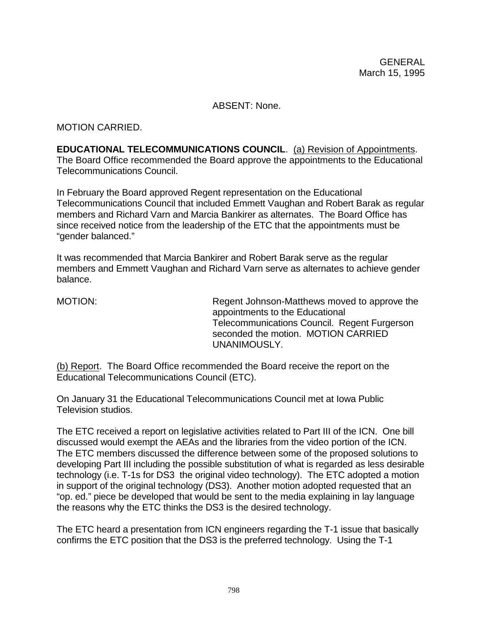ABSENT: None.

MOTION CARRIED.

**EDUCATIONAL TELECOMMUNICATIONS COUNCIL**. (a) Revision of Appointments. The Board Office recommended the Board approve the appointments to the Educational Telecommunications Council.

In February the Board approved Regent representation on the Educational Telecommunications Council that included Emmett Vaughan and Robert Barak as regular members and Richard Varn and Marcia Bankirer as alternates. The Board Office has since received notice from the leadership of the ETC that the appointments must be "gender balanced."

It was recommended that Marcia Bankirer and Robert Barak serve as the regular members and Emmett Vaughan and Richard Varn serve as alternates to achieve gender balance.

MOTION: Regent Johnson-Matthews moved to approve the appointments to the Educational Telecommunications Council. Regent Furgerson seconded the motion. MOTION CARRIED UNANIMOUSLY.

(b) Report. The Board Office recommended the Board receive the report on the Educational Telecommunications Council (ETC).

On January 31 the Educational Telecommunications Council met at Iowa Public Television studios.

The ETC received a report on legislative activities related to Part III of the ICN. One bill discussed would exempt the AEAs and the libraries from the video portion of the ICN. The ETC members discussed the difference between some of the proposed solutions to developing Part III including the possible substitution of what is regarded as less desirable technology (i.e. T-1s for DS3 the original video technology). The ETC adopted a motion in support of the original technology (DS3). Another motion adopted requested that an "op. ed." piece be developed that would be sent to the media explaining in lay language the reasons why the ETC thinks the DS3 is the desired technology.

The ETC heard a presentation from ICN engineers regarding the T-1 issue that basically confirms the ETC position that the DS3 is the preferred technology. Using the T-1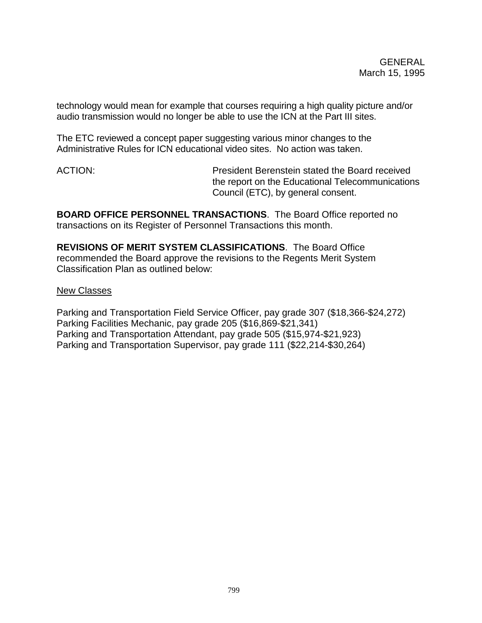technology would mean for example that courses requiring a high quality picture and/or audio transmission would no longer be able to use the ICN at the Part III sites.

The ETC reviewed a concept paper suggesting various minor changes to the Administrative Rules for ICN educational video sites. No action was taken.

ACTION: President Berenstein stated the Board received the report on the Educational Telecommunications Council (ETC), by general consent.

**BOARD OFFICE PERSONNEL TRANSACTIONS**. The Board Office reported no transactions on its Register of Personnel Transactions this month.

**REVISIONS OF MERIT SYSTEM CLASSIFICATIONS**. The Board Office recommended the Board approve the revisions to the Regents Merit System Classification Plan as outlined below:

#### New Classes

Parking and Transportation Field Service Officer, pay grade 307 (\$18,366-\$24,272) Parking Facilities Mechanic, pay grade 205 (\$16,869-\$21,341) Parking and Transportation Attendant, pay grade 505 (\$15,974-\$21,923) Parking and Transportation Supervisor, pay grade 111 (\$22,214-\$30,264)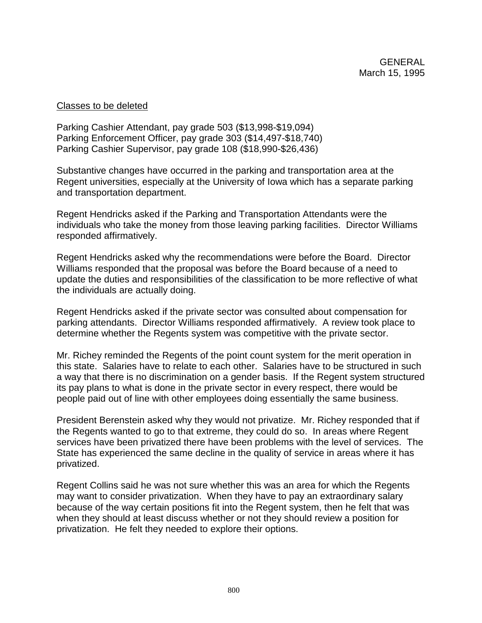#### Classes to be deleted

Parking Cashier Attendant, pay grade 503 (\$13,998-\$19,094) Parking Enforcement Officer, pay grade 303 (\$14,497-\$18,740) Parking Cashier Supervisor, pay grade 108 (\$18,990-\$26,436)

Substantive changes have occurred in the parking and transportation area at the Regent universities, especially at the University of Iowa which has a separate parking and transportation department.

Regent Hendricks asked if the Parking and Transportation Attendants were the individuals who take the money from those leaving parking facilities. Director Williams responded affirmatively.

Regent Hendricks asked why the recommendations were before the Board. Director Williams responded that the proposal was before the Board because of a need to update the duties and responsibilities of the classification to be more reflective of what the individuals are actually doing.

Regent Hendricks asked if the private sector was consulted about compensation for parking attendants. Director Williams responded affirmatively. A review took place to determine whether the Regents system was competitive with the private sector.

Mr. Richey reminded the Regents of the point count system for the merit operation in this state. Salaries have to relate to each other. Salaries have to be structured in such a way that there is no discrimination on a gender basis. If the Regent system structured its pay plans to what is done in the private sector in every respect, there would be people paid out of line with other employees doing essentially the same business.

President Berenstein asked why they would not privatize. Mr. Richey responded that if the Regents wanted to go to that extreme, they could do so. In areas where Regent services have been privatized there have been problems with the level of services. The State has experienced the same decline in the quality of service in areas where it has privatized.

Regent Collins said he was not sure whether this was an area for which the Regents may want to consider privatization. When they have to pay an extraordinary salary because of the way certain positions fit into the Regent system, then he felt that was when they should at least discuss whether or not they should review a position for privatization. He felt they needed to explore their options.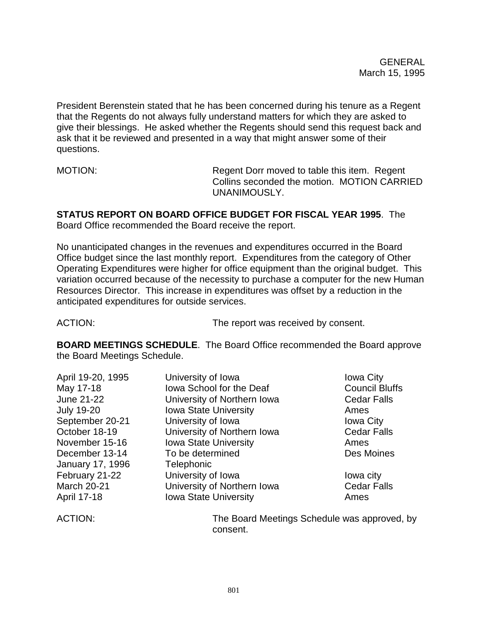President Berenstein stated that he has been concerned during his tenure as a Regent that the Regents do not always fully understand matters for which they are asked to give their blessings. He asked whether the Regents should send this request back and ask that it be reviewed and presented in a way that might answer some of their questions.

MOTION: Regent Dorr moved to table this item. Regent Collins seconded the motion. MOTION CARRIED UNANIMOUSLY.

**STATUS REPORT ON BOARD OFFICE BUDGET FOR FISCAL YEAR 1995**. The Board Office recommended the Board receive the report.

No unanticipated changes in the revenues and expenditures occurred in the Board Office budget since the last monthly report. Expenditures from the category of Other Operating Expenditures were higher for office equipment than the original budget. This variation occurred because of the necessity to purchase a computer for the new Human Resources Director. This increase in expenditures was offset by a reduction in the anticipated expenditures for outside services.

ACTION: The report was received by consent.

**BOARD MEETINGS SCHEDULE**. The Board Office recommended the Board approve the Board Meetings Schedule.

| April 19-20, 1995   | University of Iowa           | <b>Iowa City</b>                           |
|---------------------|------------------------------|--------------------------------------------|
| May 17-18           | lowa School for the Deaf     | <b>Council Bluffs</b>                      |
| June 21-22          | University of Northern Iowa  | <b>Cedar Falls</b>                         |
| <b>July 19-20</b>   | <b>Iowa State University</b> | Ames                                       |
| September 20-21     | University of Iowa           | <b>Iowa City</b>                           |
| October 18-19       | University of Northern Iowa  | <b>Cedar Falls</b>                         |
| November 15-16      | <b>Iowa State University</b> | Ames                                       |
| December 13-14      | To be determined             | Des Moines                                 |
| January 17, 1996    | Telephonic                   |                                            |
| February 21-22      | University of Iowa           | lowa city                                  |
| <b>March 20-21</b>  | University of Northern Iowa  | <b>Cedar Falls</b>                         |
| April 17-18         | <b>Iowa State University</b> | Ames                                       |
| ACTION <sub>1</sub> |                              | The Board Meetings Schedule was approved b |

ACTION: The Board Meetings Schedule was approved, by consent.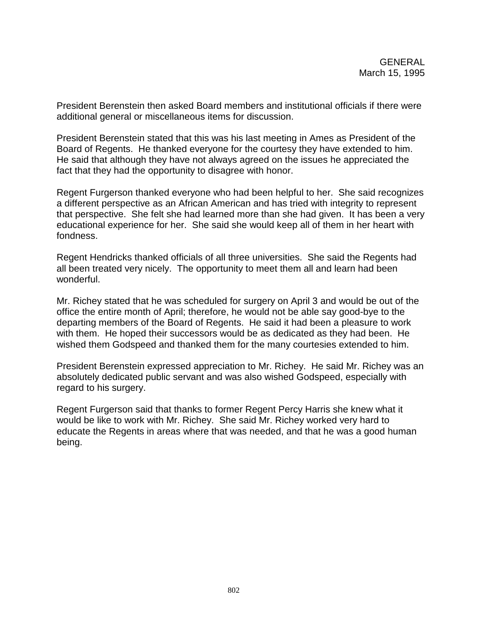President Berenstein then asked Board members and institutional officials if there were additional general or miscellaneous items for discussion.

President Berenstein stated that this was his last meeting in Ames as President of the Board of Regents. He thanked everyone for the courtesy they have extended to him. He said that although they have not always agreed on the issues he appreciated the fact that they had the opportunity to disagree with honor.

Regent Furgerson thanked everyone who had been helpful to her. She said recognizes a different perspective as an African American and has tried with integrity to represent that perspective. She felt she had learned more than she had given. It has been a very educational experience for her. She said she would keep all of them in her heart with fondness.

Regent Hendricks thanked officials of all three universities. She said the Regents had all been treated very nicely. The opportunity to meet them all and learn had been wonderful.

Mr. Richey stated that he was scheduled for surgery on April 3 and would be out of the office the entire month of April; therefore, he would not be able say good-bye to the departing members of the Board of Regents. He said it had been a pleasure to work with them. He hoped their successors would be as dedicated as they had been. He wished them Godspeed and thanked them for the many courtesies extended to him.

President Berenstein expressed appreciation to Mr. Richey. He said Mr. Richey was an absolutely dedicated public servant and was also wished Godspeed, especially with regard to his surgery.

Regent Furgerson said that thanks to former Regent Percy Harris she knew what it would be like to work with Mr. Richey. She said Mr. Richey worked very hard to educate the Regents in areas where that was needed, and that he was a good human being.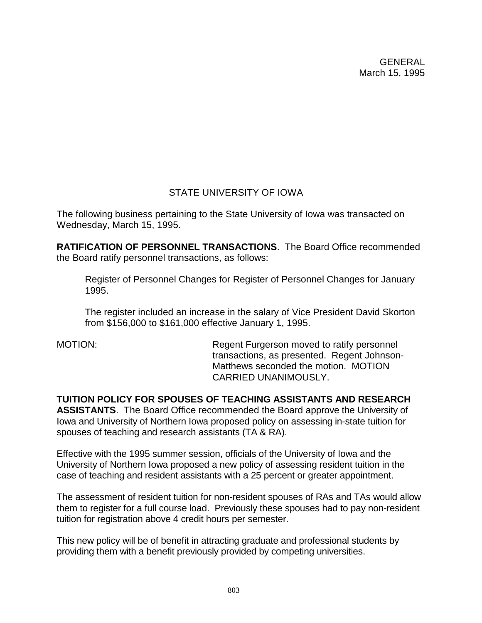GENERAL March 15, 1995

# STATE UNIVERSITY OF IOWA

The following business pertaining to the State University of Iowa was transacted on Wednesday, March 15, 1995.

**RATIFICATION OF PERSONNEL TRANSACTIONS**. The Board Office recommended the Board ratify personnel transactions, as follows:

Register of Personnel Changes for Register of Personnel Changes for January 1995.

The register included an increase in the salary of Vice President David Skorton from \$156,000 to \$161,000 effective January 1, 1995.

MOTION: Regent Furgerson moved to ratify personnel transactions, as presented. Regent Johnson-Matthews seconded the motion. MOTION CARRIED UNANIMOUSLY.

**TUITION POLICY FOR SPOUSES OF TEACHING ASSISTANTS AND RESEARCH ASSISTANTS**. The Board Office recommended the Board approve the University of Iowa and University of Northern Iowa proposed policy on assessing in-state tuition for spouses of teaching and research assistants (TA & RA).

Effective with the 1995 summer session, officials of the University of Iowa and the University of Northern Iowa proposed a new policy of assessing resident tuition in the case of teaching and resident assistants with a 25 percent or greater appointment.

The assessment of resident tuition for non-resident spouses of RAs and TAs would allow them to register for a full course load. Previously these spouses had to pay non-resident tuition for registration above 4 credit hours per semester.

This new policy will be of benefit in attracting graduate and professional students by providing them with a benefit previously provided by competing universities.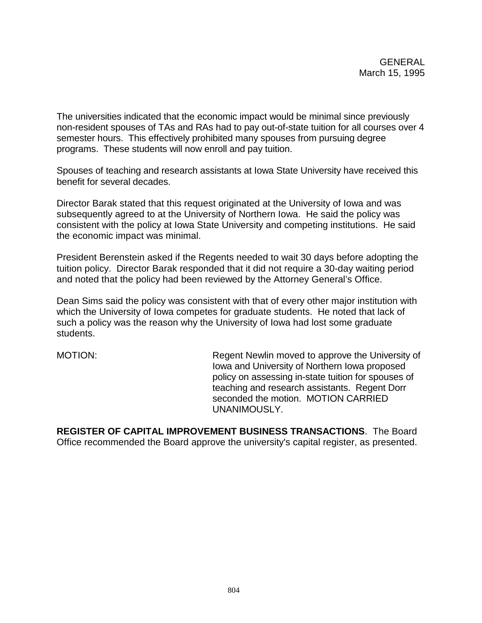The universities indicated that the economic impact would be minimal since previously non-resident spouses of TAs and RAs had to pay out-of-state tuition for all courses over 4 semester hours. This effectively prohibited many spouses from pursuing degree programs. These students will now enroll and pay tuition.

Spouses of teaching and research assistants at Iowa State University have received this benefit for several decades.

Director Barak stated that this request originated at the University of Iowa and was subsequently agreed to at the University of Northern Iowa. He said the policy was consistent with the policy at Iowa State University and competing institutions. He said the economic impact was minimal.

President Berenstein asked if the Regents needed to wait 30 days before adopting the tuition policy. Director Barak responded that it did not require a 30-day waiting period and noted that the policy had been reviewed by the Attorney General's Office.

Dean Sims said the policy was consistent with that of every other major institution with which the University of Iowa competes for graduate students. He noted that lack of such a policy was the reason why the University of Iowa had lost some graduate students.

MOTION: Regent Newlin moved to approve the University of Iowa and University of Northern Iowa proposed policy on assessing in-state tuition for spouses of teaching and research assistants. Regent Dorr seconded the motion. MOTION CARRIED UNANIMOUSLY.

**REGISTER OF CAPITAL IMPROVEMENT BUSINESS TRANSACTIONS**. The Board Office recommended the Board approve the university's capital register, as presented.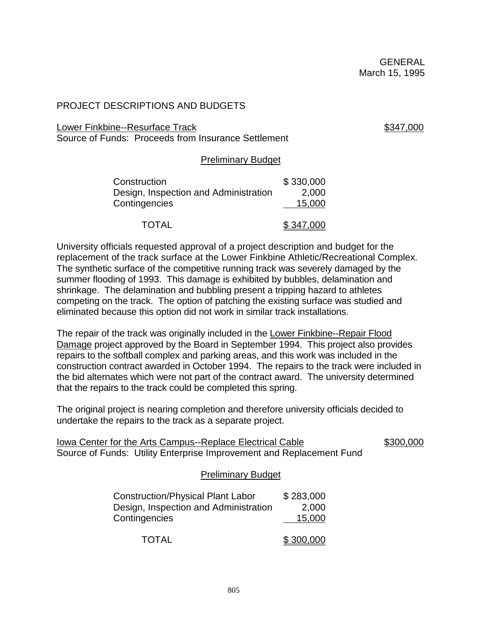# PROJECT DESCRIPTIONS AND BUDGETS

Lower Finkbine--Resurface Track \$347,000

Source of Funds: Proceeds from Insurance Settlement

## Preliminary Budget

| \$330,000 |
|-----------|
| 2,000     |
| 15,000    |
|           |

# TOTAL \$347,000

University officials requested approval of a project description and budget for the replacement of the track surface at the Lower Finkbine Athletic/Recreational Complex. The synthetic surface of the competitive running track was severely damaged by the summer flooding of 1993. This damage is exhibited by bubbles, delamination and shrinkage. The delamination and bubbling present a tripping hazard to athletes competing on the track. The option of patching the existing surface was studied and eliminated because this option did not work in similar track installations.

The repair of the track was originally included in the Lower Finkbine--Repair Flood Damage project approved by the Board in September 1994. This project also provides repairs to the softball complex and parking areas, and this work was included in the construction contract awarded in October 1994. The repairs to the track were included in the bid alternates which were not part of the contract award. The university determined that the repairs to the track could be completed this spring.

The original project is nearing completion and therefore university officials decided to undertake the repairs to the track as a separate project.

Iowa Center for the Arts Campus--Replace Electrical Cable \$300,000 Source of Funds: Utility Enterprise Improvement and Replacement Fund

## Preliminary Budget

| <b>Construction/Physical Plant Labor</b> | \$283,000 |
|------------------------------------------|-----------|
| Design, Inspection and Administration    | 2,000     |
| Contingencies                            | 15,000    |
| TOTAL                                    | \$300,000 |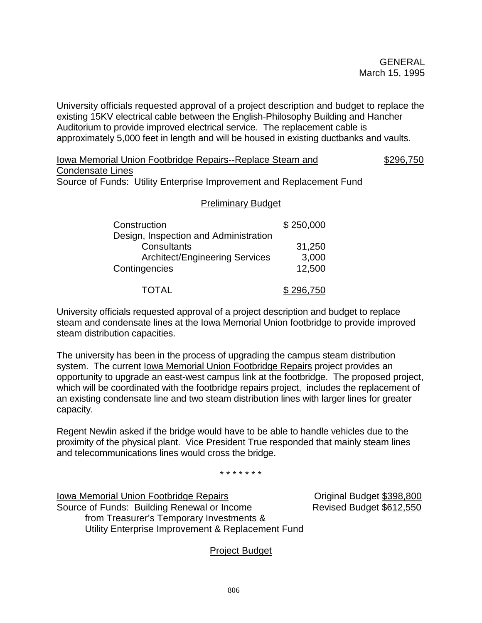University officials requested approval of a project description and budget to replace the existing 15KV electrical cable between the English-Philosophy Building and Hancher Auditorium to provide improved electrical service. The replacement cable is approximately 5,000 feet in length and will be housed in existing ductbanks and vaults.

Iowa Memorial Union Footbridge Repairs--Replace Steam and  $$296,750$ Condensate Lines Source of Funds: Utility Enterprise Improvement and Replacement Fund

#### Preliminary Budget

| Construction                          | \$250,000 |
|---------------------------------------|-----------|
| Design, Inspection and Administration |           |
| Consultants                           | 31,250    |
| <b>Architect/Engineering Services</b> | 3,000     |
| Contingencies                         | 12,500    |
| TOTAL                                 | \$296,750 |

University officials requested approval of a project description and budget to replace steam and condensate lines at the Iowa Memorial Union footbridge to provide improved steam distribution capacities.

The university has been in the process of upgrading the campus steam distribution system. The current lowa Memorial Union Footbridge Repairs project provides an opportunity to upgrade an east-west campus link at the footbridge. The proposed project, which will be coordinated with the footbridge repairs project, includes the replacement of an existing condensate line and two steam distribution lines with larger lines for greater capacity.

Regent Newlin asked if the bridge would have to be able to handle vehicles due to the proximity of the physical plant. Vice President True responded that mainly steam lines and telecommunications lines would cross the bridge.

\* \* \* \* \* \* \*

Iowa Memorial Union Footbridge Repairs **Community** Original Budget \$398,800 Source of Funds: Building Renewal or Income Revised Budget \$612,550 from Treasurer's Temporary Investments & Utility Enterprise Improvement & Replacement Fund

## Project Budget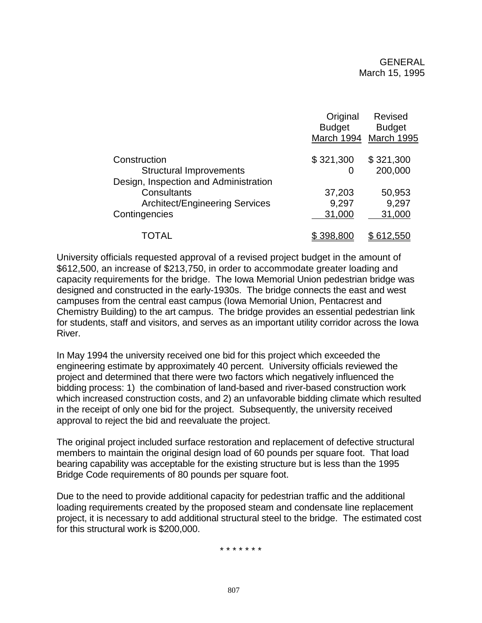|                                       | Original<br><b>Budget</b><br>March 1994 | Revised<br><b>Budget</b><br>March 1995 |
|---------------------------------------|-----------------------------------------|----------------------------------------|
| Construction                          | \$321,300                               | \$321,300                              |
| <b>Structural Improvements</b>        |                                         | 200,000                                |
| Design, Inspection and Administration |                                         |                                        |
| Consultants                           | 37,203                                  | 50,953                                 |
| <b>Architect/Engineering Services</b> | 9,297                                   | 9,297                                  |
| Contingencies                         | 31,000                                  | 31,000                                 |
| TOTAL                                 | <u>\$398,800</u>                        | <u>\$612,550</u>                       |

University officials requested approval of a revised project budget in the amount of \$612,500, an increase of \$213,750, in order to accommodate greater loading and capacity requirements for the bridge. The Iowa Memorial Union pedestrian bridge was designed and constructed in the early-1930s. The bridge connects the east and west campuses from the central east campus (Iowa Memorial Union, Pentacrest and Chemistry Building) to the art campus. The bridge provides an essential pedestrian link for students, staff and visitors, and serves as an important utility corridor across the Iowa River.

In May 1994 the university received one bid for this project which exceeded the engineering estimate by approximately 40 percent. University officials reviewed the project and determined that there were two factors which negatively influenced the bidding process: 1) the combination of land-based and river-based construction work which increased construction costs, and 2) an unfavorable bidding climate which resulted in the receipt of only one bid for the project. Subsequently, the university received approval to reject the bid and reevaluate the project.

The original project included surface restoration and replacement of defective structural members to maintain the original design load of 60 pounds per square foot. That load bearing capability was acceptable for the existing structure but is less than the 1995 Bridge Code requirements of 80 pounds per square foot.

Due to the need to provide additional capacity for pedestrian traffic and the additional loading requirements created by the proposed steam and condensate line replacement project, it is necessary to add additional structural steel to the bridge. The estimated cost for this structural work is \$200,000.

\* \* \* \* \* \* \*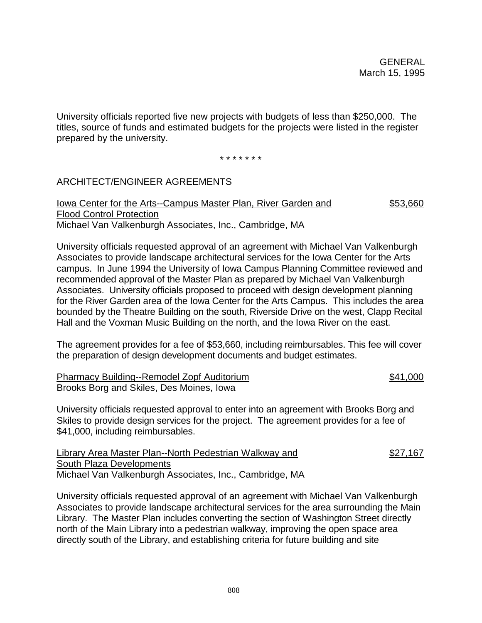University officials reported five new projects with budgets of less than \$250,000. The titles, source of funds and estimated budgets for the projects were listed in the register prepared by the university.

\* \* \* \* \* \* \*

# ARCHITECT/ENGINEER AGREEMENTS

Iowa Center for the Arts--Campus Master Plan, River Garden and \$53,660 Flood Control Protection Michael Van Valkenburgh Associates, Inc., Cambridge, MA

University officials requested approval of an agreement with Michael Van Valkenburgh Associates to provide landscape architectural services for the Iowa Center for the Arts campus. In June 1994 the University of Iowa Campus Planning Committee reviewed and recommended approval of the Master Plan as prepared by Michael Van Valkenburgh Associates. University officials proposed to proceed with design development planning for the River Garden area of the Iowa Center for the Arts Campus. This includes the area bounded by the Theatre Building on the south, Riverside Drive on the west, Clapp Recital Hall and the Voxman Music Building on the north, and the Iowa River on the east.

The agreement provides for a fee of \$53,660, including reimbursables. This fee will cover the preparation of design development documents and budget estimates.

Pharmacy Building--Remodel Zopf Auditorium  $$41,000$ Brooks Borg and Skiles, Des Moines, Iowa

University officials requested approval to enter into an agreement with Brooks Borg and Skiles to provide design services for the project. The agreement provides for a fee of \$41,000, including reimbursables.

| Library Area Master Plan--North Pedestrian Walkway and  | <u>\$27,167</u> |
|---------------------------------------------------------|-----------------|
| South Plaza Developments                                |                 |
| Michael Van Valkenburgh Associates, Inc., Cambridge, MA |                 |

University officials requested approval of an agreement with Michael Van Valkenburgh Associates to provide landscape architectural services for the area surrounding the Main Library. The Master Plan includes converting the section of Washington Street directly north of the Main Library into a pedestrian walkway, improving the open space area directly south of the Library, and establishing criteria for future building and site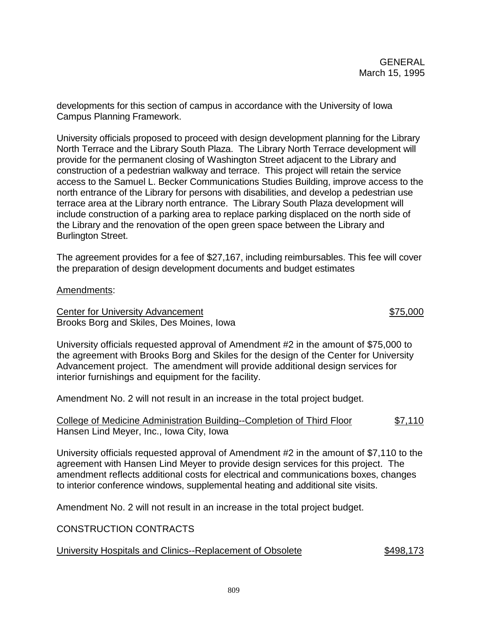developments for this section of campus in accordance with the University of Iowa Campus Planning Framework.

University officials proposed to proceed with design development planning for the Library North Terrace and the Library South Plaza. The Library North Terrace development will provide for the permanent closing of Washington Street adjacent to the Library and construction of a pedestrian walkway and terrace. This project will retain the service access to the Samuel L. Becker Communications Studies Building, improve access to the north entrance of the Library for persons with disabilities, and develop a pedestrian use terrace area at the Library north entrance. The Library South Plaza development will include construction of a parking area to replace parking displaced on the north side of the Library and the renovation of the open green space between the Library and Burlington Street.

The agreement provides for a fee of \$27,167, including reimbursables. This fee will cover the preparation of design development documents and budget estimates

Amendments:

Center for University Advancement **\$75,000 \$75,000** Brooks Borg and Skiles, Des Moines, Iowa

University officials requested approval of Amendment #2 in the amount of \$75,000 to the agreement with Brooks Borg and Skiles for the design of the Center for University Advancement project. The amendment will provide additional design services for interior furnishings and equipment for the facility.

Amendment No. 2 will not result in an increase in the total project budget.

College of Medicine Administration Building--Completion of Third Floor \$7,110 Hansen Lind Meyer, Inc., Iowa City, Iowa

University officials requested approval of Amendment #2 in the amount of \$7,110 to the agreement with Hansen Lind Meyer to provide design services for this project. The amendment reflects additional costs for electrical and communications boxes, changes to interior conference windows, supplemental heating and additional site visits.

Amendment No. 2 will not result in an increase in the total project budget.

## CONSTRUCTION CONTRACTS

| University Hospitals and Clinics--Replacement of Obsolete | \$498,173 |
|-----------------------------------------------------------|-----------|
|                                                           |           |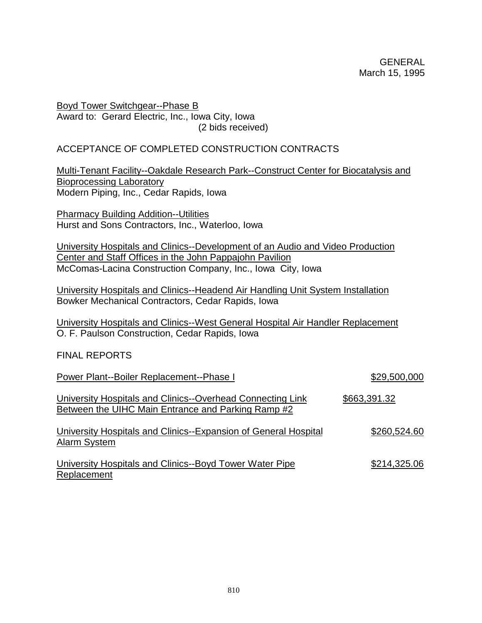Boyd Tower Switchgear--Phase B Award to: Gerard Electric, Inc., Iowa City, Iowa (2 bids received)

# ACCEPTANCE OF COMPLETED CONSTRUCTION CONTRACTS

### Multi-Tenant Facility--Oakdale Research Park--Construct Center for Biocatalysis and Bioprocessing Laboratory Modern Piping, Inc., Cedar Rapids, Iowa

Pharmacy Building Addition--Utilities Hurst and Sons Contractors, Inc., Waterloo, Iowa

University Hospitals and Clinics--Development of an Audio and Video Production Center and Staff Offices in the John Pappajohn Pavilion McComas-Lacina Construction Company, Inc., Iowa City, Iowa

University Hospitals and Clinics--Headend Air Handling Unit System Installation Bowker Mechanical Contractors, Cedar Rapids, Iowa

University Hospitals and Clinics--West General Hospital Air Handler Replacement O. F. Paulson Construction, Cedar Rapids, Iowa

# FINAL REPORTS

| Power Plant--Boiler Replacement--Phase I                                                                         | \$29,500,000 |
|------------------------------------------------------------------------------------------------------------------|--------------|
| University Hospitals and Clinics--Overhead Connecting Link<br>Between the UIHC Main Entrance and Parking Ramp #2 | \$663,391.32 |
| University Hospitals and Clinics--Expansion of General Hospital<br>Alarm System                                  | \$260,524.60 |
| University Hospitals and Clinics--Boyd Tower Water Pipe<br>Replacement                                           | \$214,325.06 |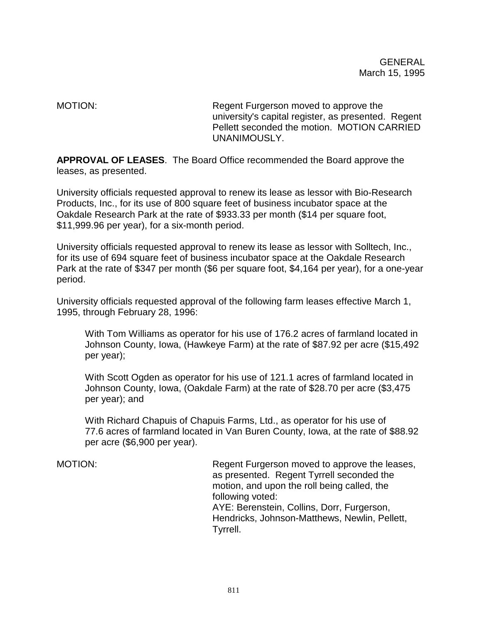MOTION: Regent Furgerson moved to approve the university's capital register, as presented. Regent Pellett seconded the motion. MOTION CARRIED UNANIMOUSLY.

**APPROVAL OF LEASES**. The Board Office recommended the Board approve the leases, as presented.

University officials requested approval to renew its lease as lessor with Bio-Research Products, Inc., for its use of 800 square feet of business incubator space at the Oakdale Research Park at the rate of \$933.33 per month (\$14 per square foot, \$11,999.96 per year), for a six-month period.

University officials requested approval to renew its lease as lessor with Solltech, Inc., for its use of 694 square feet of business incubator space at the Oakdale Research Park at the rate of \$347 per month (\$6 per square foot, \$4,164 per year), for a one-year period.

University officials requested approval of the following farm leases effective March 1, 1995, through February 28, 1996:

With Tom Williams as operator for his use of 176.2 acres of farmland located in Johnson County, Iowa, (Hawkeye Farm) at the rate of \$87.92 per acre (\$15,492 per year);

With Scott Ogden as operator for his use of 121.1 acres of farmland located in Johnson County, Iowa, (Oakdale Farm) at the rate of \$28.70 per acre (\$3,475 per year); and

With Richard Chapuis of Chapuis Farms, Ltd., as operator for his use of 77.6 acres of farmland located in Van Buren County, Iowa, at the rate of \$88.92 per acre (\$6,900 per year).

MOTION: Regent Furgerson moved to approve the leases, as presented. Regent Tyrrell seconded the motion, and upon the roll being called, the following voted: AYE: Berenstein, Collins, Dorr, Furgerson, Hendricks, Johnson-Matthews, Newlin, Pellett, Tyrrell.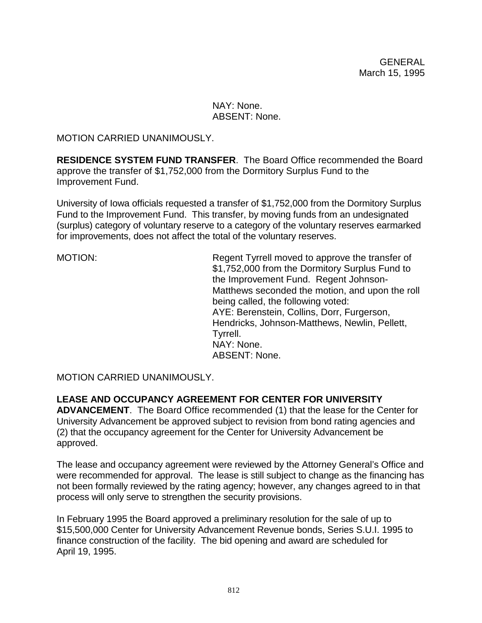## NAY: None. ABSENT: None.

MOTION CARRIED UNANIMOUSLY.

**RESIDENCE SYSTEM FUND TRANSFER**. The Board Office recommended the Board approve the transfer of \$1,752,000 from the Dormitory Surplus Fund to the Improvement Fund.

University of Iowa officials requested a transfer of \$1,752,000 from the Dormitory Surplus Fund to the Improvement Fund. This transfer, by moving funds from an undesignated (surplus) category of voluntary reserve to a category of the voluntary reserves earmarked for improvements, does not affect the total of the voluntary reserves.

MOTION: Regent Tyrrell moved to approve the transfer of \$1,752,000 from the Dormitory Surplus Fund to the Improvement Fund. Regent Johnson-Matthews seconded the motion, and upon the roll being called, the following voted: AYE: Berenstein, Collins, Dorr, Furgerson, Hendricks, Johnson-Matthews, Newlin, Pellett, Tyrrell. NAY: None. ABSENT: None.

MOTION CARRIED UNANIMOUSLY.

**LEASE AND OCCUPANCY AGREEMENT FOR CENTER FOR UNIVERSITY**

**ADVANCEMENT**. The Board Office recommended (1) that the lease for the Center for University Advancement be approved subject to revision from bond rating agencies and (2) that the occupancy agreement for the Center for University Advancement be approved.

The lease and occupancy agreement were reviewed by the Attorney General's Office and were recommended for approval. The lease is still subject to change as the financing has not been formally reviewed by the rating agency; however, any changes agreed to in that process will only serve to strengthen the security provisions.

In February 1995 the Board approved a preliminary resolution for the sale of up to \$15,500,000 Center for University Advancement Revenue bonds, Series S.U.I. 1995 to finance construction of the facility. The bid opening and award are scheduled for April 19, 1995.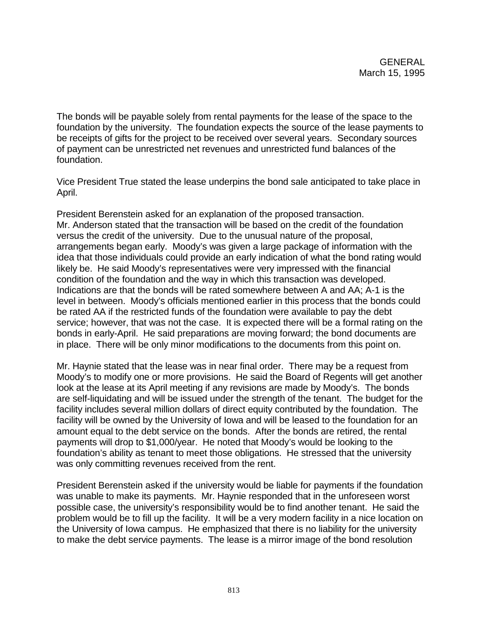The bonds will be payable solely from rental payments for the lease of the space to the foundation by the university. The foundation expects the source of the lease payments to be receipts of gifts for the project to be received over several years. Secondary sources of payment can be unrestricted net revenues and unrestricted fund balances of the foundation.

Vice President True stated the lease underpins the bond sale anticipated to take place in April.

President Berenstein asked for an explanation of the proposed transaction. Mr. Anderson stated that the transaction will be based on the credit of the foundation versus the credit of the university. Due to the unusual nature of the proposal, arrangements began early. Moody's was given a large package of information with the idea that those individuals could provide an early indication of what the bond rating would likely be. He said Moody's representatives were very impressed with the financial condition of the foundation and the way in which this transaction was developed. Indications are that the bonds will be rated somewhere between A and AA; A-1 is the level in between. Moody's officials mentioned earlier in this process that the bonds could be rated AA if the restricted funds of the foundation were available to pay the debt service; however, that was not the case. It is expected there will be a formal rating on the bonds in early-April. He said preparations are moving forward; the bond documents are in place. There will be only minor modifications to the documents from this point on.

Mr. Haynie stated that the lease was in near final order. There may be a request from Moody's to modify one or more provisions. He said the Board of Regents will get another look at the lease at its April meeting if any revisions are made by Moody's. The bonds are self-liquidating and will be issued under the strength of the tenant. The budget for the facility includes several million dollars of direct equity contributed by the foundation. The facility will be owned by the University of Iowa and will be leased to the foundation for an amount equal to the debt service on the bonds. After the bonds are retired, the rental payments will drop to \$1,000/year. He noted that Moody's would be looking to the foundation's ability as tenant to meet those obligations. He stressed that the university was only committing revenues received from the rent.

President Berenstein asked if the university would be liable for payments if the foundation was unable to make its payments. Mr. Haynie responded that in the unforeseen worst possible case, the university's responsibility would be to find another tenant. He said the problem would be to fill up the facility. It will be a very modern facility in a nice location on the University of Iowa campus. He emphasized that there is no liability for the university to make the debt service payments. The lease is a mirror image of the bond resolution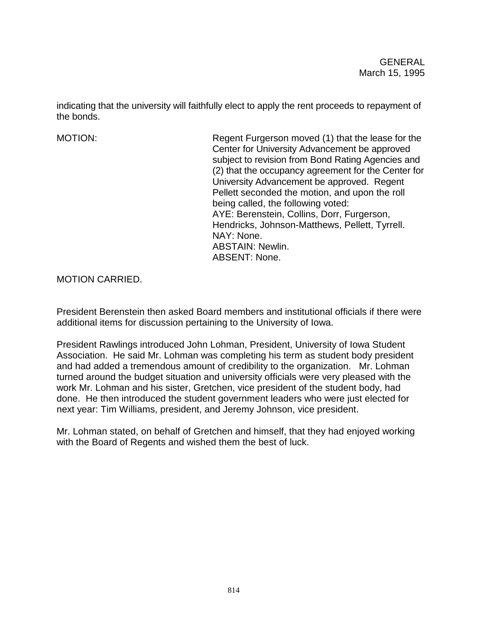indicating that the university will faithfully elect to apply the rent proceeds to repayment of the bonds.

MOTION: Regent Furgerson moved (1) that the lease for the Center for University Advancement be approved subject to revision from Bond Rating Agencies and (2) that the occupancy agreement for the Center for University Advancement be approved. Regent Pellett seconded the motion, and upon the roll being called, the following voted: AYE: Berenstein, Collins, Dorr, Furgerson, Hendricks, Johnson-Matthews, Pellett, Tyrrell. NAY: None. ABSTAIN: Newlin. ABSENT: None.

MOTION CARRIED.

President Berenstein then asked Board members and institutional officials if there were additional items for discussion pertaining to the University of Iowa.

President Rawlings introduced John Lohman, President, University of Iowa Student Association. He said Mr. Lohman was completing his term as student body president and had added a tremendous amount of credibility to the organization. Mr. Lohman turned around the budget situation and university officials were very pleased with the work Mr. Lohman and his sister, Gretchen, vice president of the student body, had done. He then introduced the student government leaders who were just elected for next year: Tim Williams, president, and Jeremy Johnson, vice president.

Mr. Lohman stated, on behalf of Gretchen and himself, that they had enjoyed working with the Board of Regents and wished them the best of luck.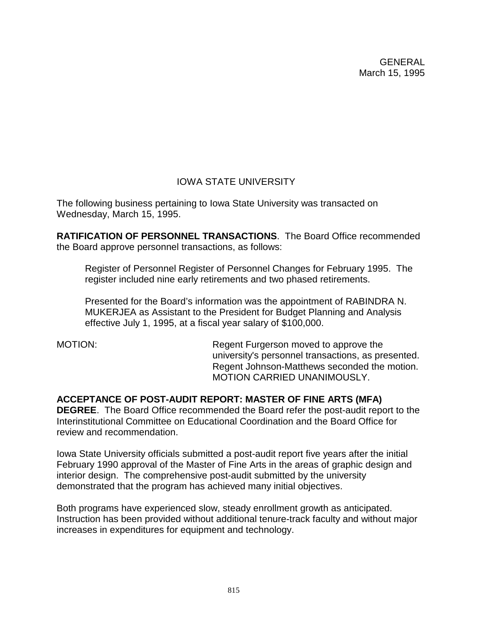# IOWA STATE UNIVERSITY

The following business pertaining to Iowa State University was transacted on Wednesday, March 15, 1995.

**RATIFICATION OF PERSONNEL TRANSACTIONS**. The Board Office recommended the Board approve personnel transactions, as follows:

Register of Personnel Register of Personnel Changes for February 1995. The register included nine early retirements and two phased retirements.

Presented for the Board's information was the appointment of RABINDRA N. MUKERJEA as Assistant to the President for Budget Planning and Analysis effective July 1, 1995, at a fiscal year salary of \$100,000.

MOTION: Regent Furgerson moved to approve the university's personnel transactions, as presented. Regent Johnson-Matthews seconded the motion. MOTION CARRIED UNANIMOUSLY.

**ACCEPTANCE OF POST-AUDIT REPORT: MASTER OF FINE ARTS (MFA) DEGREE**. The Board Office recommended the Board refer the post-audit report to the Interinstitutional Committee on Educational Coordination and the Board Office for review and recommendation.

Iowa State University officials submitted a post-audit report five years after the initial February 1990 approval of the Master of Fine Arts in the areas of graphic design and interior design. The comprehensive post-audit submitted by the university demonstrated that the program has achieved many initial objectives.

Both programs have experienced slow, steady enrollment growth as anticipated. Instruction has been provided without additional tenure-track faculty and without major increases in expenditures for equipment and technology.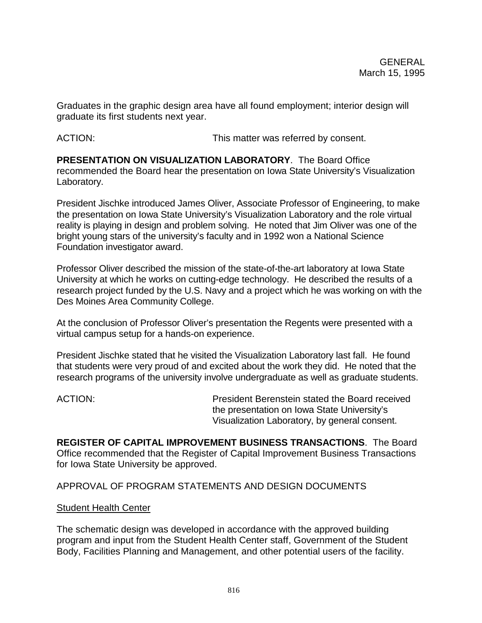Graduates in the graphic design area have all found employment; interior design will graduate its first students next year.

ACTION: **This matter was referred by consent.** 

**PRESENTATION ON VISUALIZATION LABORATORY**. The Board Office recommended the Board hear the presentation on Iowa State University's Visualization Laboratory.

President Jischke introduced James Oliver, Associate Professor of Engineering, to make the presentation on Iowa State University's Visualization Laboratory and the role virtual reality is playing in design and problem solving. He noted that Jim Oliver was one of the bright young stars of the university's faculty and in 1992 won a National Science Foundation investigator award.

Professor Oliver described the mission of the state-of-the-art laboratory at Iowa State University at which he works on cutting-edge technology. He described the results of a research project funded by the U.S. Navy and a project which he was working on with the Des Moines Area Community College.

At the conclusion of Professor Oliver's presentation the Regents were presented with a virtual campus setup for a hands-on experience.

President Jischke stated that he visited the Visualization Laboratory last fall. He found that students were very proud of and excited about the work they did. He noted that the research programs of the university involve undergraduate as well as graduate students.

ACTION: President Berenstein stated the Board received the presentation on Iowa State University's Visualization Laboratory, by general consent.

**REGISTER OF CAPITAL IMPROVEMENT BUSINESS TRANSACTIONS**. The Board Office recommended that the Register of Capital Improvement Business Transactions for Iowa State University be approved.

APPROVAL OF PROGRAM STATEMENTS AND DESIGN DOCUMENTS

Student Health Center

The schematic design was developed in accordance with the approved building program and input from the Student Health Center staff, Government of the Student Body, Facilities Planning and Management, and other potential users of the facility.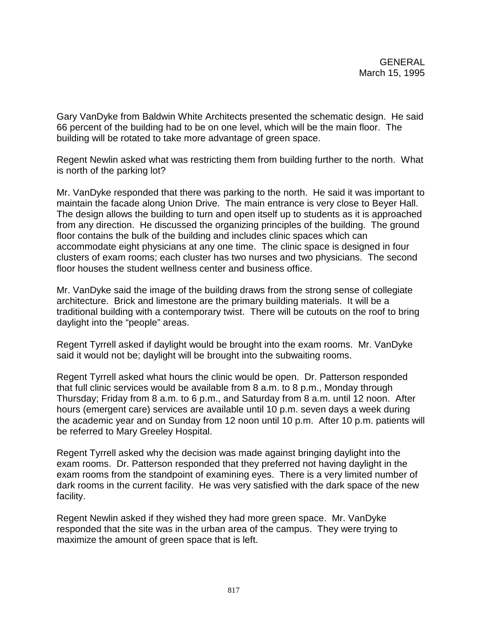Gary VanDyke from Baldwin White Architects presented the schematic design. He said 66 percent of the building had to be on one level, which will be the main floor. The building will be rotated to take more advantage of green space.

Regent Newlin asked what was restricting them from building further to the north. What is north of the parking lot?

Mr. VanDyke responded that there was parking to the north. He said it was important to maintain the facade along Union Drive. The main entrance is very close to Beyer Hall. The design allows the building to turn and open itself up to students as it is approached from any direction. He discussed the organizing principles of the building. The ground floor contains the bulk of the building and includes clinic spaces which can accommodate eight physicians at any one time. The clinic space is designed in four clusters of exam rooms; each cluster has two nurses and two physicians. The second floor houses the student wellness center and business office.

Mr. VanDyke said the image of the building draws from the strong sense of collegiate architecture. Brick and limestone are the primary building materials. It will be a traditional building with a contemporary twist. There will be cutouts on the roof to bring daylight into the "people" areas.

Regent Tyrrell asked if daylight would be brought into the exam rooms. Mr. VanDyke said it would not be; daylight will be brought into the subwaiting rooms.

Regent Tyrrell asked what hours the clinic would be open. Dr. Patterson responded that full clinic services would be available from 8 a.m. to 8 p.m., Monday through Thursday; Friday from 8 a.m. to 6 p.m., and Saturday from 8 a.m. until 12 noon. After hours (emergent care) services are available until 10 p.m. seven days a week during the academic year and on Sunday from 12 noon until 10 p.m. After 10 p.m. patients will be referred to Mary Greeley Hospital.

Regent Tyrrell asked why the decision was made against bringing daylight into the exam rooms. Dr. Patterson responded that they preferred not having daylight in the exam rooms from the standpoint of examining eyes. There is a very limited number of dark rooms in the current facility. He was very satisfied with the dark space of the new facility.

Regent Newlin asked if they wished they had more green space. Mr. VanDyke responded that the site was in the urban area of the campus. They were trying to maximize the amount of green space that is left.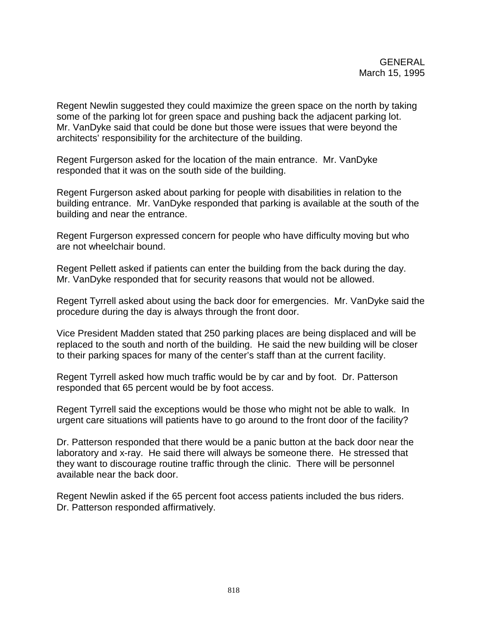Regent Newlin suggested they could maximize the green space on the north by taking some of the parking lot for green space and pushing back the adjacent parking lot. Mr. VanDyke said that could be done but those were issues that were beyond the architects' responsibility for the architecture of the building.

Regent Furgerson asked for the location of the main entrance. Mr. VanDyke responded that it was on the south side of the building.

Regent Furgerson asked about parking for people with disabilities in relation to the building entrance. Mr. VanDyke responded that parking is available at the south of the building and near the entrance.

Regent Furgerson expressed concern for people who have difficulty moving but who are not wheelchair bound.

Regent Pellett asked if patients can enter the building from the back during the day. Mr. VanDyke responded that for security reasons that would not be allowed.

Regent Tyrrell asked about using the back door for emergencies. Mr. VanDyke said the procedure during the day is always through the front door.

Vice President Madden stated that 250 parking places are being displaced and will be replaced to the south and north of the building. He said the new building will be closer to their parking spaces for many of the center's staff than at the current facility.

Regent Tyrrell asked how much traffic would be by car and by foot. Dr. Patterson responded that 65 percent would be by foot access.

Regent Tyrrell said the exceptions would be those who might not be able to walk. In urgent care situations will patients have to go around to the front door of the facility?

Dr. Patterson responded that there would be a panic button at the back door near the laboratory and x-ray. He said there will always be someone there. He stressed that they want to discourage routine traffic through the clinic. There will be personnel available near the back door.

Regent Newlin asked if the 65 percent foot access patients included the bus riders. Dr. Patterson responded affirmatively.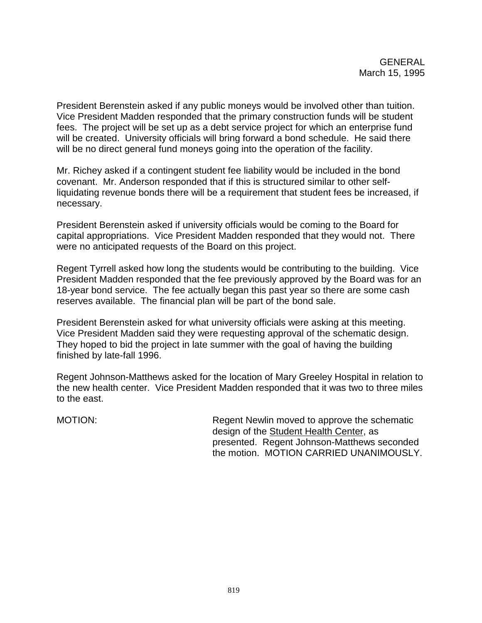President Berenstein asked if any public moneys would be involved other than tuition. Vice President Madden responded that the primary construction funds will be student fees. The project will be set up as a debt service project for which an enterprise fund will be created. University officials will bring forward a bond schedule. He said there will be no direct general fund moneys going into the operation of the facility.

Mr. Richey asked if a contingent student fee liability would be included in the bond covenant. Mr. Anderson responded that if this is structured similar to other selfliquidating revenue bonds there will be a requirement that student fees be increased, if necessary.

President Berenstein asked if university officials would be coming to the Board for capital appropriations. Vice President Madden responded that they would not. There were no anticipated requests of the Board on this project.

Regent Tyrrell asked how long the students would be contributing to the building. Vice President Madden responded that the fee previously approved by the Board was for an 18-year bond service. The fee actually began this past year so there are some cash reserves available. The financial plan will be part of the bond sale.

President Berenstein asked for what university officials were asking at this meeting. Vice President Madden said they were requesting approval of the schematic design. They hoped to bid the project in late summer with the goal of having the building finished by late-fall 1996.

Regent Johnson-Matthews asked for the location of Mary Greeley Hospital in relation to the new health center. Vice President Madden responded that it was two to three miles to the east.

MOTION: Regent Newlin moved to approve the schematic design of the Student Health Center, as presented. Regent Johnson-Matthews seconded the motion. MOTION CARRIED UNANIMOUSLY.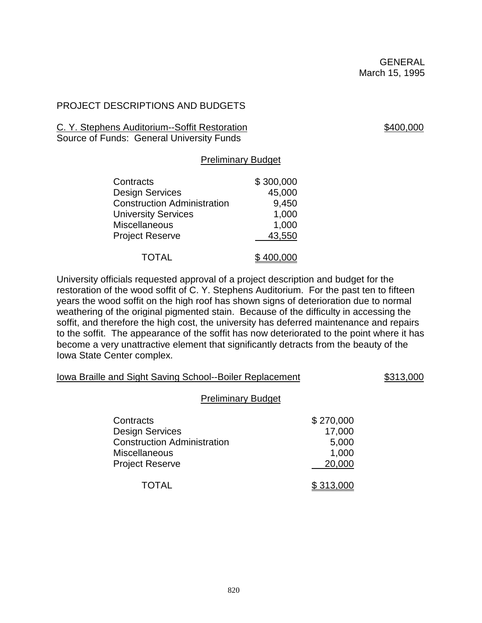## PROJECT DESCRIPTIONS AND BUDGETS

C. Y. Stephens Auditorium--Soffit Restoration **\$400,000** Source of Funds: General University Funds

| <b>Preliminary Budget</b> |  |
|---------------------------|--|
|                           |  |
|                           |  |
|                           |  |

| Contracts                          | \$300,000 |
|------------------------------------|-----------|
| <b>Design Services</b>             | 45,000    |
| <b>Construction Administration</b> | 9,450     |
| <b>University Services</b>         | 1,000     |
| <b>Miscellaneous</b>               | 1,000     |
| <b>Project Reserve</b>             | 43,550    |
|                                    |           |
| <b>TOTAL</b>                       | \$400,000 |

University officials requested approval of a project description and budget for the restoration of the wood soffit of C. Y. Stephens Auditorium. For the past ten to fifteen years the wood soffit on the high roof has shown signs of deterioration due to normal weathering of the original pigmented stain. Because of the difficulty in accessing the soffit, and therefore the high cost, the university has deferred maintenance and repairs to the soffit. The appearance of the soffit has now deteriorated to the point where it has become a very unattractive element that significantly detracts from the beauty of the Iowa State Center complex.

| <b>Iowa Braille and Sight Saving School--Boiler Replacement</b>                                                             |                                                 | \$313,000 |
|-----------------------------------------------------------------------------------------------------------------------------|-------------------------------------------------|-----------|
| <b>Preliminary Budget</b>                                                                                                   |                                                 |           |
| Contracts<br><b>Design Services</b><br><b>Construction Administration</b><br><b>Miscellaneous</b><br><b>Project Reserve</b> | \$270,000<br>17,000<br>5,000<br>1,000<br>20,000 |           |
| TOTAL                                                                                                                       | \$313,000                                       |           |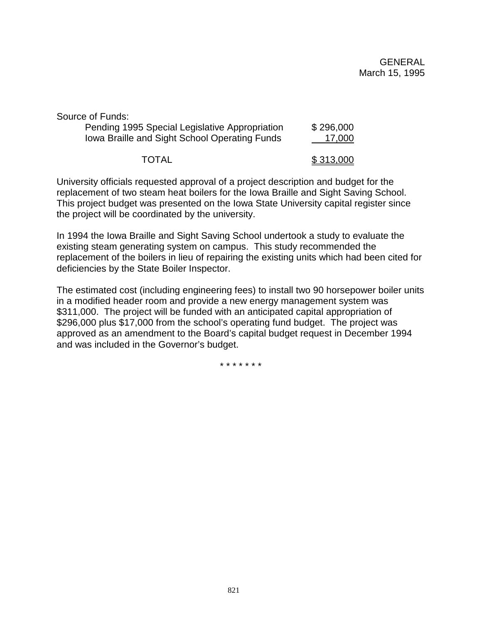| Source of Funds:                                                                                       |                     |  |
|--------------------------------------------------------------------------------------------------------|---------------------|--|
| Pending 1995 Special Legislative Appropriation<br><b>Iowa Braille and Sight School Operating Funds</b> | \$296,000<br>17,000 |  |
| <b>TOTAL</b>                                                                                           | \$313,000           |  |

University officials requested approval of a project description and budget for the replacement of two steam heat boilers for the Iowa Braille and Sight Saving School. This project budget was presented on the Iowa State University capital register since the project will be coordinated by the university.

In 1994 the Iowa Braille and Sight Saving School undertook a study to evaluate the existing steam generating system on campus. This study recommended the replacement of the boilers in lieu of repairing the existing units which had been cited for deficiencies by the State Boiler Inspector.

The estimated cost (including engineering fees) to install two 90 horsepower boiler units in a modified header room and provide a new energy management system was \$311,000. The project will be funded with an anticipated capital appropriation of \$296,000 plus \$17,000 from the school's operating fund budget. The project was approved as an amendment to the Board's capital budget request in December 1994 and was included in the Governor's budget.

\* \* \* \* \* \* \*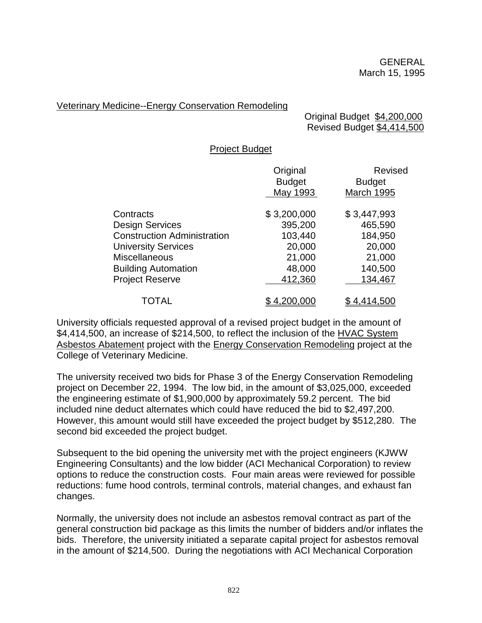#### Veterinary Medicine--Energy Conservation Remodeling

 Original Budget \$4,200,000 Revised Budget \$4,414,500

Project Budget

|                                    | Original      | <b>Revised</b>    |
|------------------------------------|---------------|-------------------|
|                                    | <b>Budget</b> | <b>Budget</b>     |
|                                    | May 1993      | <b>March 1995</b> |
| Contracts                          | \$3,200,000   | \$3,447,993       |
| <b>Design Services</b>             | 395,200       | 465,590           |
| <b>Construction Administration</b> | 103,440       | 184,950           |
| <b>University Services</b>         | 20,000        | 20,000            |
| <b>Miscellaneous</b>               | 21,000        | 21,000            |
| <b>Building Automation</b>         | 48,000        | 140,500           |
| <b>Project Reserve</b>             | 412,360       | 134,467           |
| TOTAL                              | \$4,200,000   | \$4,414,500       |

University officials requested approval of a revised project budget in the amount of \$4,414,500, an increase of \$214,500, to reflect the inclusion of the HVAC System Asbestos Abatement project with the Energy Conservation Remodeling project at the College of Veterinary Medicine.

The university received two bids for Phase 3 of the Energy Conservation Remodeling project on December 22, 1994. The low bid, in the amount of \$3,025,000, exceeded the engineering estimate of \$1,900,000 by approximately 59.2 percent. The bid included nine deduct alternates which could have reduced the bid to \$2,497,200. However, this amount would still have exceeded the project budget by \$512,280. The second bid exceeded the project budget.

Subsequent to the bid opening the university met with the project engineers (KJWW Engineering Consultants) and the low bidder (ACI Mechanical Corporation) to review options to reduce the construction costs. Four main areas were reviewed for possible reductions: fume hood controls, terminal controls, material changes, and exhaust fan changes.

Normally, the university does not include an asbestos removal contract as part of the general construction bid package as this limits the number of bidders and/or inflates the bids. Therefore, the university initiated a separate capital project for asbestos removal in the amount of \$214,500. During the negotiations with ACI Mechanical Corporation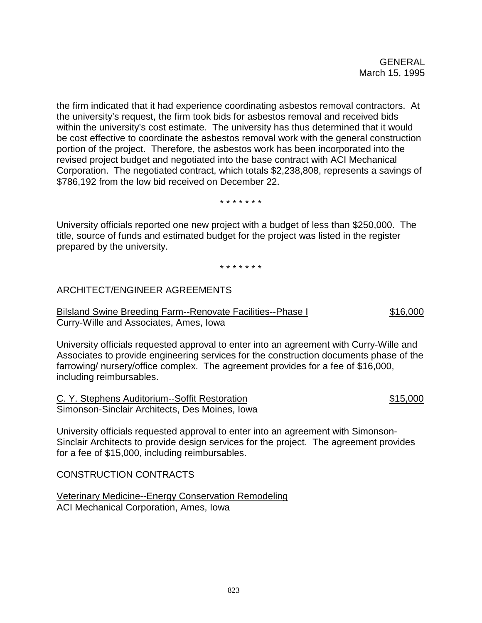the firm indicated that it had experience coordinating asbestos removal contractors. At the university's request, the firm took bids for asbestos removal and received bids within the university's cost estimate. The university has thus determined that it would be cost effective to coordinate the asbestos removal work with the general construction portion of the project. Therefore, the asbestos work has been incorporated into the revised project budget and negotiated into the base contract with ACI Mechanical Corporation. The negotiated contract, which totals \$2,238,808, represents a savings of \$786,192 from the low bid received on December 22.

\* \* \* \* \* \* \*

University officials reported one new project with a budget of less than \$250,000. The title, source of funds and estimated budget for the project was listed in the register prepared by the university.

\* \* \* \* \* \* \*

## ARCHITECT/ENGINEER AGREEMENTS

#### Bilsland Swine Breeding Farm--Renovate Facilities--Phase I  $$16,000$ Curry-Wille and Associates, Ames, Iowa

University officials requested approval to enter into an agreement with Curry-Wille and Associates to provide engineering services for the construction documents phase of the farrowing/ nursery/office complex. The agreement provides for a fee of \$16,000, including reimbursables.

C. Y. Stephens Auditorium--Soffit Restoration \$15,000 Simonson-Sinclair Architects, Des Moines, Iowa

University officials requested approval to enter into an agreement with Simonson-Sinclair Architects to provide design services for the project. The agreement provides for a fee of \$15,000, including reimbursables.

CONSTRUCTION CONTRACTS

Veterinary Medicine--Energy Conservation Remodeling ACI Mechanical Corporation, Ames, Iowa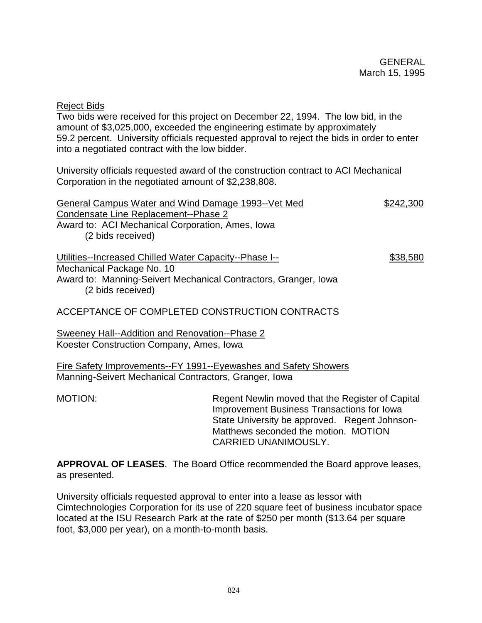#### Reject Bids

Two bids were received for this project on December 22, 1994. The low bid, in the amount of \$3,025,000, exceeded the engineering estimate by approximately 59.2 percent. University officials requested approval to reject the bids in order to enter into a negotiated contract with the low bidder.

University officials requested award of the construction contract to ACI Mechanical Corporation in the negotiated amount of \$2,238,808.

| General Campus Water and Wind Damage 1993--Vet Med                                   | \$242.300 |
|--------------------------------------------------------------------------------------|-----------|
| Condensate Line Replacement--Phase 2                                                 |           |
| Award to: ACI Mechanical Corporation, Ames, Iowa                                     |           |
| (2 bids received)                                                                    |           |
| Utilities--Increased Chilled Water Capacity--Phase I--                               | \$38,580  |
| Mechanical Package No. 10                                                            |           |
| Award to: Manning-Seivert Mechanical Contractors, Granger, Iowa<br>(2 bids received) |           |
| ACCEPTANCE OF COMPLETED CONSTRUCTION CONTRACTS                                       |           |

Sweeney Hall--Addition and Renovation--Phase 2 Koester Construction Company, Ames, Iowa

Fire Safety Improvements--FY 1991--Eyewashes and Safety Showers Manning-Seivert Mechanical Contractors, Granger, Iowa

MOTION: Regent Newlin moved that the Register of Capital Improvement Business Transactions for Iowa State University be approved. Regent Johnson-Matthews seconded the motion. MOTION CARRIED UNANIMOUSLY.

**APPROVAL OF LEASES**. The Board Office recommended the Board approve leases, as presented.

University officials requested approval to enter into a lease as lessor with Cimtechnologies Corporation for its use of 220 square feet of business incubator space located at the ISU Research Park at the rate of \$250 per month (\$13.64 per square foot, \$3,000 per year), on a month-to-month basis.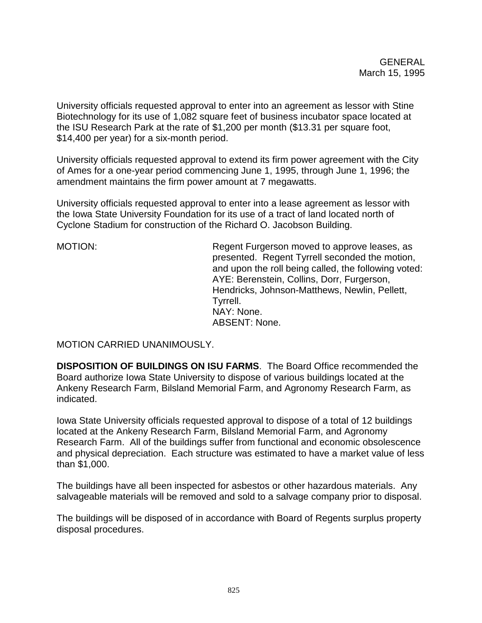University officials requested approval to enter into an agreement as lessor with Stine Biotechnology for its use of 1,082 square feet of business incubator space located at the ISU Research Park at the rate of \$1,200 per month (\$13.31 per square foot, \$14,400 per year) for a six-month period.

University officials requested approval to extend its firm power agreement with the City of Ames for a one-year period commencing June 1, 1995, through June 1, 1996; the amendment maintains the firm power amount at 7 megawatts.

University officials requested approval to enter into a lease agreement as lessor with the Iowa State University Foundation for its use of a tract of land located north of Cyclone Stadium for construction of the Richard O. Jacobson Building.

MOTION: MOTION: Regent Furgerson moved to approve leases, as presented. Regent Tyrrell seconded the motion, and upon the roll being called, the following voted: AYE: Berenstein, Collins, Dorr, Furgerson, Hendricks, Johnson-Matthews, Newlin, Pellett, Tyrrell. NAY: None. ABSENT: None.

MOTION CARRIED UNANIMOUSLY.

**DISPOSITION OF BUILDINGS ON ISU FARMS**. The Board Office recommended the Board authorize Iowa State University to dispose of various buildings located at the Ankeny Research Farm, Bilsland Memorial Farm, and Agronomy Research Farm, as indicated.

Iowa State University officials requested approval to dispose of a total of 12 buildings located at the Ankeny Research Farm, Bilsland Memorial Farm, and Agronomy Research Farm. All of the buildings suffer from functional and economic obsolescence and physical depreciation. Each structure was estimated to have a market value of less than \$1,000.

The buildings have all been inspected for asbestos or other hazardous materials. Any salvageable materials will be removed and sold to a salvage company prior to disposal.

The buildings will be disposed of in accordance with Board of Regents surplus property disposal procedures.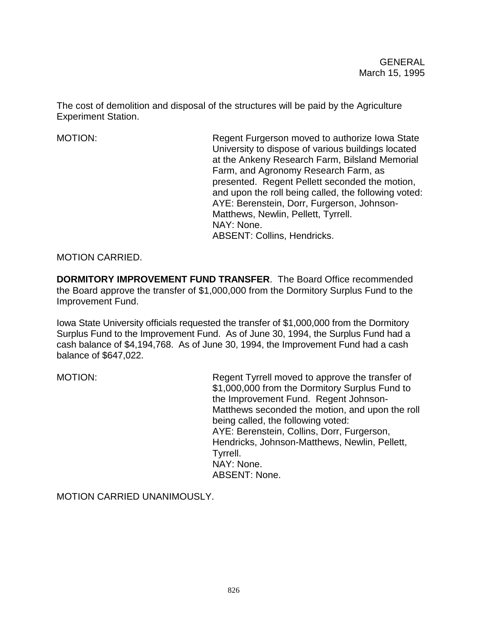The cost of demolition and disposal of the structures will be paid by the Agriculture Experiment Station.

MOTION: Regent Furgerson moved to authorize Iowa State University to dispose of various buildings located at the Ankeny Research Farm, Bilsland Memorial Farm, and Agronomy Research Farm, as presented. Regent Pellett seconded the motion, and upon the roll being called, the following voted: AYE: Berenstein, Dorr, Furgerson, Johnson-Matthews, Newlin, Pellett, Tyrrell. NAY: None. ABSENT: Collins, Hendricks.

MOTION CARRIED.

**DORMITORY IMPROVEMENT FUND TRANSFER**. The Board Office recommended the Board approve the transfer of \$1,000,000 from the Dormitory Surplus Fund to the Improvement Fund.

Iowa State University officials requested the transfer of \$1,000,000 from the Dormitory Surplus Fund to the Improvement Fund. As of June 30, 1994, the Surplus Fund had a cash balance of \$4,194,768. As of June 30, 1994, the Improvement Fund had a cash balance of \$647,022.

MOTION: Regent Tyrrell moved to approve the transfer of \$1,000,000 from the Dormitory Surplus Fund to the Improvement Fund. Regent Johnson-Matthews seconded the motion, and upon the roll being called, the following voted: AYE: Berenstein, Collins, Dorr, Furgerson, Hendricks, Johnson-Matthews, Newlin, Pellett, Tyrrell. NAY: None. ABSENT: None.

MOTION CARRIED UNANIMOUSLY.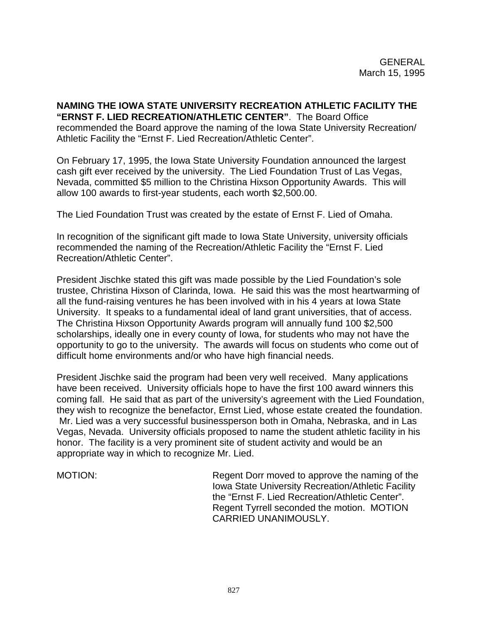**NAMING THE IOWA STATE UNIVERSITY RECREATION ATHLETIC FACILITY THE "ERNST F. LIED RECREATION/ATHLETIC CENTER"**. The Board Office recommended the Board approve the naming of the Iowa State University Recreation/ Athletic Facility the "Ernst F. Lied Recreation/Athletic Center".

On February 17, 1995, the Iowa State University Foundation announced the largest cash gift ever received by the university. The Lied Foundation Trust of Las Vegas, Nevada, committed \$5 million to the Christina Hixson Opportunity Awards. This will allow 100 awards to first-year students, each worth \$2,500.00.

The Lied Foundation Trust was created by the estate of Ernst F. Lied of Omaha.

In recognition of the significant gift made to Iowa State University, university officials recommended the naming of the Recreation/Athletic Facility the "Ernst F. Lied Recreation/Athletic Center".

President Jischke stated this gift was made possible by the Lied Foundation's sole trustee, Christina Hixson of Clarinda, Iowa. He said this was the most heartwarming of all the fund-raising ventures he has been involved with in his 4 years at Iowa State University. It speaks to a fundamental ideal of land grant universities, that of access. The Christina Hixson Opportunity Awards program will annually fund 100 \$2,500 scholarships, ideally one in every county of Iowa, for students who may not have the opportunity to go to the university. The awards will focus on students who come out of difficult home environments and/or who have high financial needs.

President Jischke said the program had been very well received. Many applications have been received. University officials hope to have the first 100 award winners this coming fall. He said that as part of the university's agreement with the Lied Foundation, they wish to recognize the benefactor, Ernst Lied, whose estate created the foundation. Mr. Lied was a very successful businessperson both in Omaha, Nebraska, and in Las Vegas, Nevada. University officials proposed to name the student athletic facility in his honor. The facility is a very prominent site of student activity and would be an appropriate way in which to recognize Mr. Lied.

MOTION: Regent Dorr moved to approve the naming of the Iowa State University Recreation/Athletic Facility the "Ernst F. Lied Recreation/Athletic Center". Regent Tyrrell seconded the motion. MOTION CARRIED UNANIMOUSLY.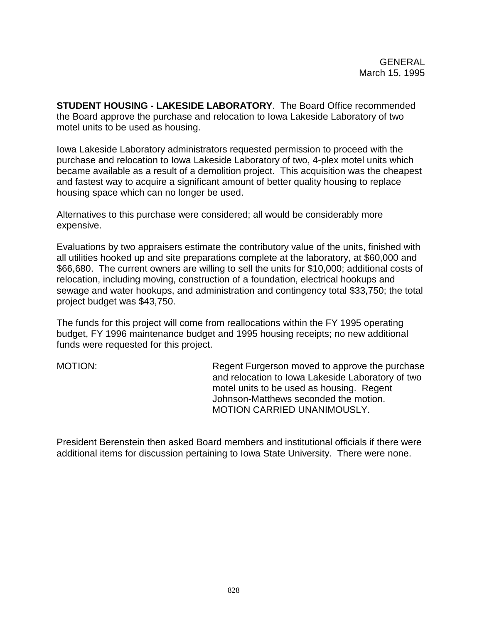**STUDENT HOUSING - LAKESIDE LABORATORY**. The Board Office recommended the Board approve the purchase and relocation to Iowa Lakeside Laboratory of two motel units to be used as housing.

Iowa Lakeside Laboratory administrators requested permission to proceed with the purchase and relocation to Iowa Lakeside Laboratory of two, 4-plex motel units which became available as a result of a demolition project. This acquisition was the cheapest and fastest way to acquire a significant amount of better quality housing to replace housing space which can no longer be used.

Alternatives to this purchase were considered; all would be considerably more expensive.

Evaluations by two appraisers estimate the contributory value of the units, finished with all utilities hooked up and site preparations complete at the laboratory, at \$60,000 and \$66,680. The current owners are willing to sell the units for \$10,000; additional costs of relocation, including moving, construction of a foundation, electrical hookups and sewage and water hookups, and administration and contingency total \$33,750; the total project budget was \$43,750.

The funds for this project will come from reallocations within the FY 1995 operating budget, FY 1996 maintenance budget and 1995 housing receipts; no new additional funds were requested for this project.

MOTION: Regent Furgerson moved to approve the purchase and relocation to Iowa Lakeside Laboratory of two motel units to be used as housing. Regent Johnson-Matthews seconded the motion. MOTION CARRIED UNANIMOUSLY.

President Berenstein then asked Board members and institutional officials if there were additional items for discussion pertaining to Iowa State University. There were none.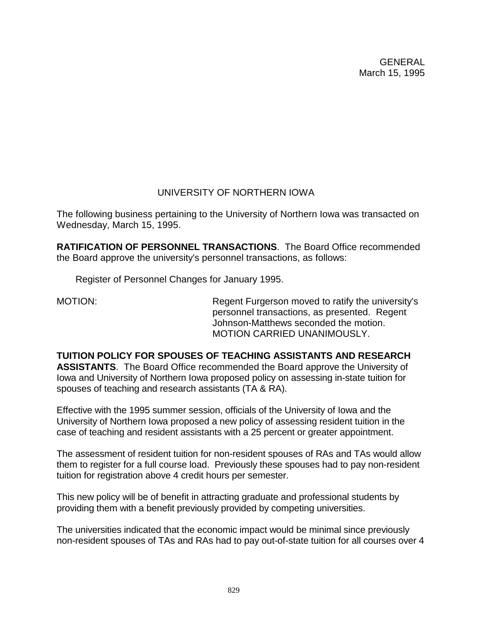## UNIVERSITY OF NORTHERN IOWA

The following business pertaining to the University of Northern Iowa was transacted on Wednesday, March 15, 1995.

**RATIFICATION OF PERSONNEL TRANSACTIONS**. The Board Office recommended the Board approve the university's personnel transactions, as follows:

Register of Personnel Changes for January 1995.

MOTION: Regent Furgerson moved to ratify the university's personnel transactions, as presented. Regent Johnson-Matthews seconded the motion. MOTION CARRIED UNANIMOUSLY.

**TUITION POLICY FOR SPOUSES OF TEACHING ASSISTANTS AND RESEARCH ASSISTANTS**. The Board Office recommended the Board approve the University of Iowa and University of Northern Iowa proposed policy on assessing in-state tuition for spouses of teaching and research assistants (TA & RA).

Effective with the 1995 summer session, officials of the University of Iowa and the University of Northern Iowa proposed a new policy of assessing resident tuition in the case of teaching and resident assistants with a 25 percent or greater appointment.

The assessment of resident tuition for non-resident spouses of RAs and TAs would allow them to register for a full course load. Previously these spouses had to pay non-resident tuition for registration above 4 credit hours per semester.

This new policy will be of benefit in attracting graduate and professional students by providing them with a benefit previously provided by competing universities.

The universities indicated that the economic impact would be minimal since previously non-resident spouses of TAs and RAs had to pay out-of-state tuition for all courses over 4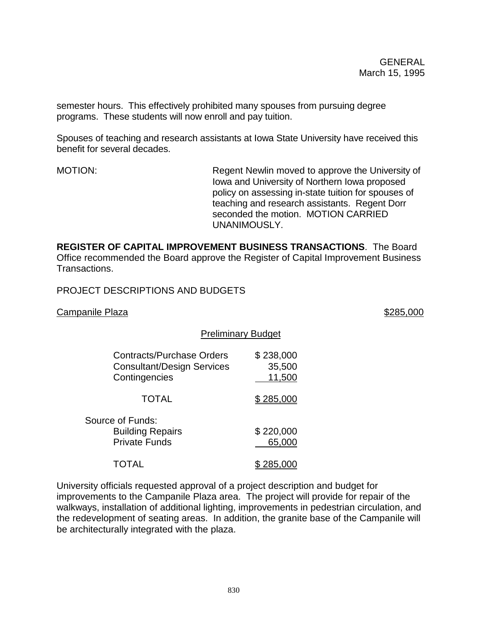semester hours. This effectively prohibited many spouses from pursuing degree programs. These students will now enroll and pay tuition.

Spouses of teaching and research assistants at Iowa State University have received this benefit for several decades.

MOTION: Regent Newlin moved to approve the University of Iowa and University of Northern Iowa proposed policy on assessing in-state tuition for spouses of teaching and research assistants. Regent Dorr seconded the motion. MOTION CARRIED. UNANIMOUSLY.

**REGISTER OF CAPITAL IMPROVEMENT BUSINESS TRANSACTIONS**. The Board Office recommended the Board approve the Register of Capital Improvement Business Transactions.

PROJECT DESCRIPTIONS AND BUDGETS

Campanile Plaza **\$285,000 \$285,000** 

|                                                                                 | <b>Preliminary Budget</b>     |
|---------------------------------------------------------------------------------|-------------------------------|
| Contracts/Purchase Orders<br><b>Consultant/Design Services</b><br>Contingencies | \$238,000<br>35,500<br>11,500 |
| <b>TOTAL</b>                                                                    | \$285.0                       |
| Source of Funds:<br><b>Building Repairs</b><br><b>Private Funds</b>             | \$220,000<br>65,000           |
| TOTAL                                                                           | \$285,000                     |

University officials requested approval of a project description and budget for improvements to the Campanile Plaza area. The project will provide for repair of the walkways, installation of additional lighting, improvements in pedestrian circulation, and the redevelopment of seating areas. In addition, the granite base of the Campanile will be architecturally integrated with the plaza.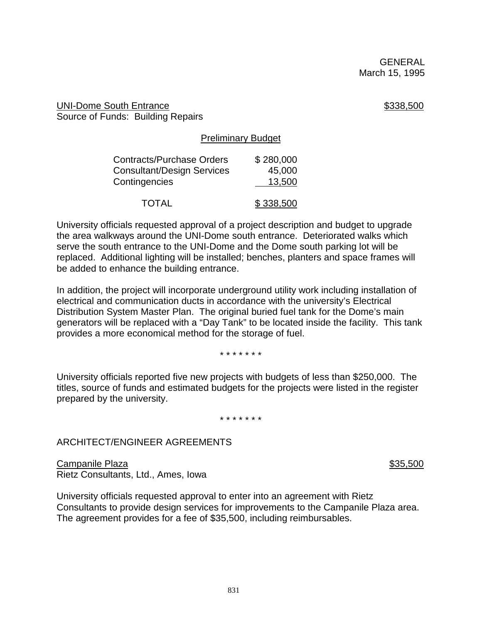UNI-Dome South Entrance \$338,500 Source of Funds: Building Repairs

#### Preliminary Budget

| <b>Contracts/Purchase Orders</b>  | \$280,000 |
|-----------------------------------|-----------|
| <b>Consultant/Design Services</b> | 45,000    |
| Contingencies                     | 13,500    |
| <b>TOTAL</b>                      | \$338,500 |

University officials requested approval of a project description and budget to upgrade the area walkways around the UNI-Dome south entrance. Deteriorated walks which serve the south entrance to the UNI-Dome and the Dome south parking lot will be replaced. Additional lighting will be installed; benches, planters and space frames will be added to enhance the building entrance.

In addition, the project will incorporate underground utility work including installation of electrical and communication ducts in accordance with the university's Electrical Distribution System Master Plan. The original buried fuel tank for the Dome's main generators will be replaced with a "Day Tank" to be located inside the facility. This tank provides a more economical method for the storage of fuel.

\* \* \* \* \* \* \*

University officials reported five new projects with budgets of less than \$250,000. The titles, source of funds and estimated budgets for the projects were listed in the register prepared by the university.

\* \* \* \* \* \* \*

#### ARCHITECT/ENGINEER AGREEMENTS

Campanile Plaza **\$35,500** \$35,500 Rietz Consultants, Ltd., Ames, Iowa

University officials requested approval to enter into an agreement with Rietz Consultants to provide design services for improvements to the Campanile Plaza area. The agreement provides for a fee of \$35,500, including reimbursables.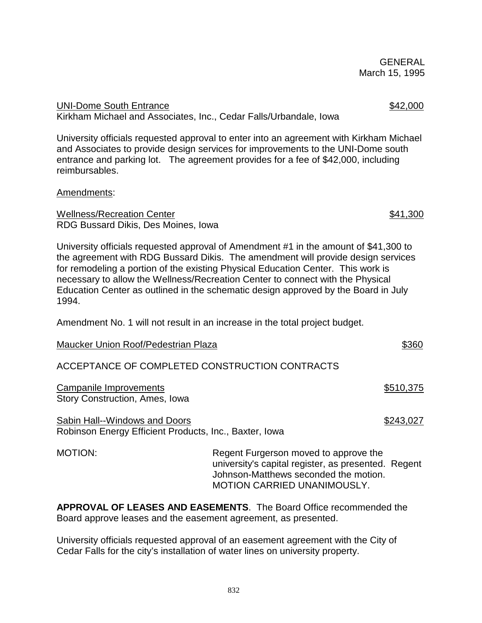UNI-Dome South Entrance **\$42,000** Kirkham Michael and Associates, Inc., Cedar Falls/Urbandale, Iowa

University officials requested approval to enter into an agreement with Kirkham Michael and Associates to provide design services for improvements to the UNI-Dome south entrance and parking lot. The agreement provides for a fee of \$42,000, including reimbursables.

Amendments:

Wellness/Recreation Center  $$41,300$ RDG Bussard Dikis, Des Moines, Iowa

University officials requested approval of Amendment #1 in the amount of \$41,300 to the agreement with RDG Bussard Dikis. The amendment will provide design services for remodeling a portion of the existing Physical Education Center. This work is necessary to allow the Wellness/Recreation Center to connect with the Physical Education Center as outlined in the schematic design approved by the Board in July 1994.

Amendment No. 1 will not result in an increase in the total project budget.

|                                                                                         |                                                                                                                                       | ৺         |
|-----------------------------------------------------------------------------------------|---------------------------------------------------------------------------------------------------------------------------------------|-----------|
| ACCEPTANCE OF COMPLETED CONSTRUCTION CONTRACTS                                          |                                                                                                                                       |           |
| Campanile Improvements<br>Story Construction, Ames, Iowa                                |                                                                                                                                       | \$510,375 |
| Sabin Hall--Windows and Doors<br>Robinson Energy Efficient Products, Inc., Baxter, Iowa |                                                                                                                                       | \$243,027 |
| <b>MOTION:</b>                                                                          | Regent Furgerson moved to approve the<br>university's capital register, as presented. Regent<br>Johnson-Matthews seconded the motion. |           |

**APPROVAL OF LEASES AND EASEMENTS**. The Board Office recommended the Board approve leases and the easement agreement, as presented.

MOTION CARRIED UNANIMOUSLY.

University officials requested approval of an easement agreement with the City of Cedar Falls for the city's installation of water lines on university property.

Maucker Union Roof/Pedestrian Plaza \$360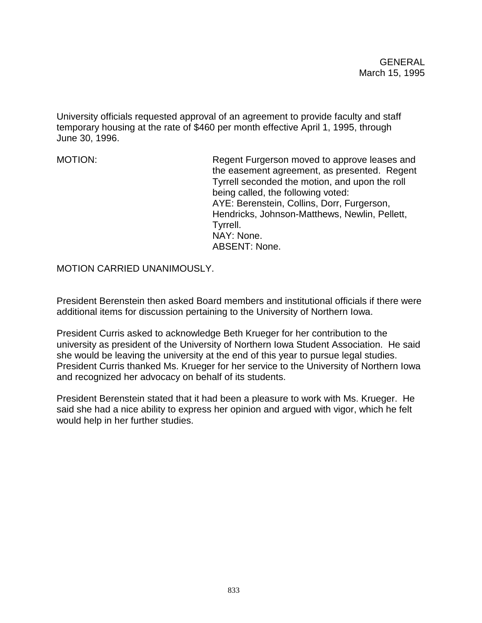University officials requested approval of an agreement to provide faculty and staff temporary housing at the rate of \$460 per month effective April 1, 1995, through June 30, 1996.

MOTION: Regent Furgerson moved to approve leases and the easement agreement, as presented. Regent Tyrrell seconded the motion, and upon the roll being called, the following voted: AYE: Berenstein, Collins, Dorr, Furgerson, Hendricks, Johnson-Matthews, Newlin, Pellett, Tyrrell. NAY: None. ABSENT: None.

MOTION CARRIED UNANIMOUSLY.

President Berenstein then asked Board members and institutional officials if there were additional items for discussion pertaining to the University of Northern Iowa.

President Curris asked to acknowledge Beth Krueger for her contribution to the university as president of the University of Northern Iowa Student Association. He said she would be leaving the university at the end of this year to pursue legal studies. President Curris thanked Ms. Krueger for her service to the University of Northern Iowa and recognized her advocacy on behalf of its students.

President Berenstein stated that it had been a pleasure to work with Ms. Krueger. He said she had a nice ability to express her opinion and argued with vigor, which he felt would help in her further studies.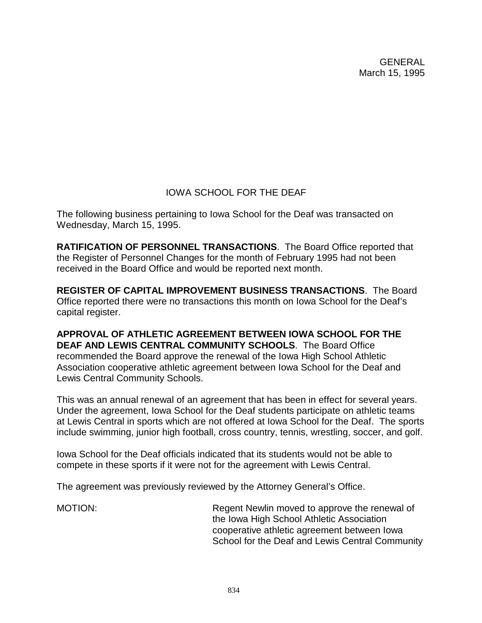# IOWA SCHOOL FOR THE DEAF

The following business pertaining to Iowa School for the Deaf was transacted on Wednesday, March 15, 1995.

**RATIFICATION OF PERSONNEL TRANSACTIONS**. The Board Office reported that the Register of Personnel Changes for the month of February 1995 had not been received in the Board Office and would be reported next month.

**REGISTER OF CAPITAL IMPROVEMENT BUSINESS TRANSACTIONS**. The Board Office reported there were no transactions this month on Iowa School for the Deaf's capital register.

**APPROVAL OF ATHLETIC AGREEMENT BETWEEN IOWA SCHOOL FOR THE DEAF AND LEWIS CENTRAL COMMUNITY SCHOOLS**. The Board Office recommended the Board approve the renewal of the Iowa High School Athletic Association cooperative athletic agreement between Iowa School for the Deaf and Lewis Central Community Schools.

This was an annual renewal of an agreement that has been in effect for several years. Under the agreement, Iowa School for the Deaf students participate on athletic teams at Lewis Central in sports which are not offered at Iowa School for the Deaf. The sports include swimming, junior high football, cross country, tennis, wrestling, soccer, and golf.

Iowa School for the Deaf officials indicated that its students would not be able to compete in these sports if it were not for the agreement with Lewis Central.

The agreement was previously reviewed by the Attorney General's Office.

MOTION: Regent Newlin moved to approve the renewal of the Iowa High School Athletic Association cooperative athletic agreement between Iowa School for the Deaf and Lewis Central Community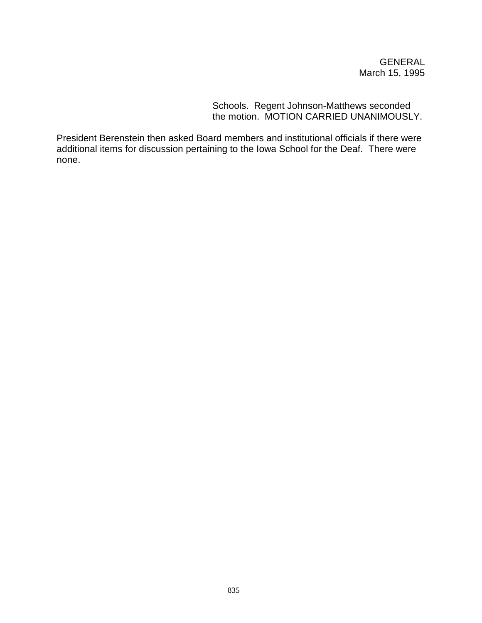Schools. Regent Johnson-Matthews seconded the motion. MOTION CARRIED UNANIMOUSLY.

President Berenstein then asked Board members and institutional officials if there were additional items for discussion pertaining to the Iowa School for the Deaf. There were none.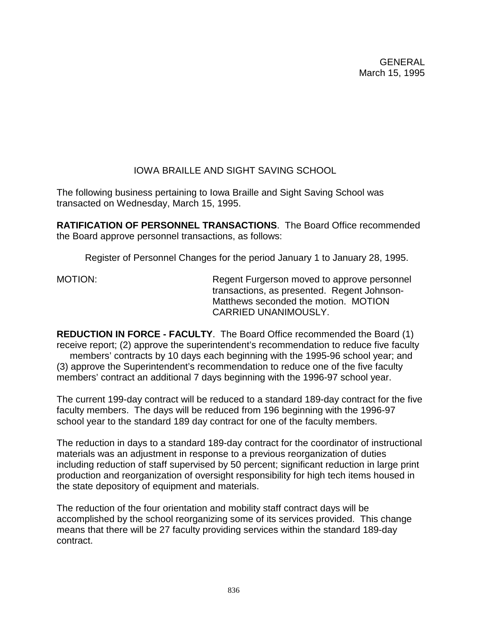# IOWA BRAILLE AND SIGHT SAVING SCHOOL

The following business pertaining to Iowa Braille and Sight Saving School was transacted on Wednesday, March 15, 1995.

**RATIFICATION OF PERSONNEL TRANSACTIONS**. The Board Office recommended the Board approve personnel transactions, as follows:

Register of Personnel Changes for the period January 1 to January 28, 1995.

MOTION: MOTION: Regent Furgerson moved to approve personnel transactions, as presented. Regent Johnson-Matthews seconded the motion. MOTION CARRIED UNANIMOUSLY.

**REDUCTION IN FORCE - FACULTY**. The Board Office recommended the Board (1) receive report; (2) approve the superintendent's recommendation to reduce five faculty members' contracts by 10 days each beginning with the 1995-96 school year; and (3) approve the Superintendent's recommendation to reduce one of the five faculty members' contract an additional 7 days beginning with the 1996-97 school year.

The current 199-day contract will be reduced to a standard 189-day contract for the five faculty members. The days will be reduced from 196 beginning with the 1996-97 school year to the standard 189 day contract for one of the faculty members.

The reduction in days to a standard 189-day contract for the coordinator of instructional materials was an adjustment in response to a previous reorganization of duties including reduction of staff supervised by 50 percent; significant reduction in large print production and reorganization of oversight responsibility for high tech items housed in the state depository of equipment and materials.

The reduction of the four orientation and mobility staff contract days will be accomplished by the school reorganizing some of its services provided. This change means that there will be 27 faculty providing services within the standard 189-day contract.